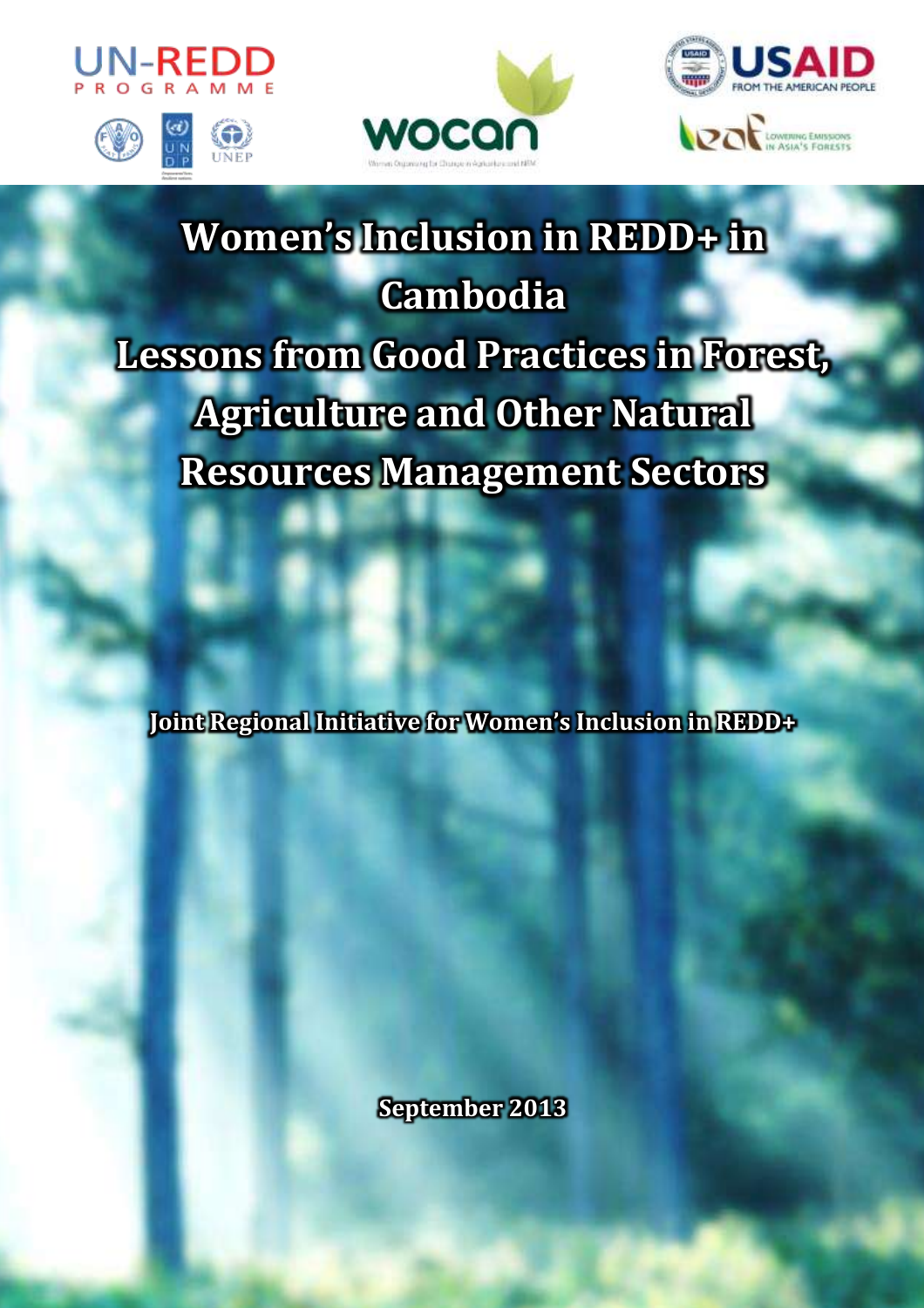







# **Women's Inclusion in REDD+ in Cambodia Lessons from Good Practices in Forest, Agriculture and Other Natural Resources Management Sectors**

**Joint Regional Initiative for Women's Inclusion in REDD+**

**September 2013**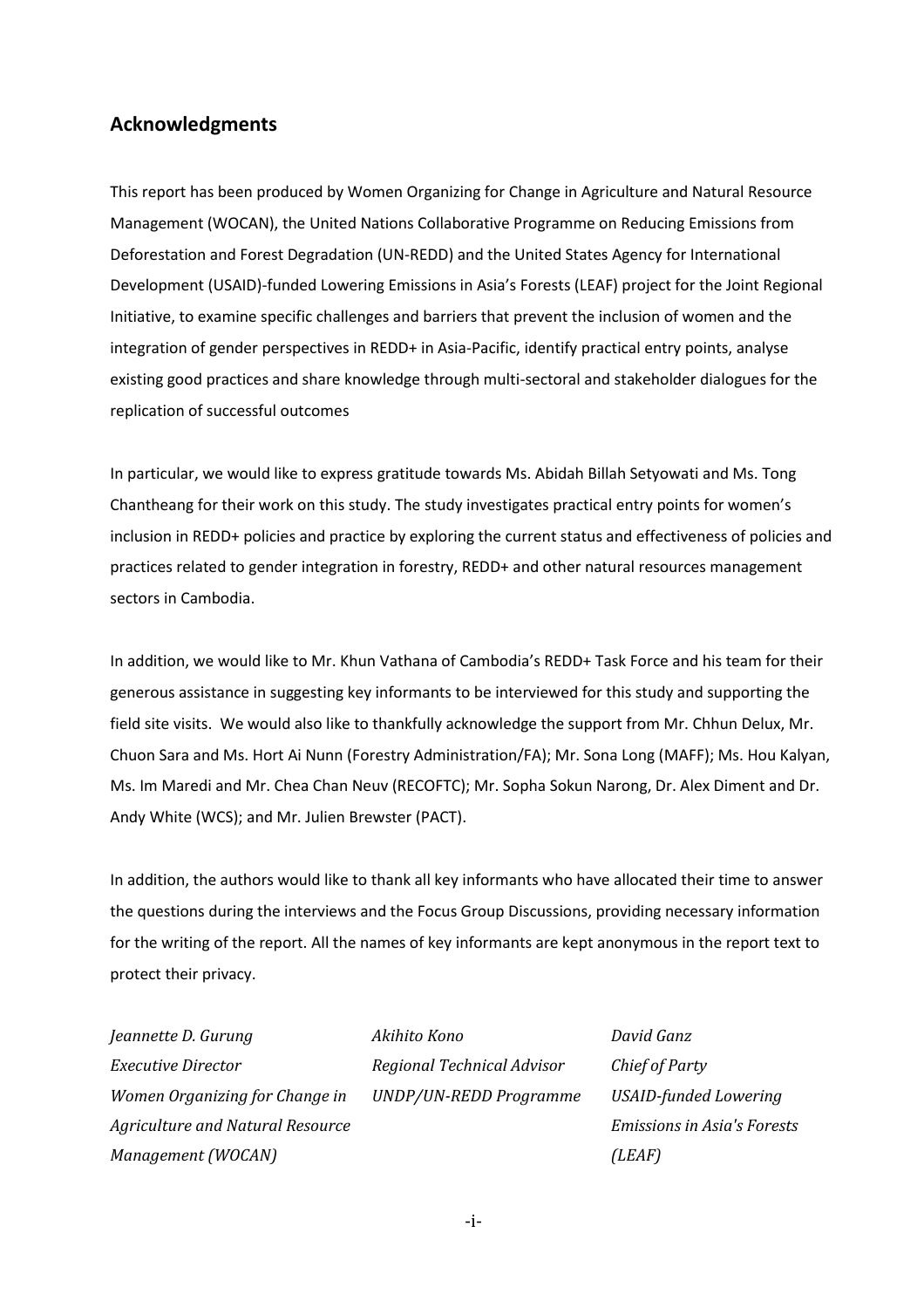## <span id="page-1-0"></span>**Acknowledgments**

This report has been produced by Women Organizing for Change in Agriculture and Natural Resource Management (WOCAN), the United Nations Collaborative Programme on Reducing Emissions from Deforestation and Forest Degradation (UN-REDD) and the United States Agency for International Development (USAID)-funded Lowering Emissions in Asia's Forests (LEAF) project for the Joint Regional Initiative, to examine specific challenges and barriers that prevent the inclusion of women and the integration of gender perspectives in REDD+ in Asia-Pacific, identify practical entry points, analyse existing good practices and share knowledge through multi-sectoral and stakeholder dialogues for the replication of successful outcomes

In particular, we would like to express gratitude towards Ms. Abidah Billah Setyowati and Ms. Tong Chantheang for their work on this study. The study investigates practical entry points for women's inclusion in REDD+ policies and practice by exploring the current status and effectiveness of policies and practices related to gender integration in forestry, REDD+ and other natural resources management sectors in Cambodia.

In addition, we would like to Mr. Khun Vathana of Cambodia's REDD+ Task Force and his team for their generous assistance in suggesting key informants to be interviewed for this study and supporting the field site visits. We would also like to thankfully acknowledge the support from Mr. Chhun Delux, Mr. Chuon Sara and Ms. Hort Ai Nunn (Forestry Administration/FA); Mr. Sona Long (MAFF); Ms. Hou Kalyan, Ms. Im Maredi and Mr. Chea Chan Neuv (RECOFTC); Mr. Sopha Sokun Narong, Dr. Alex Diment and Dr. Andy White (WCS); and Mr. Julien Brewster (PACT).

In addition, the authors would like to thank all key informants who have allocated their time to answer the questions during the interviews and the Focus Group Discussions, providing necessary information for the writing of the report. All the names of key informants are kept anonymous in the report text to protect their privacy.

*Jeannette D. Gurung Executive Director Women Organizing for Change in Agriculture and Natural Resource Management (WOCAN)* 

*Akihito Kono Regional Technical Advisor UNDP/UN-REDD Programme*  *David Ganz Chief of Party USAID-funded Lowering Emissions in Asia's Forests (LEAF)*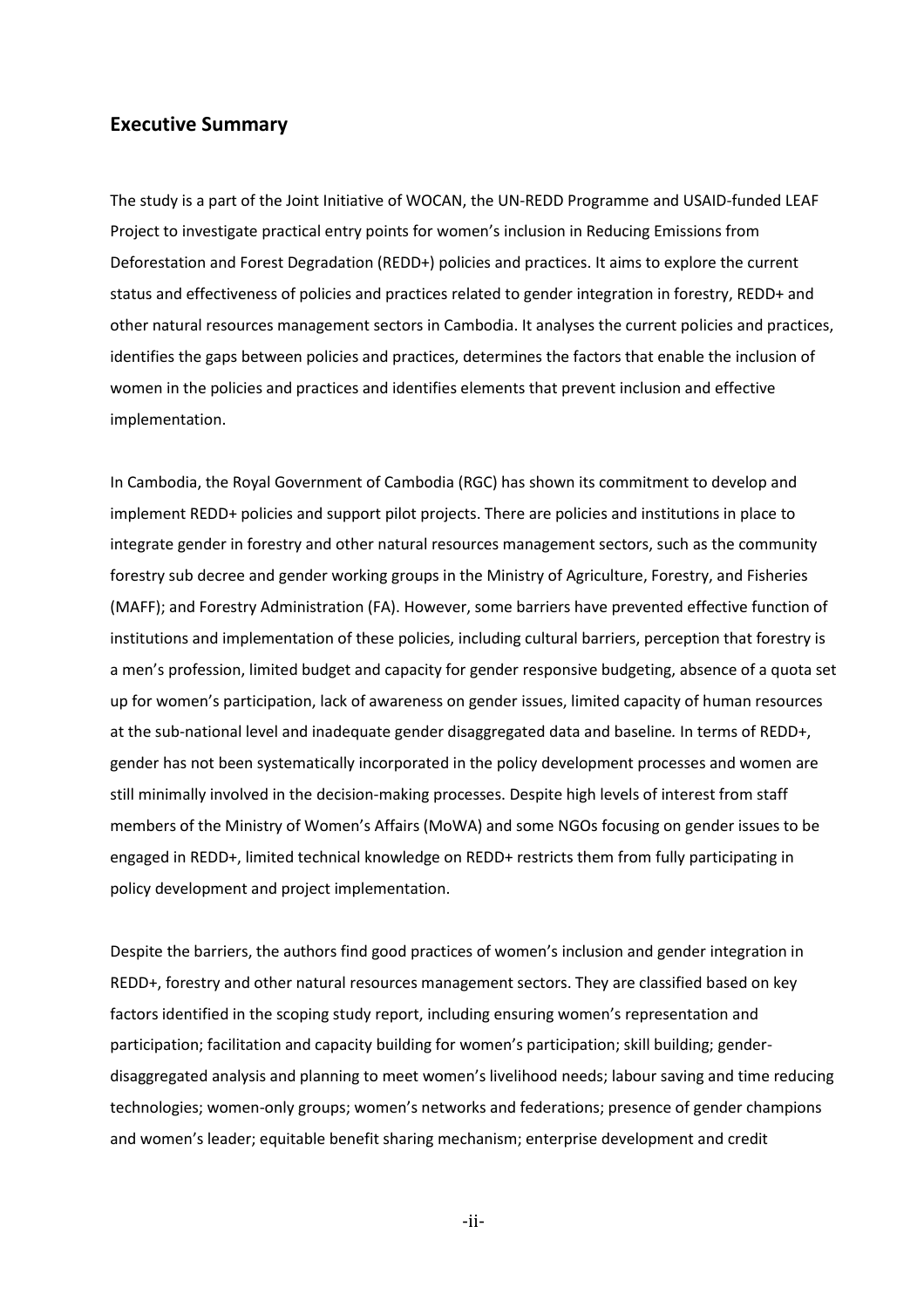## <span id="page-2-0"></span>**Executive Summary**

The study is a part of the Joint Initiative of WOCAN, the UN-REDD Programme and USAID-funded LEAF Project to investigate practical entry points for women's inclusion in Reducing Emissions from Deforestation and Forest Degradation (REDD+) policies and practices. It aims to explore the current status and effectiveness of policies and practices related to gender integration in forestry, REDD+ and other natural resources management sectors in Cambodia. It analyses the current policies and practices, identifies the gaps between policies and practices, determines the factors that enable the inclusion of women in the policies and practices and identifies elements that prevent inclusion and effective implementation.

In Cambodia, the Royal Government of Cambodia (RGC) has shown its commitment to develop and implement REDD+ policies and support pilot projects. There are policies and institutions in place to integrate gender in forestry and other natural resources management sectors, such as the community forestry sub decree and gender working groups in the Ministry of Agriculture, Forestry, and Fisheries (MAFF); and Forestry Administration (FA). However, some barriers have prevented effective function of institutions and implementation of these policies, including cultural barriers, perception that forestry is a men's profession, limited budget and capacity for gender responsive budgeting, absence of a quota set up for women's participation, lack of awareness on gender issues, limited capacity of human resources at the sub-national level and inadequate gender disaggregated data and baseline*.* In terms of REDD+, gender has not been systematically incorporated in the policy development processes and women are still minimally involved in the decision-making processes. Despite high levels of interest from staff members of the Ministry of Women's Affairs (MoWA) and some NGOs focusing on gender issues to be engaged in REDD+, limited technical knowledge on REDD+ restricts them from fully participating in policy development and project implementation.

Despite the barriers, the authors find good practices of women's inclusion and gender integration in REDD+, forestry and other natural resources management sectors. They are classified based on key factors identified in the scoping study report, including ensuring women's representation and participation; facilitation and capacity building for women's participation; skill building; genderdisaggregated analysis and planning to meet women's livelihood needs; labour saving and time reducing technologies; women-only groups; women's networks and federations; presence of gender champions and women's leader; equitable benefit sharing mechanism; enterprise development and credit

-ii-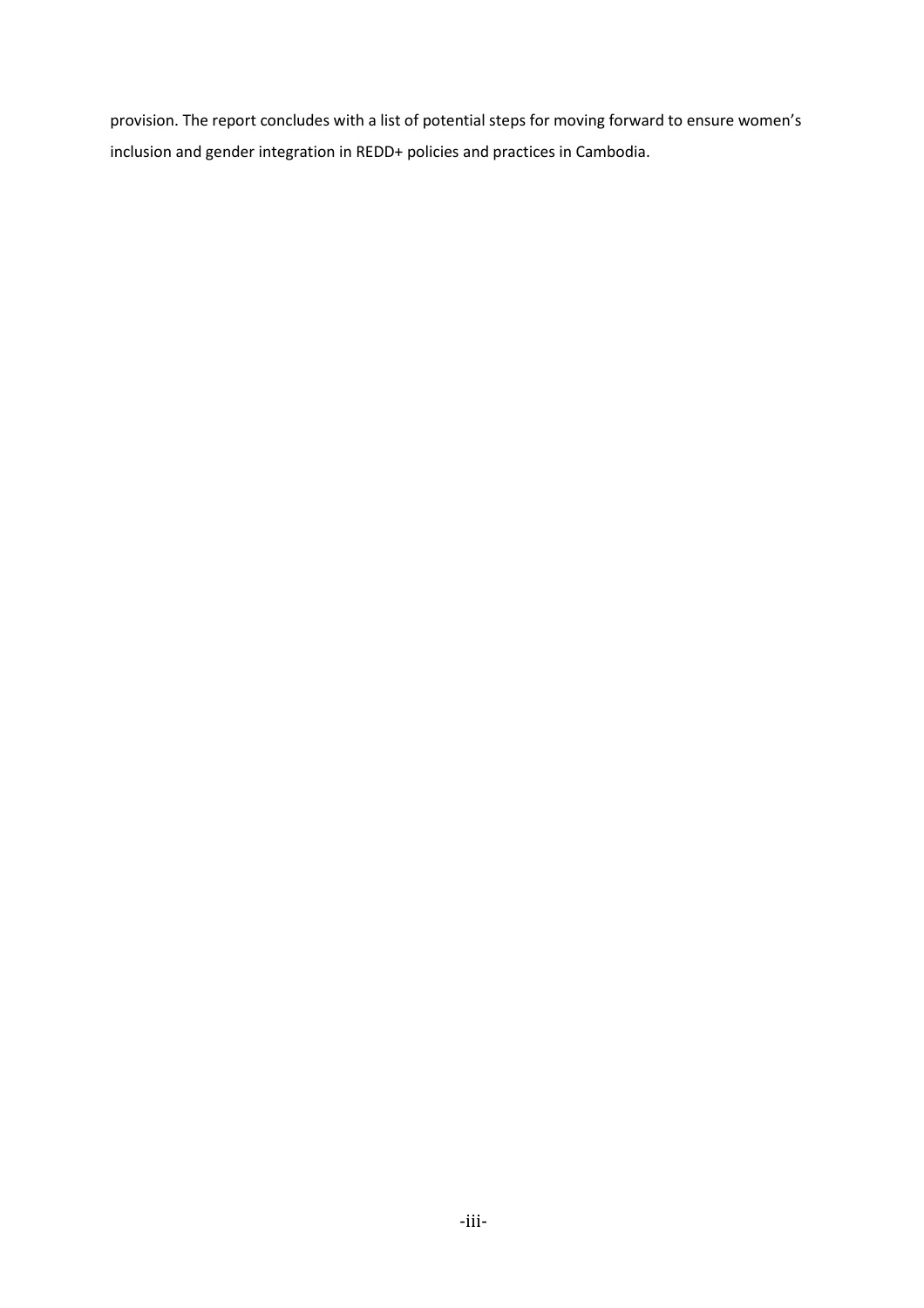provision. The report concludes with a list of potential steps for moving forward to ensure women's inclusion and gender integration in REDD+ policies and practices in Cambodia.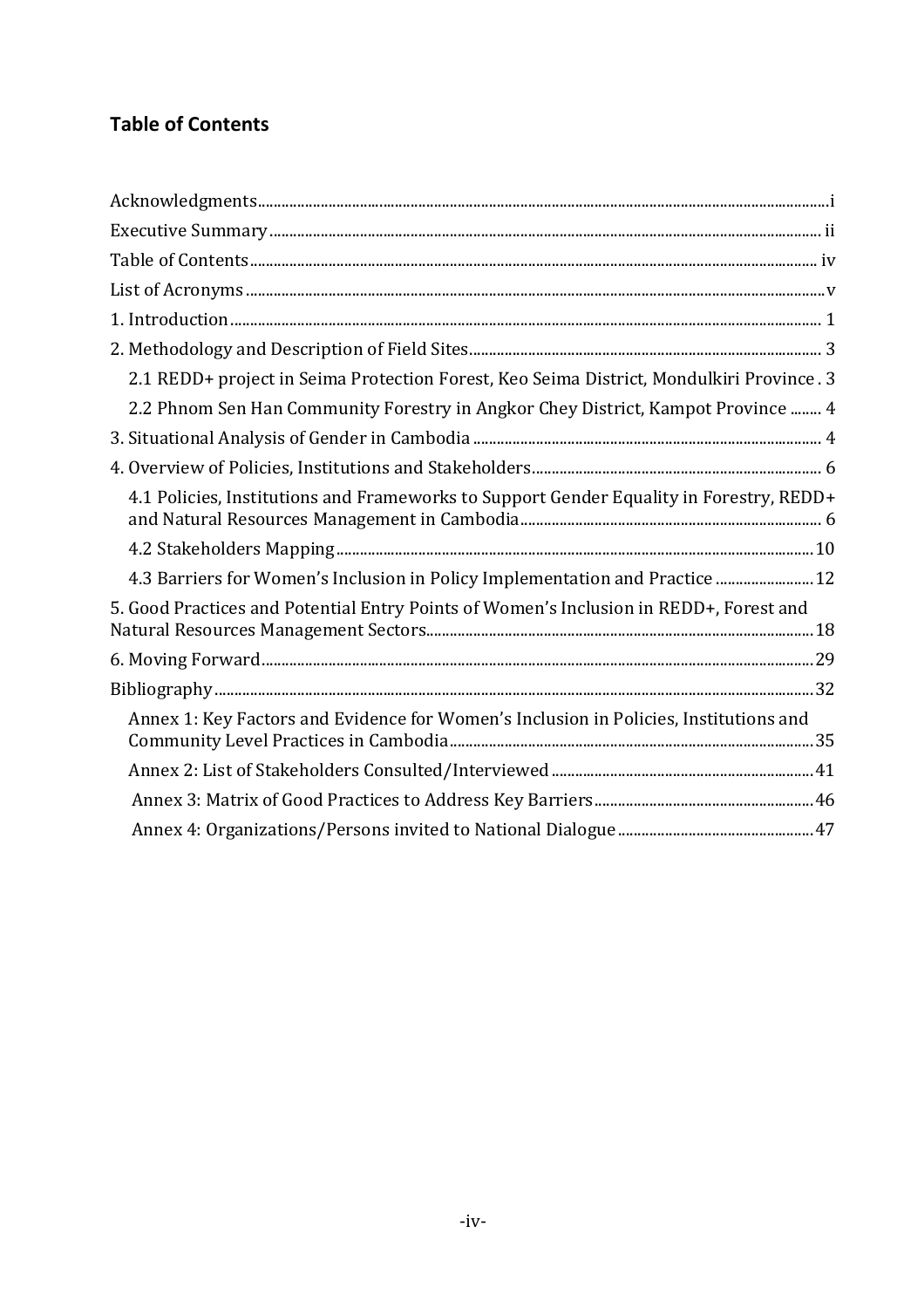# <span id="page-4-0"></span>**Table of Contents**

| 2.1 REDD+ project in Seima Protection Forest, Keo Seima District, Mondulkiri Province. 3 |
|------------------------------------------------------------------------------------------|
| 2.2 Phnom Sen Han Community Forestry in Angkor Chey District, Kampot Province  4         |
|                                                                                          |
|                                                                                          |
| 4.1 Policies, Institutions and Frameworks to Support Gender Equality in Forestry, REDD+  |
|                                                                                          |
| 4.3 Barriers for Women's Inclusion in Policy Implementation and Practice  12             |
| 5. Good Practices and Potential Entry Points of Women's Inclusion in REDD+, Forest and   |
|                                                                                          |
|                                                                                          |
| Annex 1: Key Factors and Evidence for Women's Inclusion in Policies, Institutions and    |
|                                                                                          |
|                                                                                          |
|                                                                                          |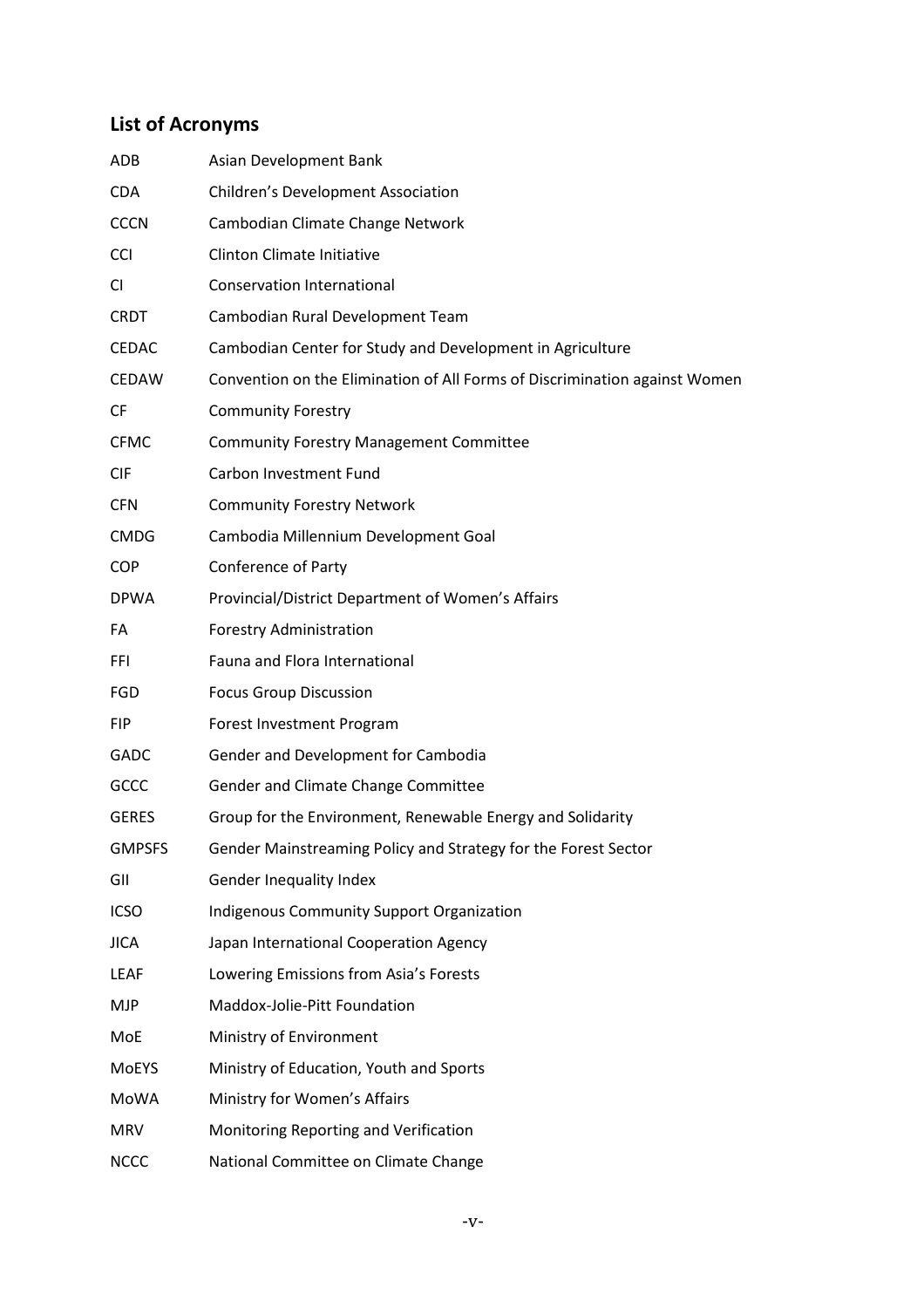# <span id="page-5-0"></span>**List of Acronyms**

| ADB           | Asian Development Bank                                                     |
|---------------|----------------------------------------------------------------------------|
| <b>CDA</b>    | Children's Development Association                                         |
| <b>CCCN</b>   | Cambodian Climate Change Network                                           |
| <b>CCI</b>    | <b>Clinton Climate Initiative</b>                                          |
| CI            | <b>Conservation International</b>                                          |
| <b>CRDT</b>   | Cambodian Rural Development Team                                           |
| <b>CEDAC</b>  | Cambodian Center for Study and Development in Agriculture                  |
| <b>CEDAW</b>  | Convention on the Elimination of All Forms of Discrimination against Women |
| <b>CF</b>     | <b>Community Forestry</b>                                                  |
| <b>CFMC</b>   | <b>Community Forestry Management Committee</b>                             |
| <b>CIF</b>    | Carbon Investment Fund                                                     |
| <b>CFN</b>    | <b>Community Forestry Network</b>                                          |
| <b>CMDG</b>   | Cambodia Millennium Development Goal                                       |
| <b>COP</b>    | <b>Conference of Party</b>                                                 |
| <b>DPWA</b>   | Provincial/District Department of Women's Affairs                          |
| FA            | <b>Forestry Administration</b>                                             |
| <b>FFI</b>    | Fauna and Flora International                                              |
| FGD           | <b>Focus Group Discussion</b>                                              |
| <b>FIP</b>    | Forest Investment Program                                                  |
| GADC          | Gender and Development for Cambodia                                        |
| GCCC          | Gender and Climate Change Committee                                        |
| <b>GERES</b>  | Group for the Environment, Renewable Energy and Solidarity                 |
| <b>GMPSFS</b> | Gender Mainstreaming Policy and Strategy for the Forest Sector             |
| GII           | Gender Inequality Index                                                    |
| <b>ICSO</b>   | <b>Indigenous Community Support Organization</b>                           |
| <b>JICA</b>   | Japan International Cooperation Agency                                     |
| LEAF          | Lowering Emissions from Asia's Forests                                     |
| <b>MJP</b>    | Maddox-Jolie-Pitt Foundation                                               |
| MoE           | Ministry of Environment                                                    |
| MoEYS         | Ministry of Education, Youth and Sports                                    |
| MoWA          | Ministry for Women's Affairs                                               |
| <b>MRV</b>    | Monitoring Reporting and Verification                                      |
| <b>NCCC</b>   | National Committee on Climate Change                                       |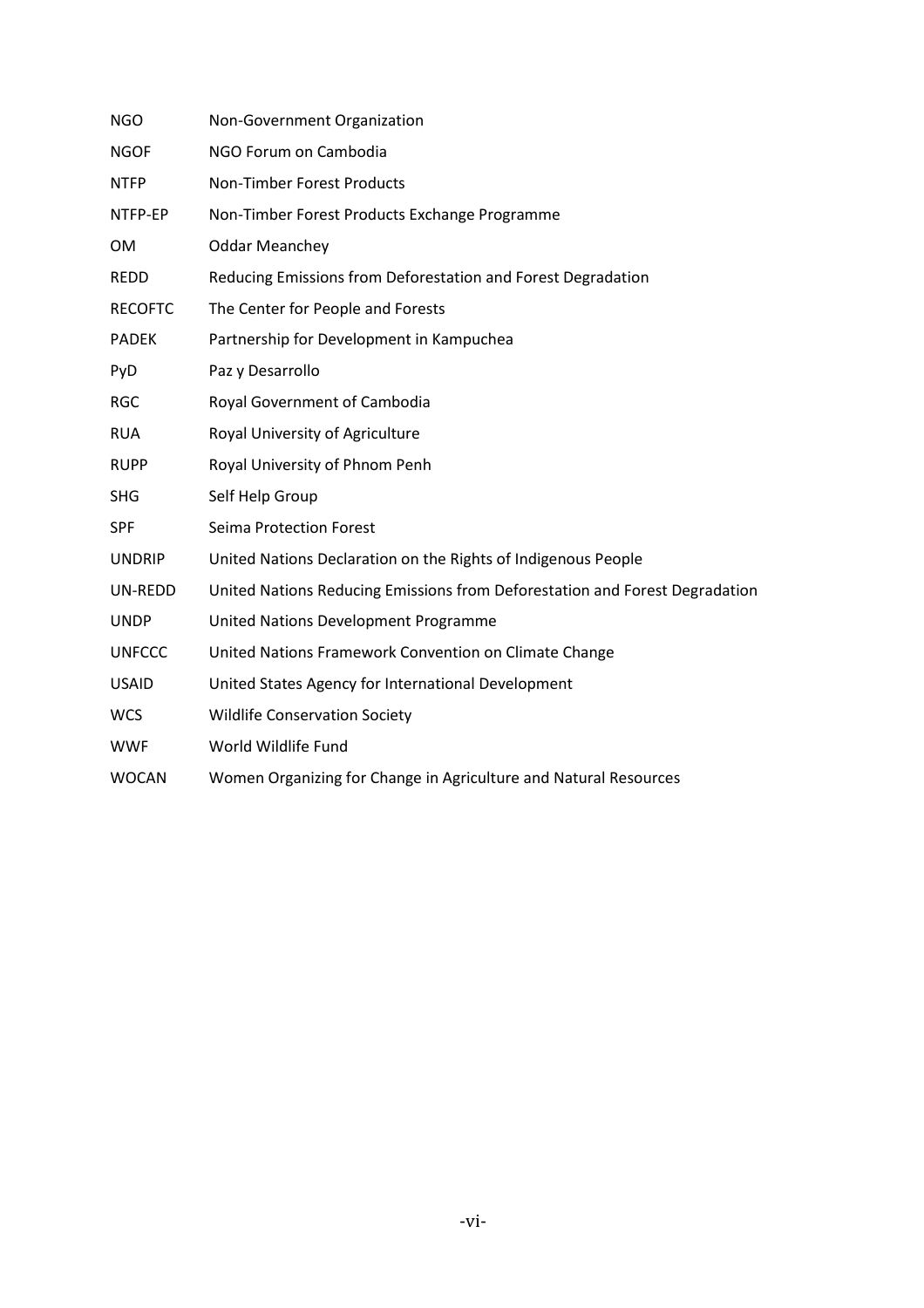| <b>NGO</b>     | Non-Government Organization                                                 |
|----------------|-----------------------------------------------------------------------------|
| <b>NGOF</b>    | NGO Forum on Cambodia                                                       |
| <b>NTFP</b>    | <b>Non-Timber Forest Products</b>                                           |
| NTFP-EP        | Non-Timber Forest Products Exchange Programme                               |
| <b>OM</b>      | <b>Oddar Meanchey</b>                                                       |
| <b>REDD</b>    | Reducing Emissions from Deforestation and Forest Degradation                |
| <b>RECOFTC</b> | The Center for People and Forests                                           |
| <b>PADEK</b>   | Partnership for Development in Kampuchea                                    |
| PyD            | Paz y Desarrollo                                                            |
| <b>RGC</b>     | Royal Government of Cambodia                                                |
| <b>RUA</b>     | Royal University of Agriculture                                             |
| <b>RUPP</b>    | Royal University of Phnom Penh                                              |
| <b>SHG</b>     | Self Help Group                                                             |
| <b>SPF</b>     | Seima Protection Forest                                                     |
| <b>UNDRIP</b>  | United Nations Declaration on the Rights of Indigenous People               |
| UN-REDD        | United Nations Reducing Emissions from Deforestation and Forest Degradation |
| <b>UNDP</b>    | United Nations Development Programme                                        |
| <b>UNFCCC</b>  | United Nations Framework Convention on Climate Change                       |
| <b>USAID</b>   | United States Agency for International Development                          |
| <b>WCS</b>     | <b>Wildlife Conservation Society</b>                                        |
| <b>WWF</b>     | World Wildlife Fund                                                         |
| <b>WOCAN</b>   | Women Organizing for Change in Agriculture and Natural Resources            |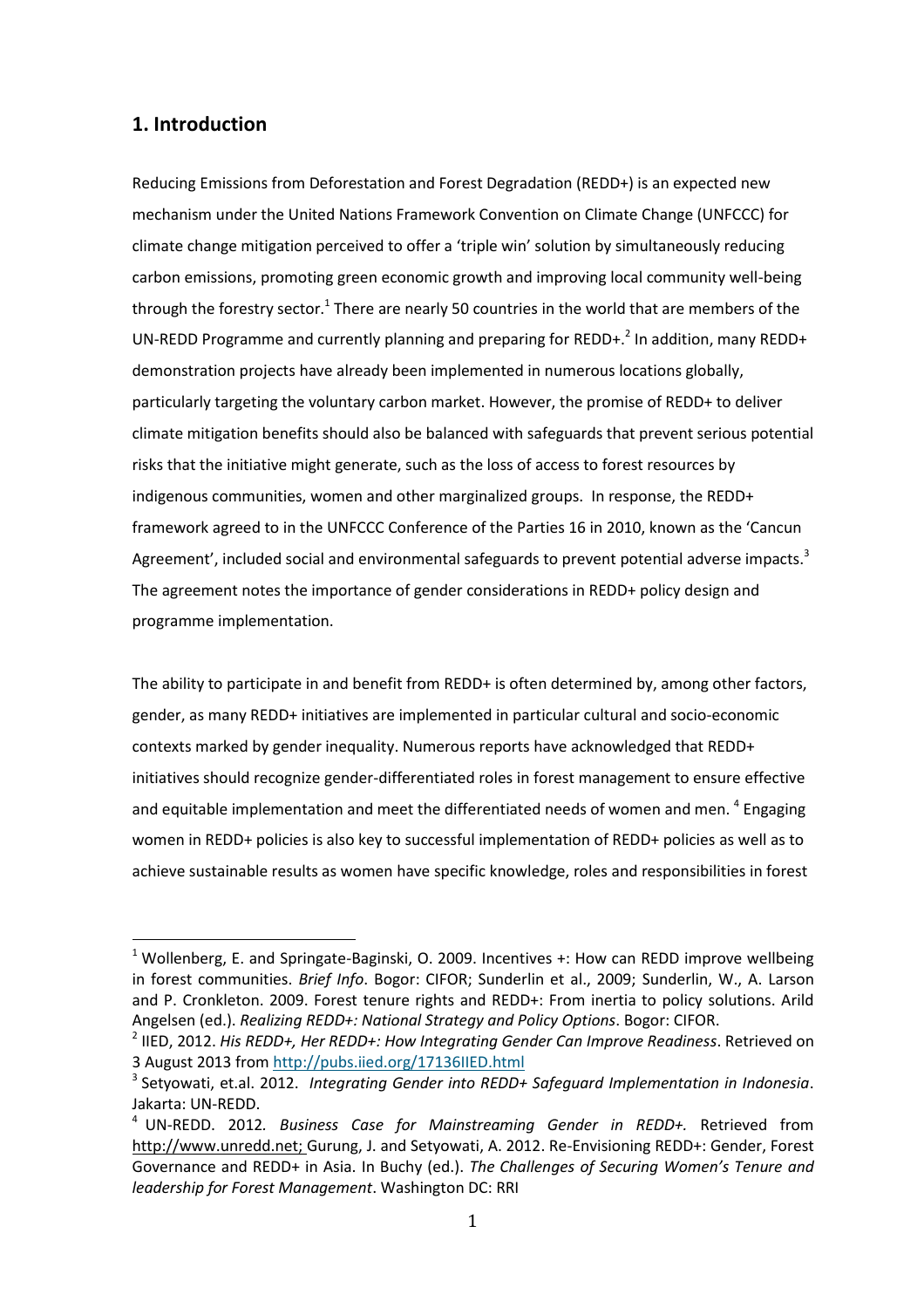## <span id="page-7-0"></span>**1. Introduction**

1

Reducing Emissions from Deforestation and Forest Degradation (REDD+) is an expected new mechanism under the United Nations Framework Convention on Climate Change (UNFCCC) for climate change mitigation perceived to offer a 'triple win' solution by simultaneously reducing carbon emissions, promoting green economic growth and improving local community well-being through the forestry sector.<sup>1</sup> There are nearly 50 countries in the world that are members of the UN-REDD Programme and currently planning and preparing for REDD+.<sup>2</sup> In addition, many REDD+ demonstration projects have already been implemented in numerous locations globally, particularly targeting the voluntary carbon market. However, the promise of REDD+ to deliver climate mitigation benefits should also be balanced with safeguards that prevent serious potential risks that the initiative might generate, such as the loss of access to forest resources by indigenous communities, women and other marginalized groups. In response, the REDD+ framework agreed to in the UNFCCC Conference of the Parties 16 in 2010, known as the 'Cancun Agreement', included social and environmental safeguards to prevent potential adverse impacts.<sup>3</sup> The agreement notes the importance of gender considerations in REDD+ policy design and programme implementation.

The ability to participate in and benefit from REDD+ is often determined by, among other factors, gender, as many REDD+ initiatives are implemented in particular cultural and socio-economic contexts marked by gender inequality. Numerous reports have acknowledged that REDD+ initiatives should recognize gender-differentiated roles in forest management to ensure effective and equitable implementation and meet the differentiated needs of women and men. <sup>4</sup> Engaging women in REDD+ policies is also key to successful implementation of REDD+ policies as well as to achieve sustainable results as women have specific knowledge, roles and responsibilities in forest

 $1$  Wollenberg, E. and Springate-Baginski, O. 2009. Incentives +: How can REDD improve wellbeing in forest communities. *Brief Info*. Bogor: CIFOR; Sunderlin et al., 2009; Sunderlin, W., A. Larson and P. Cronkleton. 2009. Forest tenure rights and REDD+: From inertia to policy solutions. Arild Angelsen (ed.). *Realizing REDD+: National Strategy and Policy Options*. Bogor: CIFOR.

<sup>2</sup> IIED, 2012. *His REDD+, Her REDD+: How Integrating Gender Can Improve Readiness*. Retrieved on 3 August 2013 fro[m http://pubs.iied.org/17136IIED.html](http://pubs.iied.org/17136IIED.html)

<sup>3</sup> Setyowati, et.al. 2012. *Integrating Gender into REDD+ Safeguard Implementation in Indonesia*. Jakarta: UN-REDD.

<sup>4</sup> UN-REDD. 2012*. Business Case for Mainstreaming Gender in REDD+.* Retrieved from [http://www.unredd.net;](http://www.unredd.net/) Gurung, J. and Setyowati, A. 2012. Re-Envisioning REDD+: Gender, Forest Governance and REDD+ in Asia. In Buchy (ed.). *The Challenges of Securing Women's Tenure and leadership for Forest Management*. Washington DC: RRI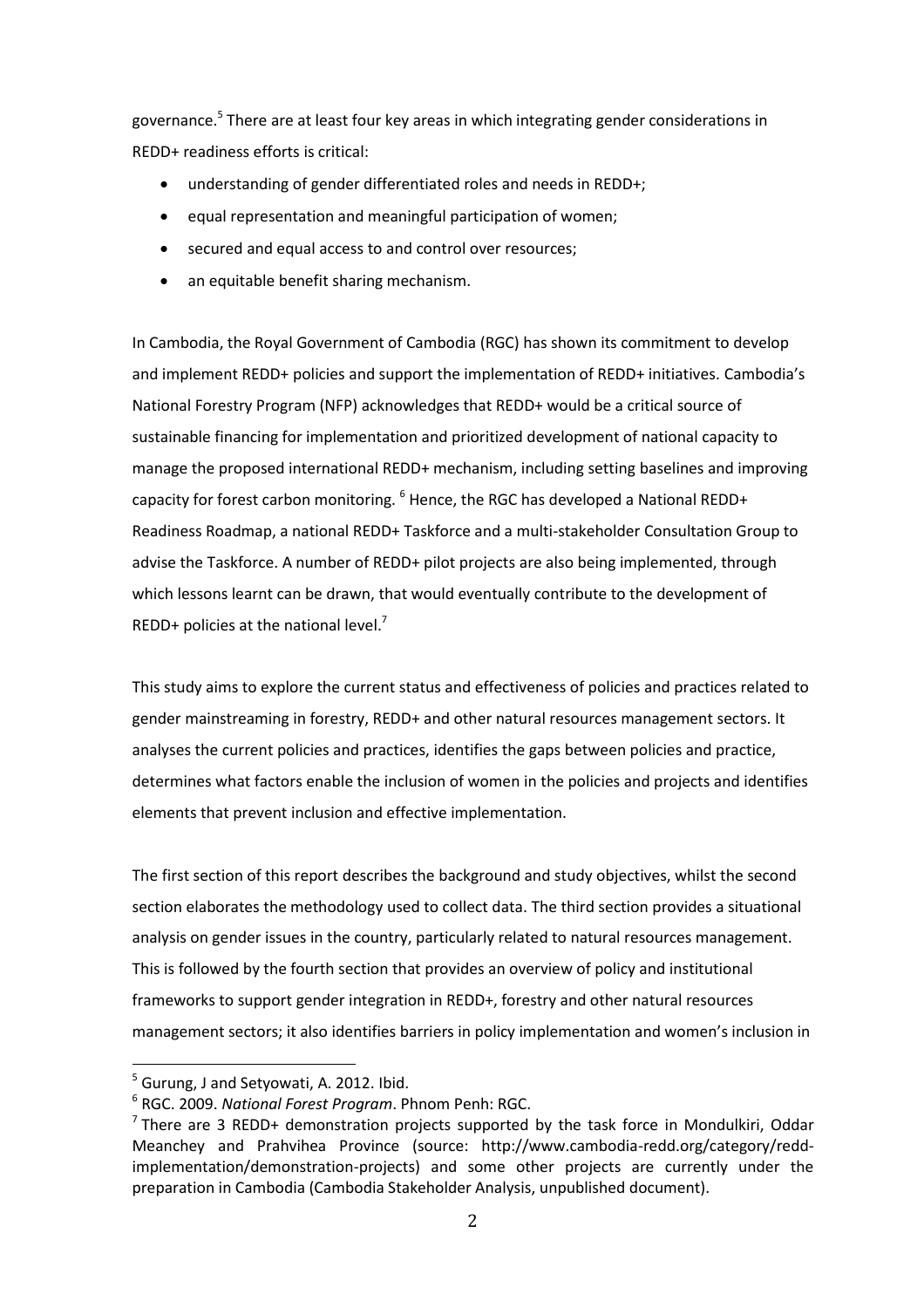governance.<sup>5</sup> There are at least four key areas in which integrating gender considerations in REDD+ readiness efforts is critical:

- understanding of gender differentiated roles and needs in REDD+;
- $\bullet$  equal representation and meaningful participation of women;
- secured and equal access to and control over resources;
- an equitable benefit sharing mechanism.

In Cambodia, the Royal Government of Cambodia (RGC) has shown its commitment to develop and implement REDD+ policies and support the implementation of REDD+ initiatives. Cambodia's National Forestry Program (NFP) acknowledges that REDD+ would be a critical source of sustainable financing for implementation and prioritized development of national capacity to manage the proposed international REDD+ mechanism, including setting baselines and improving capacity for forest carbon monitoring.  $6$  Hence, the RGC has developed a National REDD+ Readiness Roadmap, a national REDD+ Taskforce and a multi-stakeholder Consultation Group to advise the Taskforce. A number of REDD+ pilot projects are also being implemented, through which lessons learnt can be drawn, that would eventually contribute to the development of REDD+ policies at the national level.<sup>7</sup>

This study aims to explore the current status and effectiveness of policies and practices related to gender mainstreaming in forestry, REDD+ and other natural resources management sectors. It analyses the current policies and practices, identifies the gaps between policies and practice, determines what factors enable the inclusion of women in the policies and projects and identifies elements that prevent inclusion and effective implementation.

The first section of this report describes the background and study objectives, whilst the second section elaborates the methodology used to collect data. The third section provides a situational analysis on gender issues in the country, particularly related to natural resources management. This is followed by the fourth section that provides an overview of policy and institutional frameworks to support gender integration in REDD+, forestry and other natural resources management sectors; it also identifies barriers in policy implementation and women's inclusion in

 $<sup>5</sup>$  Gurung, J and Setyowati, A. 2012. Ibid.</sup>

<sup>6</sup> RGC. 2009. *National Forest Program*. Phnom Penh: RGC.

 $7$ There are 3 REDD+ demonstration projects supported by the task force in Mondulkiri, Oddar Meanchey and Prahvihea Province (source: http://www.cambodia-redd.org/category/reddimplementation/demonstration-projects) and some other projects are currently under the preparation in Cambodia (Cambodia Stakeholder Analysis, unpublished document).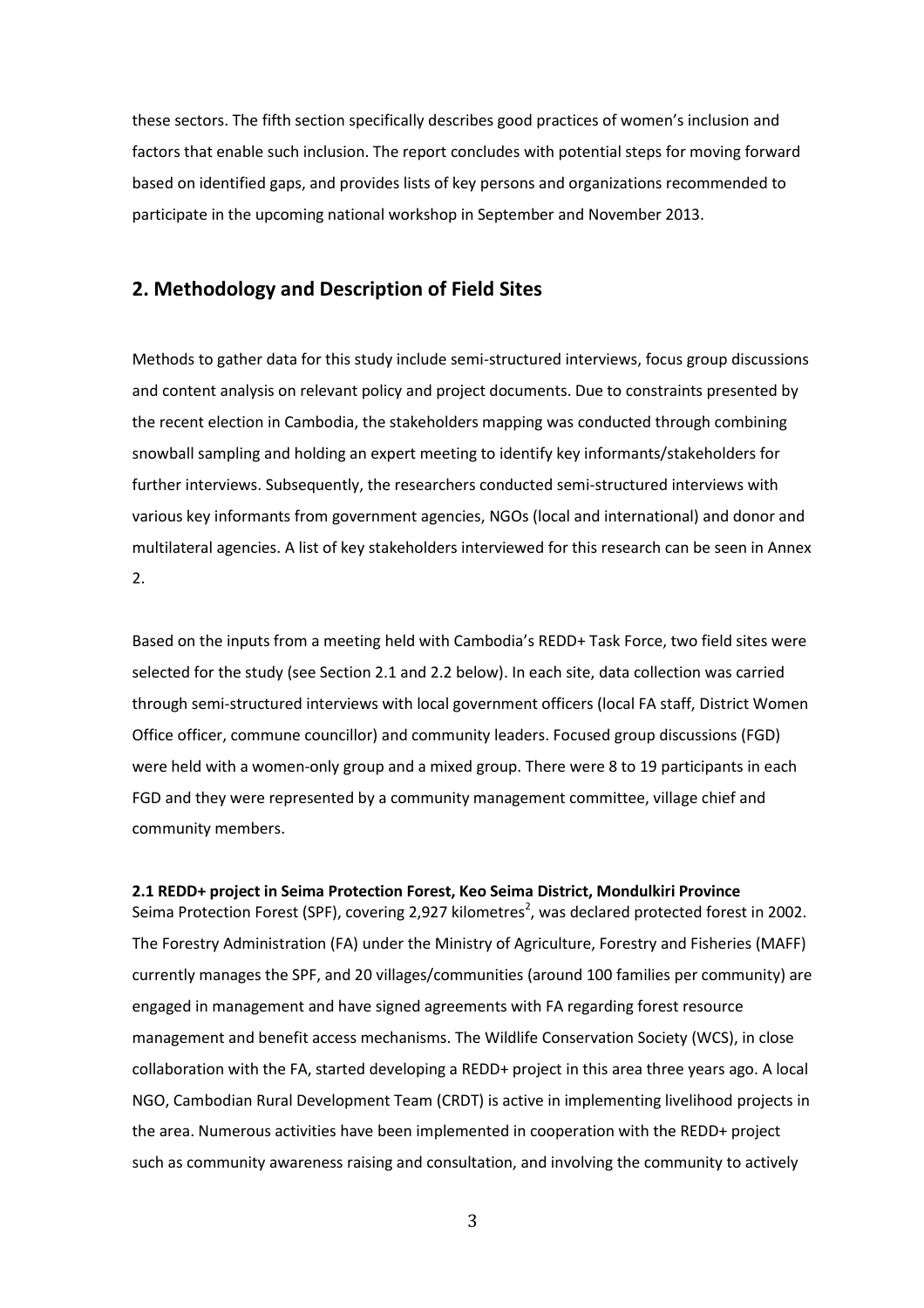these sectors. The fifth section specifically describes good practices of women's inclusion and factors that enable such inclusion. The report concludes with potential steps for moving forward based on identified gaps, and provides lists of key persons and organizations recommended to participate in the upcoming national workshop in September and November 2013.

#### <span id="page-9-0"></span>**2. Methodology and Description of Field Sites**

Methods to gather data for this study include semi-structured interviews, focus group discussions and content analysis on relevant policy and project documents. Due to constraints presented by the recent election in Cambodia, the stakeholders mapping was conducted through combining snowball sampling and holding an expert meeting to identify key informants/stakeholders for further interviews. Subsequently, the researchers conducted semi-structured interviews with various key informants from government agencies, NGOs (local and international) and donor and multilateral agencies. A list of key stakeholders interviewed for this research can be seen in Annex 2.

Based on the inputs from a meeting held with Cambodia's REDD+ Task Force, two field sites were selected for the study (see Section 2.1 and 2.2 below). In each site, data collection was carried through semi-structured interviews with local government officers (local FA staff, District Women Office officer, commune councillor) and community leaders. Focused group discussions (FGD) were held with a women-only group and a mixed group. There were 8 to 19 participants in each FGD and they were represented by a community management committee, village chief and community members.

#### <span id="page-9-1"></span>**2.1 REDD+ project in Seima Protection Forest, Keo Seima District, Mondulkiri Province**

Seima Protection Forest (SPF), covering 2,927 kilometres<sup>2</sup>, was declared protected forest in 2002. The Forestry Administration (FA) under the Ministry of Agriculture, Forestry and Fisheries (MAFF) currently manages the SPF, and 20 villages/communities (around 100 families per community) are engaged in management and have signed agreements with FA regarding forest resource management and benefit access mechanisms. The Wildlife Conservation Society (WCS), in close collaboration with the FA, started developing a REDD+ project in this area three years ago. A local NGO, Cambodian Rural Development Team (CRDT) is active in implementing livelihood projects in the area. Numerous activities have been implemented in cooperation with the REDD+ project such as community awareness raising and consultation, and involving the community to actively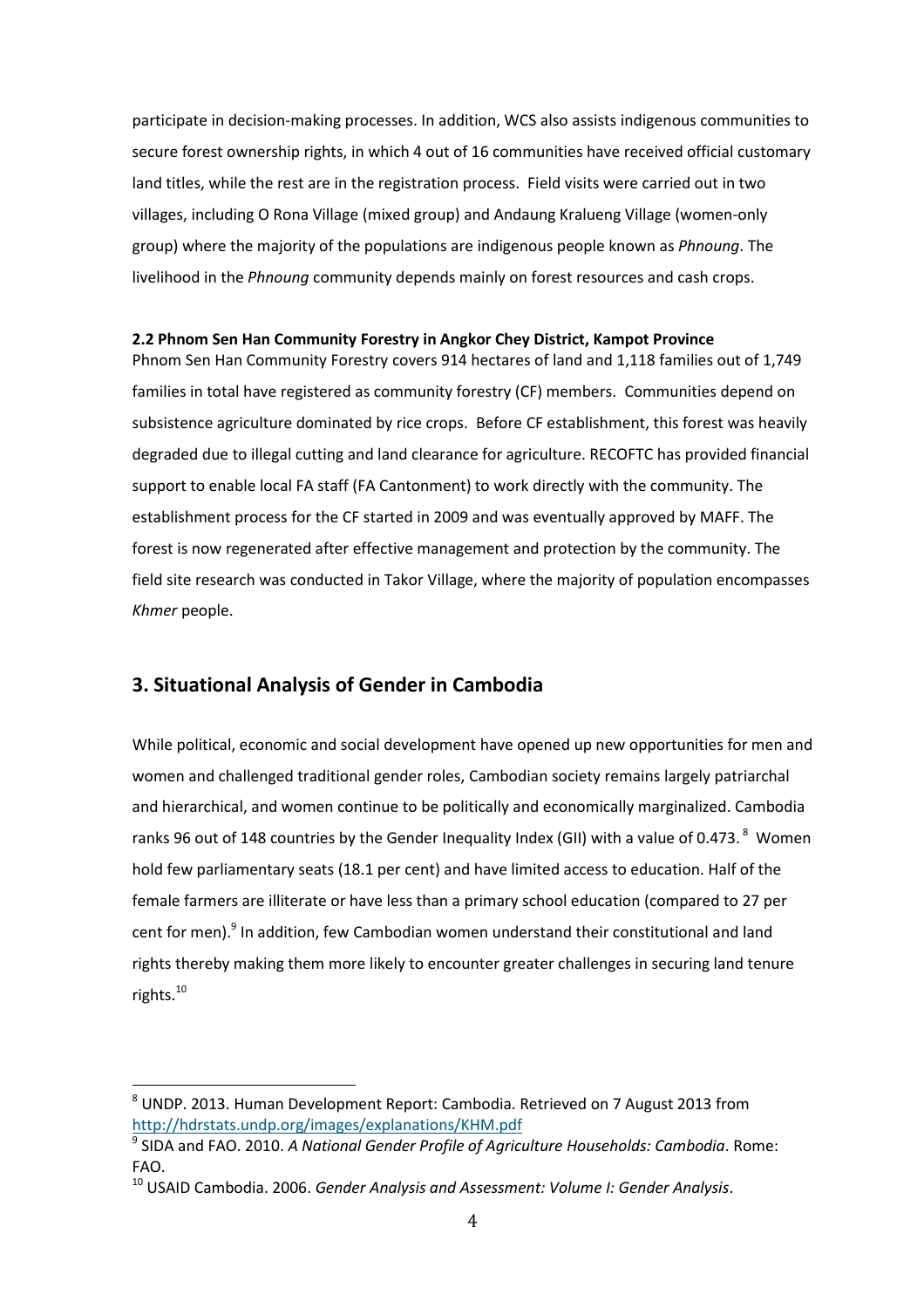participate in decision-making processes. In addition, WCS also assists indigenous communities to secure forest ownership rights, in which 4 out of 16 communities have received official customary land titles, while the rest are in the registration process. Field visits were carried out in two villages, including O Rona Village (mixed group) and Andaung Kralueng Village (women-only group) where the majority of the populations are indigenous people known as *Phnoung*. The livelihood in the *Phnoung* community depends mainly on forest resources and cash crops.

#### <span id="page-10-0"></span>**2.2 Phnom Sen Han Community Forestry in Angkor Chey District, Kampot Province**

Phnom Sen Han Community Forestry covers 914 hectares of land and 1,118 families out of 1,749 families in total have registered as community forestry (CF) members. Communities depend on subsistence agriculture dominated by rice crops. Before CF establishment, this forest was heavily degraded due to illegal cutting and land clearance for agriculture. RECOFTC has provided financial support to enable local FA staff (FA Cantonment) to work directly with the community. The establishment process for the CF started in 2009 and was eventually approved by MAFF. The forest is now regenerated after effective management and protection by the community. The field site research was conducted in Takor Village, where the majority of population encompasses *Khmer* people.

# <span id="page-10-1"></span>**3. Situational Analysis of Gender in Cambodia**

1

While political, economic and social development have opened up new opportunities for men and women and challenged traditional gender roles, Cambodian society remains largely patriarchal and hierarchical, and women continue to be politically and economically marginalized. Cambodia ranks 96 out of 148 countries by the Gender Inequality Index (GII) with a value of 0.473.  $^8$  Women hold few parliamentary seats (18.1 per cent) and have limited access to education. Half of the female farmers are illiterate or have less than a primary school education (compared to 27 per cent for men).<sup>9</sup> In addition, few Cambodian women understand their constitutional and land rights thereby making them more likely to encounter greater challenges in securing land tenure rights.<sup>10</sup>

<sup>&</sup>lt;sup>8</sup> UNDP. 2013. Human Development Report: Cambodia. Retrieved on 7 August 2013 from <http://hdrstats.undp.org/images/explanations/KHM.pdf>

<sup>9</sup> SIDA and FAO. 2010. *A National Gender Profile of Agriculture Households: Cambodia*. Rome: FAO.

<sup>10</sup> USAID Cambodia. 2006. *Gender Analysis and Assessment: Volume I: Gender Analysis*.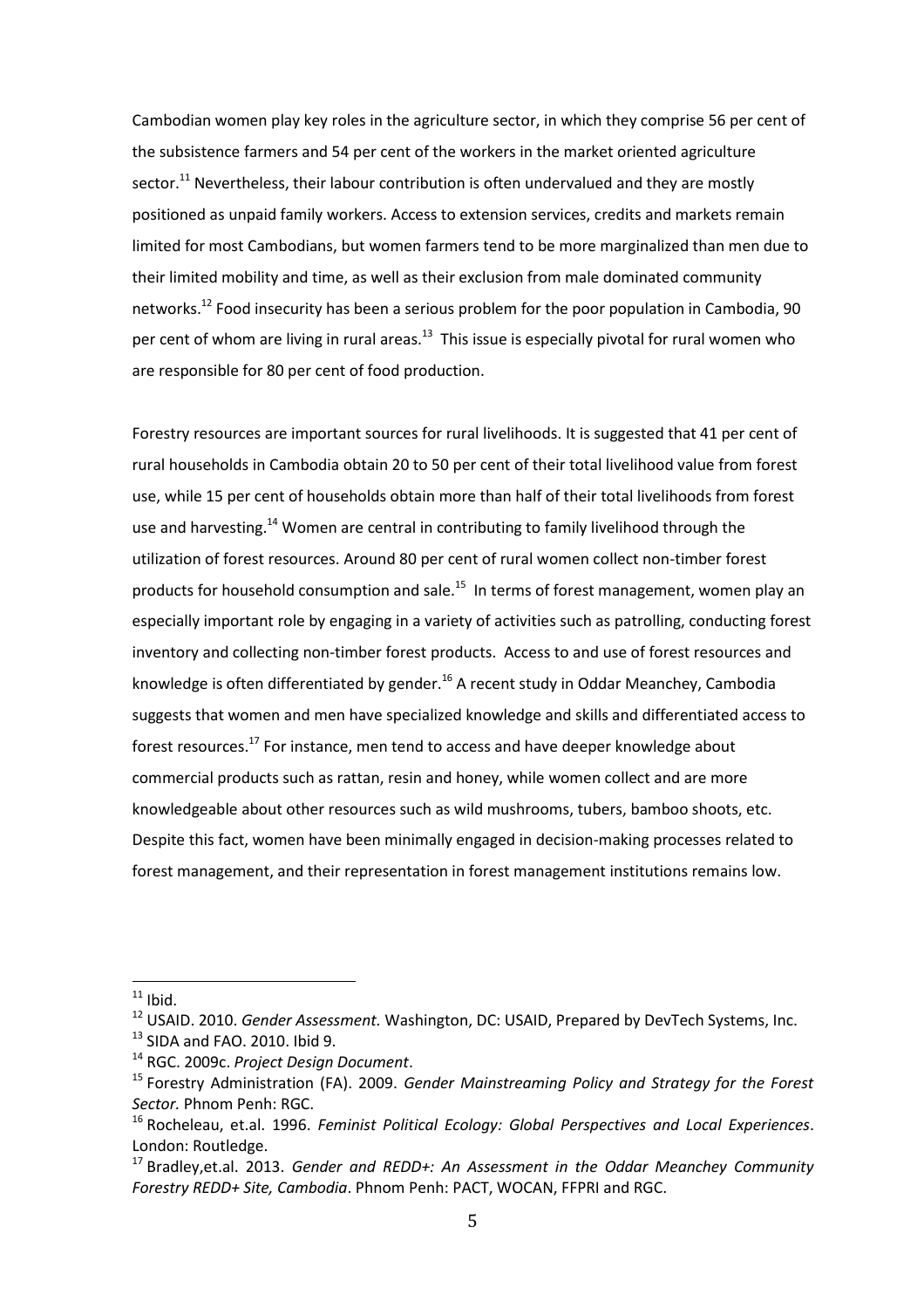Cambodian women play key roles in the agriculture sector, in which they comprise 56 per cent of the subsistence farmers and 54 per cent of the workers in the market oriented agriculture sector.<sup>11</sup> Nevertheless, their labour contribution is often undervalued and they are mostly positioned as unpaid family workers. Access to extension services, credits and markets remain limited for most Cambodians, but women farmers tend to be more marginalized than men due to their limited mobility and time, as well as their exclusion from male dominated community networks.<sup>12</sup> Food insecurity has been a serious problem for the poor population in Cambodia, 90 per cent of whom are living in rural areas.<sup>13</sup> This issue is especially pivotal for rural women who are responsible for 80 per cent of food production.

Forestry resources are important sources for rural livelihoods. It is suggested that 41 per cent of rural households in Cambodia obtain 20 to 50 per cent of their total livelihood value from forest use, while 15 per cent of households obtain more than half of their total livelihoods from forest use and harvesting.<sup>14</sup> Women are central in contributing to family livelihood through the utilization of forest resources. Around 80 per cent of rural women collect non-timber forest products for household consumption and sale.<sup>15</sup> In terms of forest management, women play an especially important role by engaging in a variety of activities such as patrolling, conducting forest inventory and collecting non-timber forest products. Access to and use of forest resources and knowledge is often differentiated by gender.<sup>16</sup> A recent study in Oddar Meanchey, Cambodia suggests that women and men have specialized knowledge and skills and differentiated access to forest resources.<sup>17</sup> For instance, men tend to access and have deeper knowledge about commercial products such as rattan, resin and honey, while women collect and are more knowledgeable about other resources such as wild mushrooms, tubers, bamboo shoots, etc. Despite this fact, women have been minimally engaged in decision-making processes related to forest management, and their representation in forest management institutions remains low.

 $11$  Ibid.

<sup>12</sup> USAID. 2010. *Gender Assessment.* Washington, DC: USAID, Prepared by DevTech Systems, Inc.  $13$  SIDA and FAO. 2010. Ibid 9.

<sup>14</sup> RGC. 2009c. *Project Design Document*.

<sup>15</sup> Forestry Administration (FA). 2009. *Gender Mainstreaming Policy and Strategy for the Forest Sector.* Phnom Penh: RGC.

<sup>16</sup> Rocheleau, et.al. 1996. *Feminist Political Ecology: Global Perspectives and Local Experiences*. London: Routledge.

<sup>17</sup> Bradley,et.al. 2013. *Gender and REDD+: An Assessment in the Oddar Meanchey Community Forestry REDD+ Site, Cambodia*. Phnom Penh: PACT, WOCAN, FFPRI and RGC.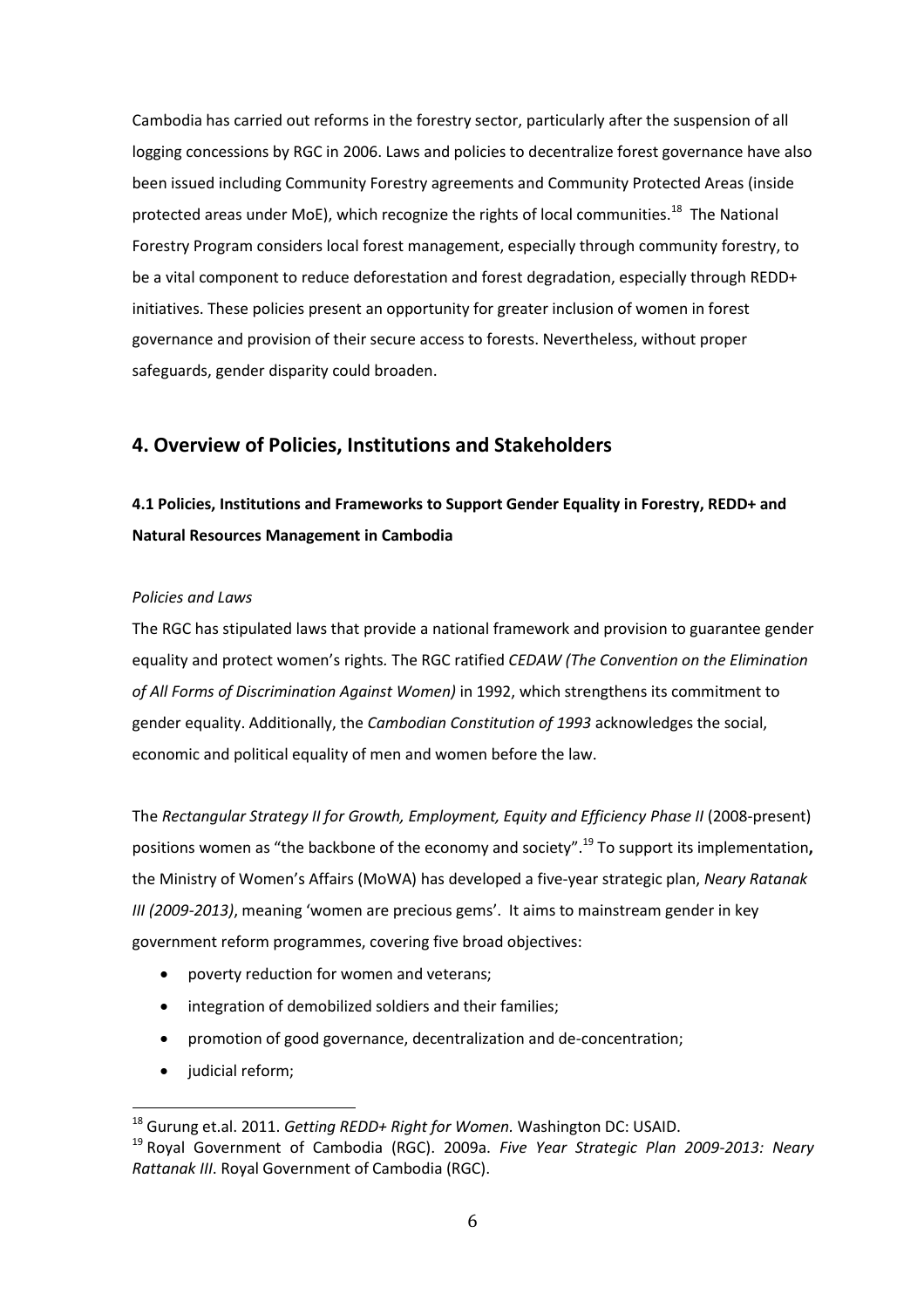Cambodia has carried out reforms in the forestry sector, particularly after the suspension of all logging concessions by RGC in 2006. Laws and policies to decentralize forest governance have also been issued including Community Forestry agreements and Community Protected Areas (inside protected areas under MoE), which recognize the rights of local communities.<sup>18</sup> The National Forestry Program considers local forest management, especially through community forestry, to be a vital component to reduce deforestation and forest degradation, especially through REDD+ initiatives. These policies present an opportunity for greater inclusion of women in forest governance and provision of their secure access to forests. Nevertheless, without proper safeguards, gender disparity could broaden.

#### <span id="page-12-0"></span>**4. Overview of Policies, Institutions and Stakeholders**

# <span id="page-12-1"></span>**4.1 Policies, Institutions and Frameworks to Support Gender Equality in Forestry, REDD+ and Natural Resources Management in Cambodia**

#### *Policies and Laws*

The RGC has stipulated laws that provide a national framework and provision to guarantee gender equality and protect women's rights*.* The RGC ratified *CEDAW (The Convention on the Elimination of All Forms of Discrimination Against Women)* in 1992, which strengthens its commitment to gender equality. Additionally, the *Cambodian Constitution of 1993* acknowledges the social, economic and political equality of men and women before the law.

The *Rectangular Strategy II for Growth, Employment, Equity and Efficiency Phase II (2008-present)* positions women as "the backbone of the economy and society".<sup>19</sup> To support its implementation**,** the Ministry of Women's Affairs (MoWA) has developed a five-year strategic plan, *Neary Ratanak III (2009-2013)*, meaning 'women are precious gems'. It aims to mainstream gender in key government reform programmes, covering five broad objectives:

- poverty reduction for women and veterans;
- integration of demobilized soldiers and their families;
- promotion of good governance, decentralization and de-concentration;
- judicial reform;

<sup>18</sup> Gurung et.al. 2011. *Getting REDD+ Right for Women.* Washington DC: USAID.

<sup>19</sup> Royal Government of Cambodia (RGC). 2009a. *Five Year Strategic Plan 2009-2013: Neary Rattanak III*. Royal Government of Cambodia (RGC).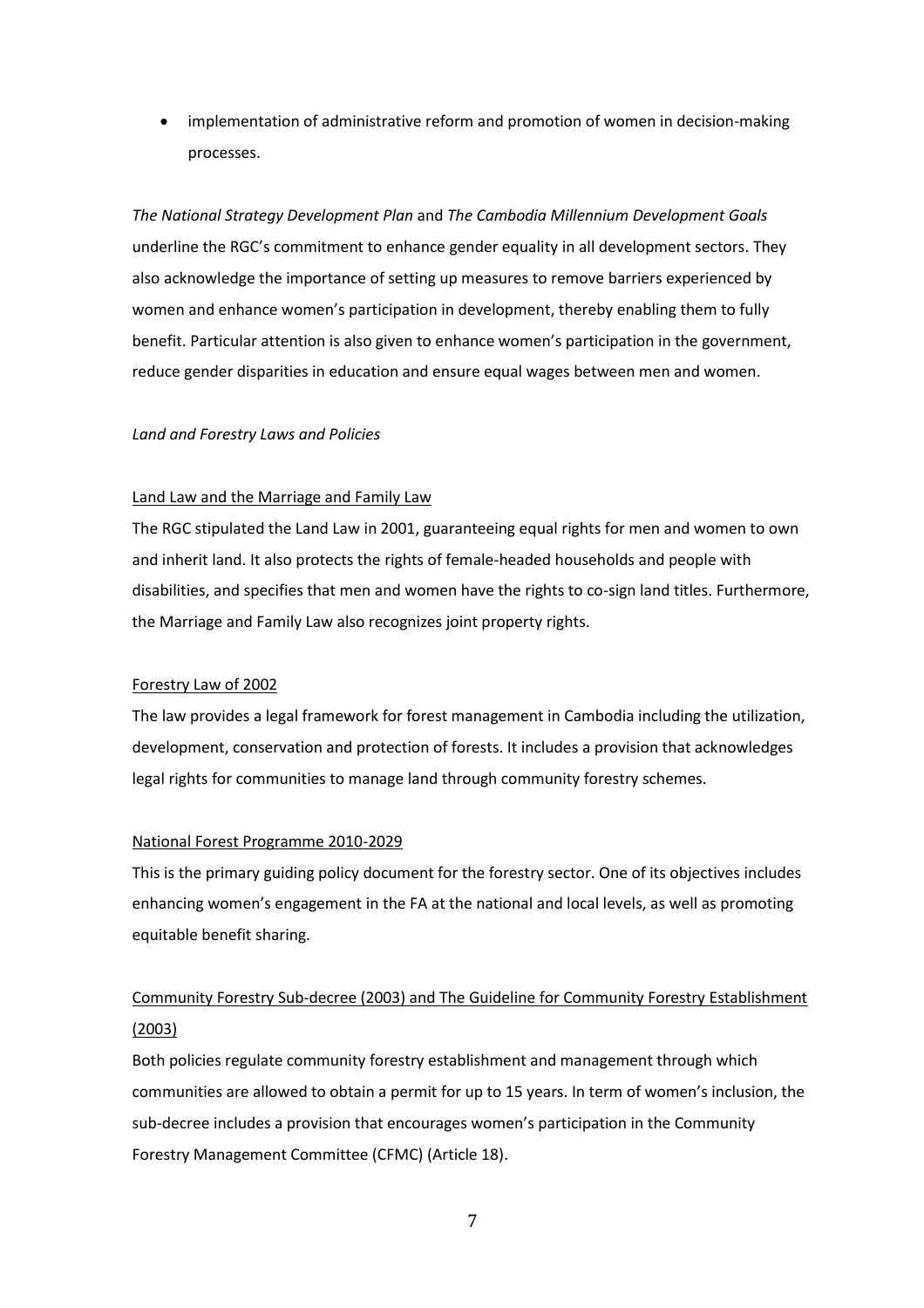implementation of administrative reform and promotion of women in decision-making processes.

*The National Strategy Development Plan* and *The Cambodia Millennium Development Goals* underline the RGC's commitment to enhance gender equality in all development sectors. They also acknowledge the importance of setting up measures to remove barriers experienced by women and enhance women's participation in development, thereby enabling them to fully benefit. Particular attention is also given to enhance women's participation in the government, reduce gender disparities in education and ensure equal wages between men and women.

#### *Land and Forestry Laws and Policies*

#### Land Law and the Marriage and Family Law

The RGC stipulated the Land Law in 2001, guaranteeing equal rights for men and women to own and inherit land. It also protects the rights of female-headed households and people with disabilities, and specifies that men and women have the rights to co-sign land titles. Furthermore, the Marriage and Family Law also recognizes joint property rights.

#### Forestry Law of 2002

The law provides a legal framework for forest management in Cambodia including the utilization, development, conservation and protection of forests. It includes a provision that acknowledges legal rights for communities to manage land through community forestry schemes.

#### National Forest Programme 2010-2029

This is the primary guiding policy document for the forestry sector. One of its objectives includes enhancing women's engagement in the FA at the national and local levels, as well as promoting equitable benefit sharing.

# Community Forestry Sub-decree (2003) and The Guideline for Community Forestry Establishment (2003)

Both policies regulate community forestry establishment and management through which communities are allowed to obtain a permit for up to 15 years. In term of women's inclusion, the sub-decree includes a provision that encourages women's participation in the Community Forestry Management Committee (CFMC) (Article 18).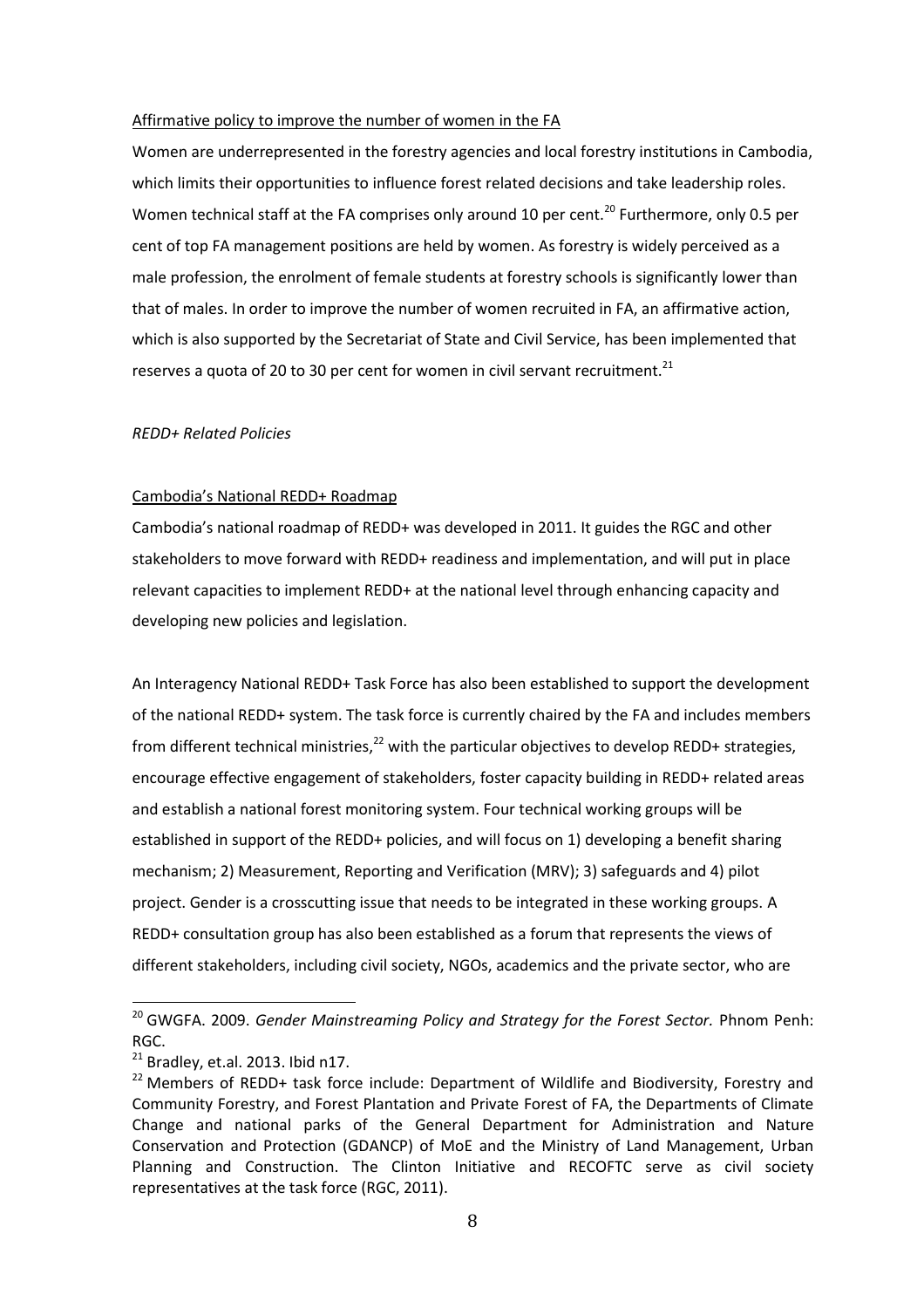#### Affirmative policy to improve the number of women in the FA

Women are underrepresented in the forestry agencies and local forestry institutions in Cambodia, which limits their opportunities to influence forest related decisions and take leadership roles. Women technical staff at the FA comprises only around 10 per cent.<sup>20</sup> Furthermore, only 0.5 per cent of top FA management positions are held by women. As forestry is widely perceived as a male profession, the enrolment of female students at forestry schools is significantly lower than that of males. In order to improve the number of women recruited in FA, an affirmative action, which is also supported by the Secretariat of State and Civil Service, has been implemented that reserves a quota of 20 to 30 per cent for women in civil servant recruitment.<sup>21</sup>

#### *REDD+ Related Policies*

#### Cambodia's National REDD+ Roadmap

Cambodia's national roadmap of REDD+ was developed in 2011. It guides the RGC and other stakeholders to move forward with REDD+ readiness and implementation, and will put in place relevant capacities to implement REDD+ at the national level through enhancing capacity and developing new policies and legislation.

An Interagency National REDD+ Task Force has also been established to support the development of the national REDD+ system. The task force is currently chaired by the FA and includes members from different technical ministries, $^{22}$  with the particular objectives to develop REDD+ strategies, encourage effective engagement of stakeholders, foster capacity building in REDD+ related areas and establish a national forest monitoring system. Four technical working groups will be established in support of the REDD+ policies, and will focus on 1) developing a benefit sharing mechanism; 2) Measurement, Reporting and Verification (MRV); 3) safeguards and 4) pilot project. Gender is a crosscutting issue that needs to be integrated in these working groups. A REDD+ consultation group has also been established as a forum that represents the views of different stakeholders, including civil society, NGOs, academics and the private sector, who are

<sup>&</sup>lt;sup>20</sup> GWGFA. 2009. *Gender Mainstreaming Policy and Strategy for the Forest Sector. Phnom Penh:* RGC.

 $21$  Bradley, et.al. 2013. Ibid n17.

<sup>&</sup>lt;sup>22</sup> Members of REDD+ task force include: Department of Wildlife and Biodiversity, Forestry and Community Forestry, and Forest Plantation and Private Forest of FA, the Departments of Climate Change and national parks of the General Department for Administration and Nature Conservation and Protection (GDANCP) of MoE and the Ministry of Land Management, Urban Planning and Construction. The Clinton Initiative and RECOFTC serve as civil society representatives at the task force (RGC, 2011).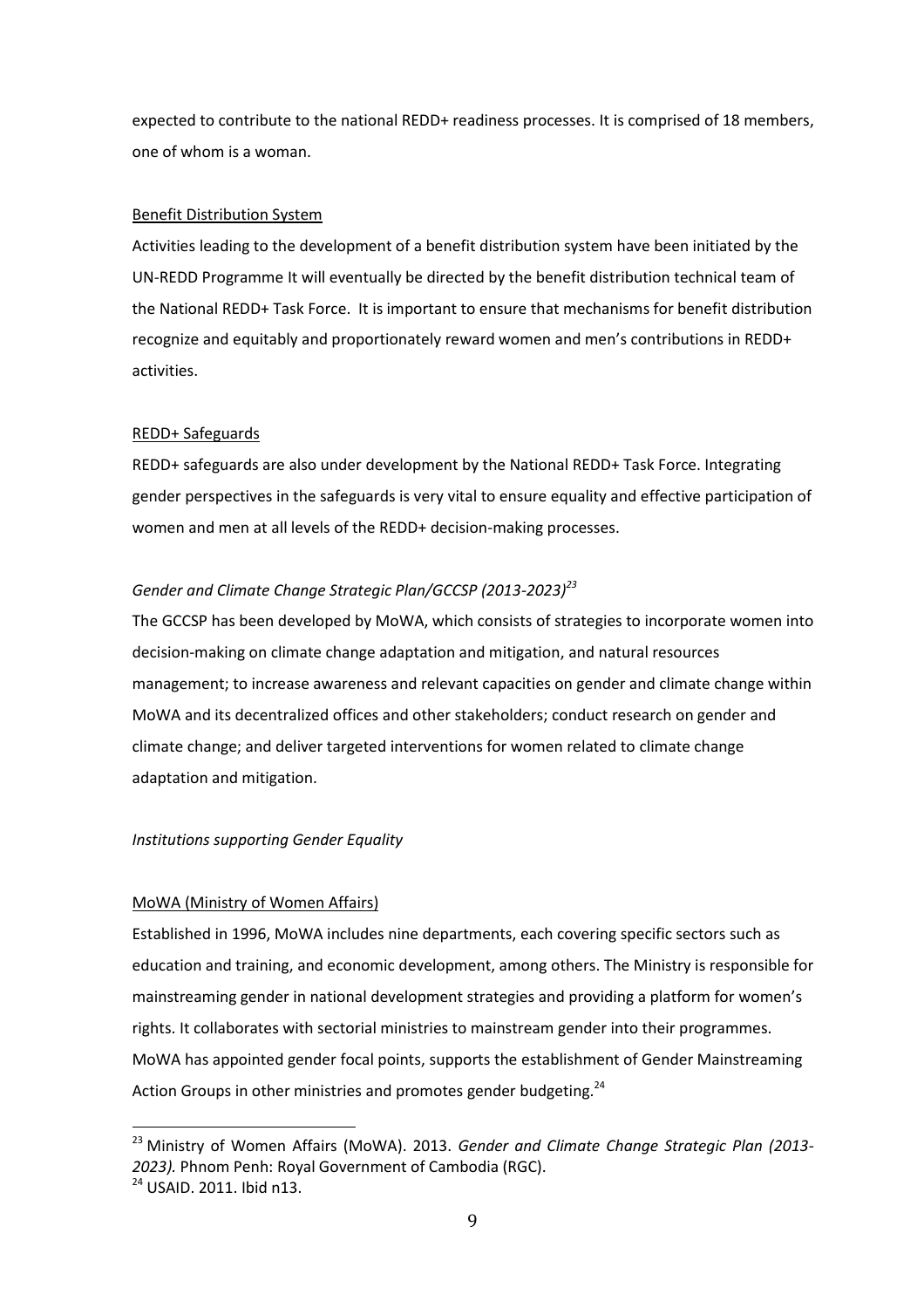expected to contribute to the national REDD+ readiness processes. It is comprised of 18 members, one of whom is a woman.

#### Benefit Distribution System

Activities leading to the development of a benefit distribution system have been initiated by the UN-REDD Programme It will eventually be directed by the benefit distribution technical team of the National REDD+ Task Force. It is important to ensure that mechanisms for benefit distribution recognize and equitably and proportionately reward women and men's contributions in REDD+ activities.

#### REDD+ Safeguards

REDD+ safeguards are also under development by the National REDD+ Task Force. Integrating gender perspectives in the safeguards is very vital to ensure equality and effective participation of women and men at all levels of the REDD+ decision-making processes.

#### *Gender and Climate Change Strategic Plan/GCCSP (2013-2023)<sup>23</sup>*

The GCCSP has been developed by MoWA, which consists of strategies to incorporate women into decision-making on climate change adaptation and mitigation, and natural resources management; to increase awareness and relevant capacities on gender and climate change within MoWA and its decentralized offices and other stakeholders; conduct research on gender and climate change; and deliver targeted interventions for women related to climate change adaptation and mitigation.

#### *Institutions supporting Gender Equality*

#### MoWA (Ministry of Women Affairs)

Established in 1996, MoWA includes nine departments, each covering specific sectors such as education and training, and economic development, among others. The Ministry is responsible for mainstreaming gender in national development strategies and providing a platform for women's rights. It collaborates with sectorial ministries to mainstream gender into their programmes. MoWA has appointed gender focal points, supports the establishment of Gender Mainstreaming Action Groups in other ministries and promotes gender budgeting.<sup>24</sup>

<sup>23</sup> Ministry of Women Affairs (MoWA). 2013. *Gender and Climate Change Strategic Plan (2013- 2023).* Phnom Penh: Royal Government of Cambodia (RGC).

 $^{24}$  USAID. 2011. Ibid n13.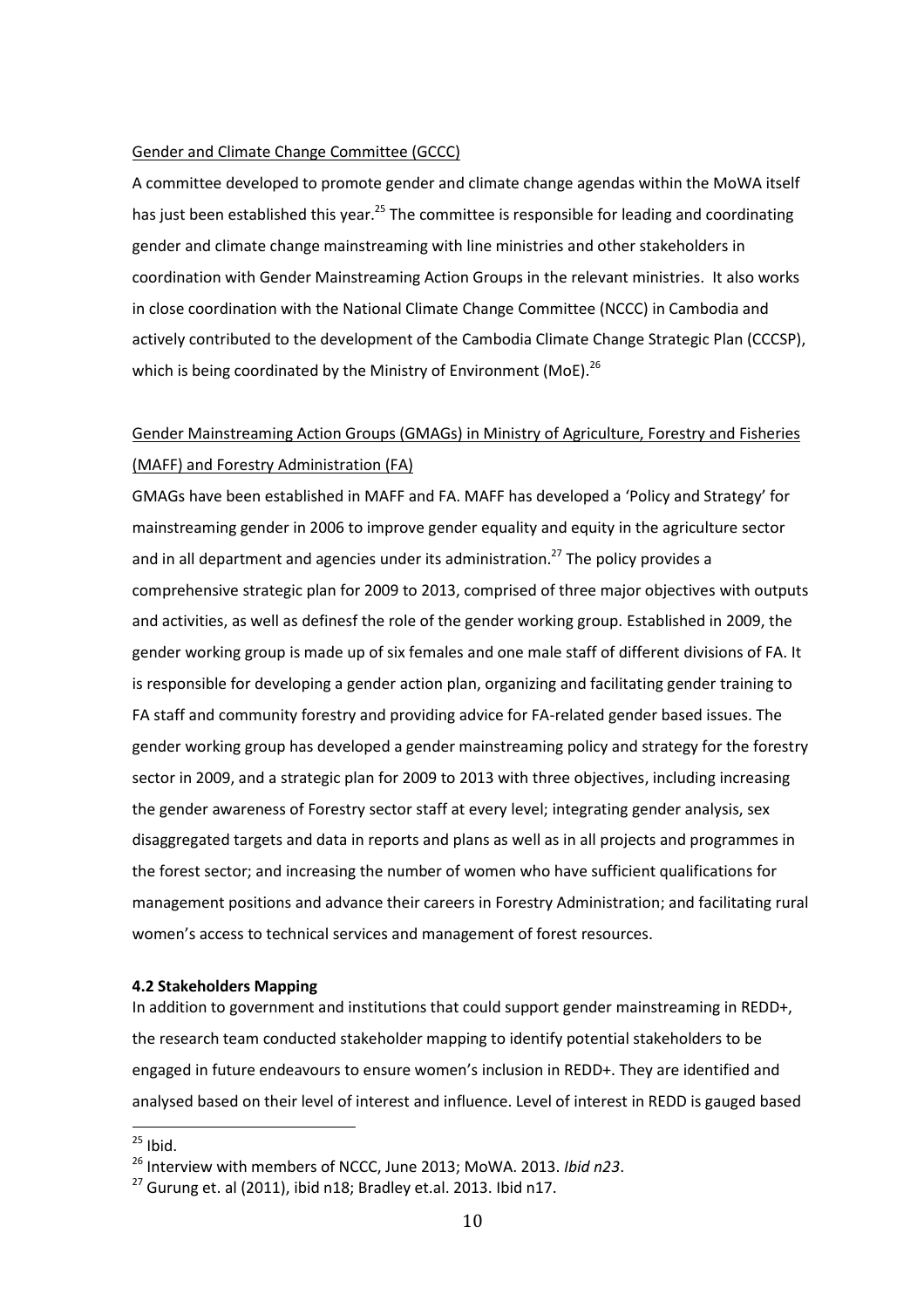#### Gender and Climate Change Committee (GCCC)

A committee developed to promote gender and climate change agendas within the MoWA itself has just been established this year.<sup>25</sup> The committee is responsible for leading and coordinating gender and climate change mainstreaming with line ministries and other stakeholders in coordination with Gender Mainstreaming Action Groups in the relevant ministries. It also works in close coordination with the National Climate Change Committee (NCCC) in Cambodia and actively contributed to the development of the Cambodia Climate Change Strategic Plan (CCCSP), which is being coordinated by the Ministry of Environment (MoE).<sup>26</sup>

# Gender Mainstreaming Action Groups (GMAGs) in Ministry of Agriculture, Forestry and Fisheries (MAFF) and Forestry Administration (FA)

GMAGs have been established in MAFF and FA. MAFF has developed a 'Policy and Strategy' for mainstreaming gender in 2006 to improve gender equality and equity in the agriculture sector and in all department and agencies under its administration.<sup>27</sup> The policy provides a comprehensive strategic plan for 2009 to 2013, comprised of three major objectives with outputs and activities, as well as definesf the role of the gender working group. Established in 2009, the gender working group is made up of six females and one male staff of different divisions of FA. It is responsible for developing a gender action plan, organizing and facilitating gender training to FA staff and community forestry and providing advice for FA-related gender based issues. The gender working group has developed a gender mainstreaming policy and strategy for the forestry sector in 2009, and a strategic plan for 2009 to 2013 with three objectives, including increasing the gender awareness of Forestry sector staff at every level; integrating gender analysis, sex disaggregated targets and data in reports and plans as well as in all projects and programmes in the forest sector; and increasing the number of women who have sufficient qualifications for management positions and advance their careers in Forestry Administration; and facilitating rural women's access to technical services and management of forest resources.

#### <span id="page-16-0"></span>**4.2 Stakeholders Mapping**

In addition to government and institutions that could support gender mainstreaming in REDD+, the research team conducted stakeholder mapping to identify potential stakeholders to be engaged in future endeavours to ensure women's inclusion in REDD+. They are identified and analysed based on their level of interest and influence. Level of interest in REDD is gauged based

 $25$  Ibid.

<sup>26</sup> Interview with members of NCCC, June 2013; MoWA. 2013. *Ibid n23*.

 $^{27}$  Gurung et. al (2011), ibid n18; Bradley et.al. 2013. Ibid n17.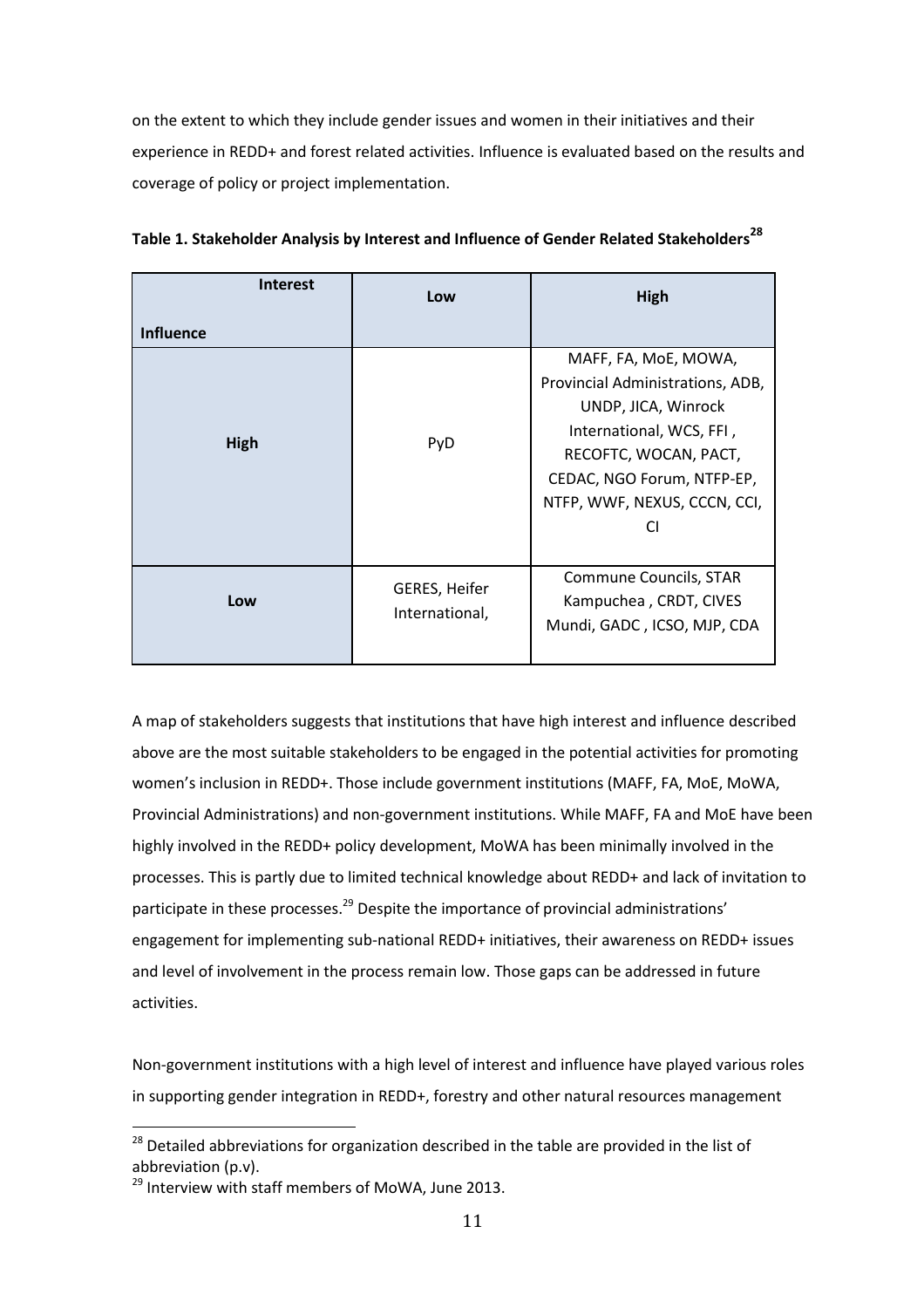on the extent to which they include gender issues and women in their initiatives and their experience in REDD+ and forest related activities. Influence is evaluated based on the results and coverage of policy or project implementation.

| <b>Interest</b>  | Low                                    | High                                                                                                                                                                                                     |
|------------------|----------------------------------------|----------------------------------------------------------------------------------------------------------------------------------------------------------------------------------------------------------|
| <b>Influence</b> |                                        |                                                                                                                                                                                                          |
| High             | PyD                                    | MAFF, FA, MoE, MOWA,<br>Provincial Administrations, ADB,<br>UNDP, JICA, Winrock<br>International, WCS, FFI,<br>RECOFTC, WOCAN, PACT,<br>CEDAC, NGO Forum, NTFP-EP,<br>NTFP, WWF, NEXUS, CCCN, CCI,<br>CI |
| Low              | <b>GERES, Heifer</b><br>International, | Commune Councils, STAR<br>Kampuchea, CRDT, CIVES<br>Mundi, GADC, ICSO, MJP, CDA                                                                                                                          |

**Table 1. Stakeholder Analysis by Interest and Influence of Gender Related Stakeholders<sup>28</sup>**

A map of stakeholders suggests that institutions that have high interest and influence described above are the most suitable stakeholders to be engaged in the potential activities for promoting women's inclusion in REDD+. Those include government institutions (MAFF, FA, MoE, MoWA, Provincial Administrations) and non-government institutions. While MAFF, FA and MoE have been highly involved in the REDD+ policy development, MoWA has been minimally involved in the processes. This is partly due to limited technical knowledge about REDD+ and lack of invitation to participate in these processes.<sup>29</sup> Despite the importance of provincial administrations' engagement for implementing sub-national REDD+ initiatives, their awareness on REDD+ issues and level of involvement in the process remain low. Those gaps can be addressed in future activities.

Non-government institutions with a high level of interest and influence have played various roles in supporting gender integration in REDD+, forestry and other natural resources management

<sup>28</sup> Detailed abbreviations for organization described in the table are provided in the list of abbreviation (p.v).

<sup>&</sup>lt;sup>29</sup> Interview with staff members of MoWA, June 2013.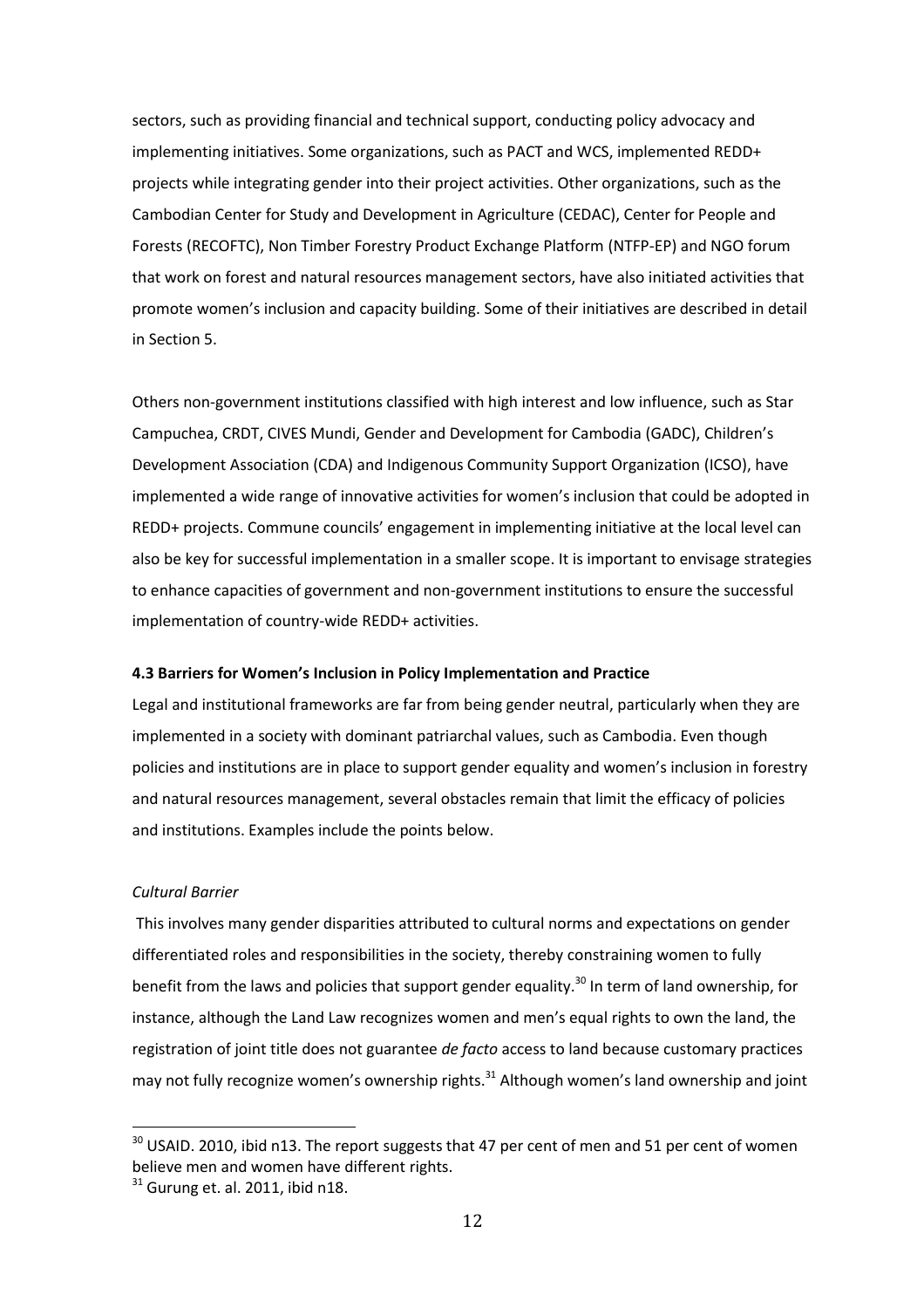sectors, such as providing financial and technical support, conducting policy advocacy and implementing initiatives. Some organizations, such as PACT and WCS, implemented REDD+ projects while integrating gender into their project activities. Other organizations, such as the Cambodian Center for Study and Development in Agriculture (CEDAC), Center for People and Forests (RECOFTC), Non Timber Forestry Product Exchange Platform (NTFP-EP) and NGO forum that work on forest and natural resources management sectors, have also initiated activities that promote women's inclusion and capacity building. Some of their initiatives are described in detail in Section 5.

Others non-government institutions classified with high interest and low influence, such as Star Campuchea, CRDT, CIVES Mundi, Gender and Development for Cambodia (GADC), Children's Development Association (CDA) and Indigenous Community Support Organization (ICSO), have implemented a wide range of innovative activities for women's inclusion that could be adopted in REDD+ projects. Commune councils' engagement in implementing initiative at the local level can also be key for successful implementation in a smaller scope. It is important to envisage strategies to enhance capacities of government and non-government institutions to ensure the successful implementation of country-wide REDD+ activities.

#### <span id="page-18-0"></span>**4.3 Barriers for Women's Inclusion in Policy Implementation and Practice**

Legal and institutional frameworks are far from being gender neutral, particularly when they are implemented in a society with dominant patriarchal values, such as Cambodia. Even though policies and institutions are in place to support gender equality and women's inclusion in forestry and natural resources management, several obstacles remain that limit the efficacy of policies and institutions. Examples include the points below.

#### *Cultural Barrier*

1

This involves many gender disparities attributed to cultural norms and expectations on gender differentiated roles and responsibilities in the society, thereby constraining women to fully benefit from the laws and policies that support gender equality.<sup>30</sup> In term of land ownership, for instance, although the Land Law recognizes women and men's equal rights to own the land, the registration of joint title does not guarantee *de facto* access to land because customary practices may not fully recognize women's ownership rights. $31$  Although women's land ownership and joint

 $30$  USAID. 2010, ibid n13. The report suggests that 47 per cent of men and 51 per cent of women believe men and women have different rights.

 $31$  Gurung et. al. 2011, ibid n18.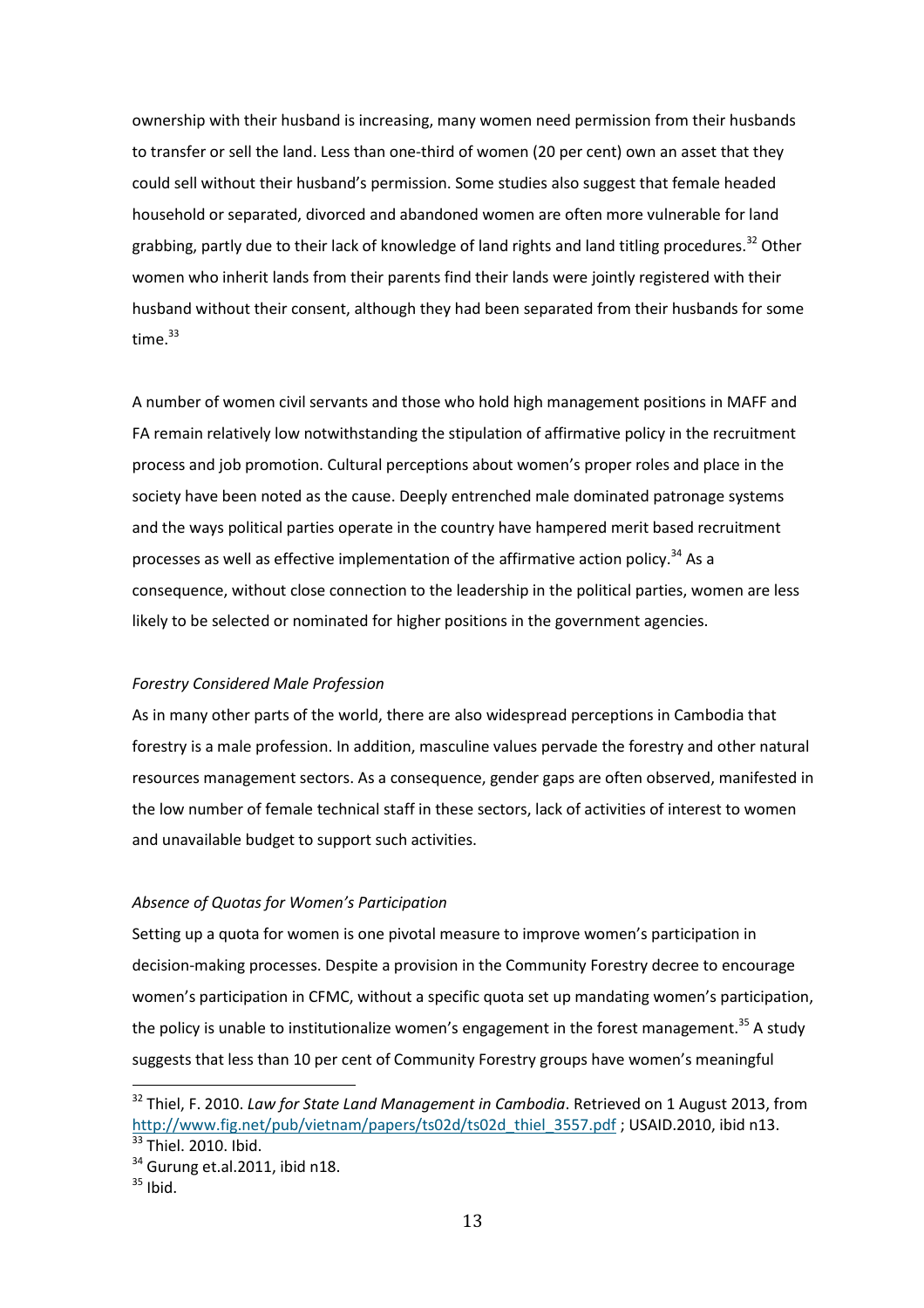ownership with their husband is increasing, many women need permission from their husbands to transfer or sell the land. Less than one-third of women (20 per cent) own an asset that they could sell without their husband's permission. Some studies also suggest that female headed household or separated, divorced and abandoned women are often more vulnerable for land grabbing, partly due to their lack of knowledge of land rights and land titling procedures.<sup>32</sup> Other women who inherit lands from their parents find their lands were jointly registered with their husband without their consent, although they had been separated from their husbands for some time. $33$ 

A number of women civil servants and those who hold high management positions in MAFF and FA remain relatively low notwithstanding the stipulation of affirmative policy in the recruitment process and job promotion. Cultural perceptions about women's proper roles and place in the society have been noted as the cause. Deeply entrenched male dominated patronage systems and the ways political parties operate in the country have hampered merit based recruitment processes as well as effective implementation of the affirmative action policy.<sup>34</sup> As a consequence, without close connection to the leadership in the political parties, women are less likely to be selected or nominated for higher positions in the government agencies.

#### *Forestry Considered Male Profession*

As in many other parts of the world, there are also widespread perceptions in Cambodia that forestry is a male profession. In addition, masculine values pervade the forestry and other natural resources management sectors. As a consequence, gender gaps are often observed, manifested in the low number of female technical staff in these sectors, lack of activities of interest to women and unavailable budget to support such activities.

#### *Absence of Quotas for Women's Participation*

Setting up a quota for women is one pivotal measure to improve women's participation in decision-making processes. Despite a provision in the Community Forestry decree to encourage women's participation in CFMC, without a specific quota set up mandating women's participation, the policy is unable to institutionalize women's engagement in the forest management.<sup>35</sup> A study suggests that less than 10 per cent of Community Forestry groups have women's meaningful

<sup>32</sup> Thiel, F. 2010. *Law for State Land Management in Cambodia*. Retrieved on 1 August 2013, from [http://www.fig.net/pub/vietnam/papers/ts02d/ts02d\\_thiel\\_3557.pdf](http://www.fig.net/pub/vietnam/papers/ts02d/ts02d_thiel_3557.pdf) ; USAID.2010, ibid n13. <sup>33</sup> Thiel. 2010. Ibid.

 $34$  Gurung et.al.2011, ibid n18.

 $35$  Ibid.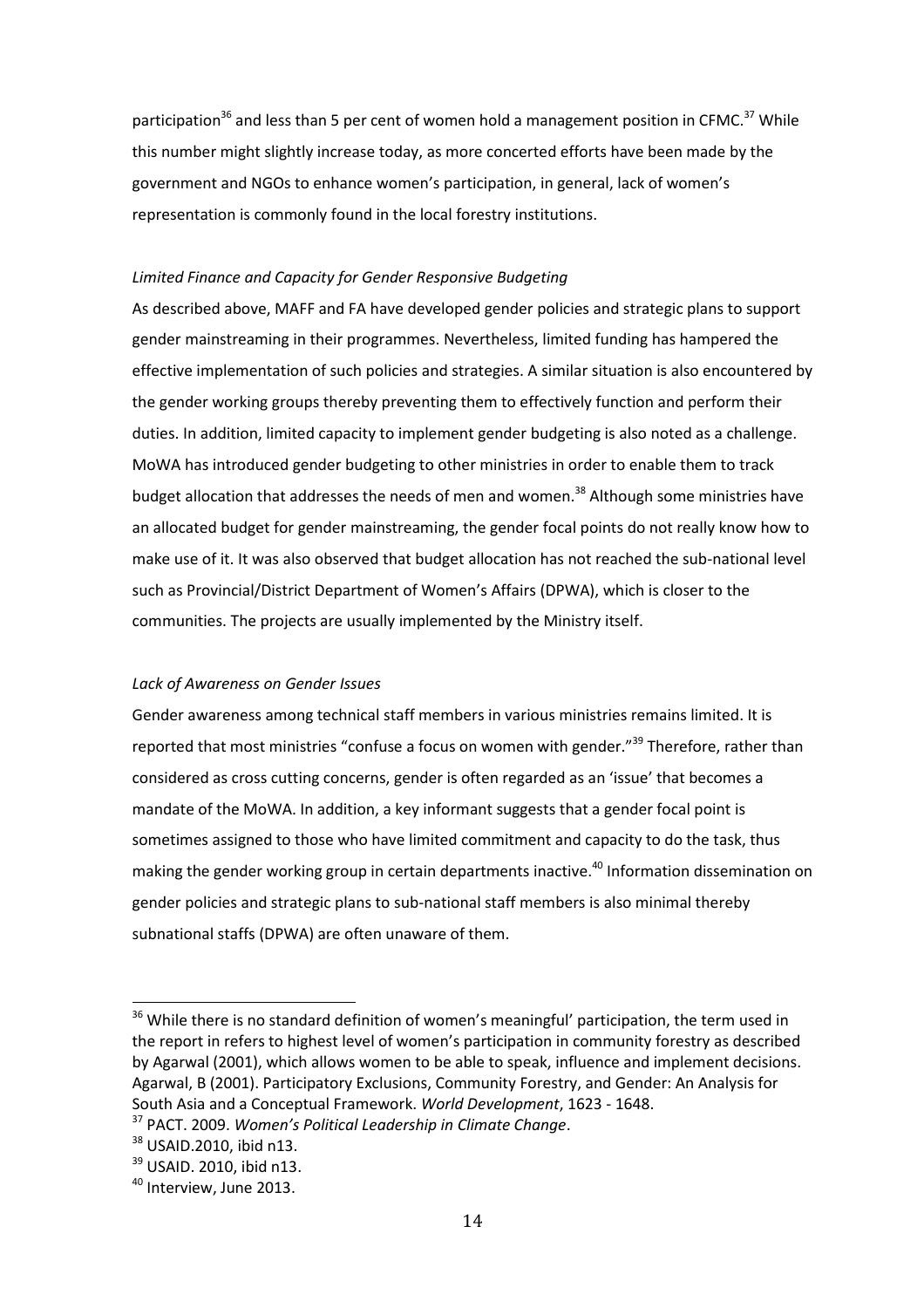participation<sup>36</sup> and less than 5 per cent of women hold a management position in CFMC.<sup>37</sup> While this number might slightly increase today, as more concerted efforts have been made by the government and NGOs to enhance women's participation, in general, lack of women's representation is commonly found in the local forestry institutions.

#### *Limited Finance and Capacity for Gender Responsive Budgeting*

As described above, MAFF and FA have developed gender policies and strategic plans to support gender mainstreaming in their programmes. Nevertheless, limited funding has hampered the effective implementation of such policies and strategies. A similar situation is also encountered by the gender working groups thereby preventing them to effectively function and perform their duties. In addition, limited capacity to implement gender budgeting is also noted as a challenge. MoWA has introduced gender budgeting to other ministries in order to enable them to track budget allocation that addresses the needs of men and women.<sup>38</sup> Although some ministries have an allocated budget for gender mainstreaming, the gender focal points do not really know how to make use of it. It was also observed that budget allocation has not reached the sub-national level such as Provincial/District Department of Women's Affairs (DPWA), which is closer to the communities. The projects are usually implemented by the Ministry itself.

#### *Lack of Awareness on Gender Issues*

Gender awareness among technical staff members in various ministries remains limited. It is reported that most ministries "confuse a focus on women with gender."<sup>39</sup> Therefore, rather than considered as cross cutting concerns, gender is often regarded as an 'issue' that becomes a mandate of the MoWA. In addition, a key informant suggests that a gender focal point is sometimes assigned to those who have limited commitment and capacity to do the task, thus making the gender working group in certain departments inactive.<sup>40</sup> Information dissemination on gender policies and strategic plans to sub-national staff members is also minimal thereby subnational staffs (DPWA) are often unaware of them.

<sup>&</sup>lt;sup>36</sup> While there is no standard definition of women's meaningful' participation, the term used in the report in refers to highest level of women's participation in community forestry as described by Agarwal (2001), which allows women to be able to speak, influence and implement decisions. Agarwal, B (2001). Participatory Exclusions, Community Forestry, and Gender: An Analysis for South Asia and a Conceptual Framework. *World Development*, 1623 - 1648.

<sup>37</sup> PACT. 2009. *Women's Political Leadership in Climate Change*.

<sup>&</sup>lt;sup>38</sup> USAID.2010, ibid n13.

<sup>&</sup>lt;sup>39</sup> USAID. 2010, ibid n13.

<sup>&</sup>lt;sup>40</sup> Interview, June 2013.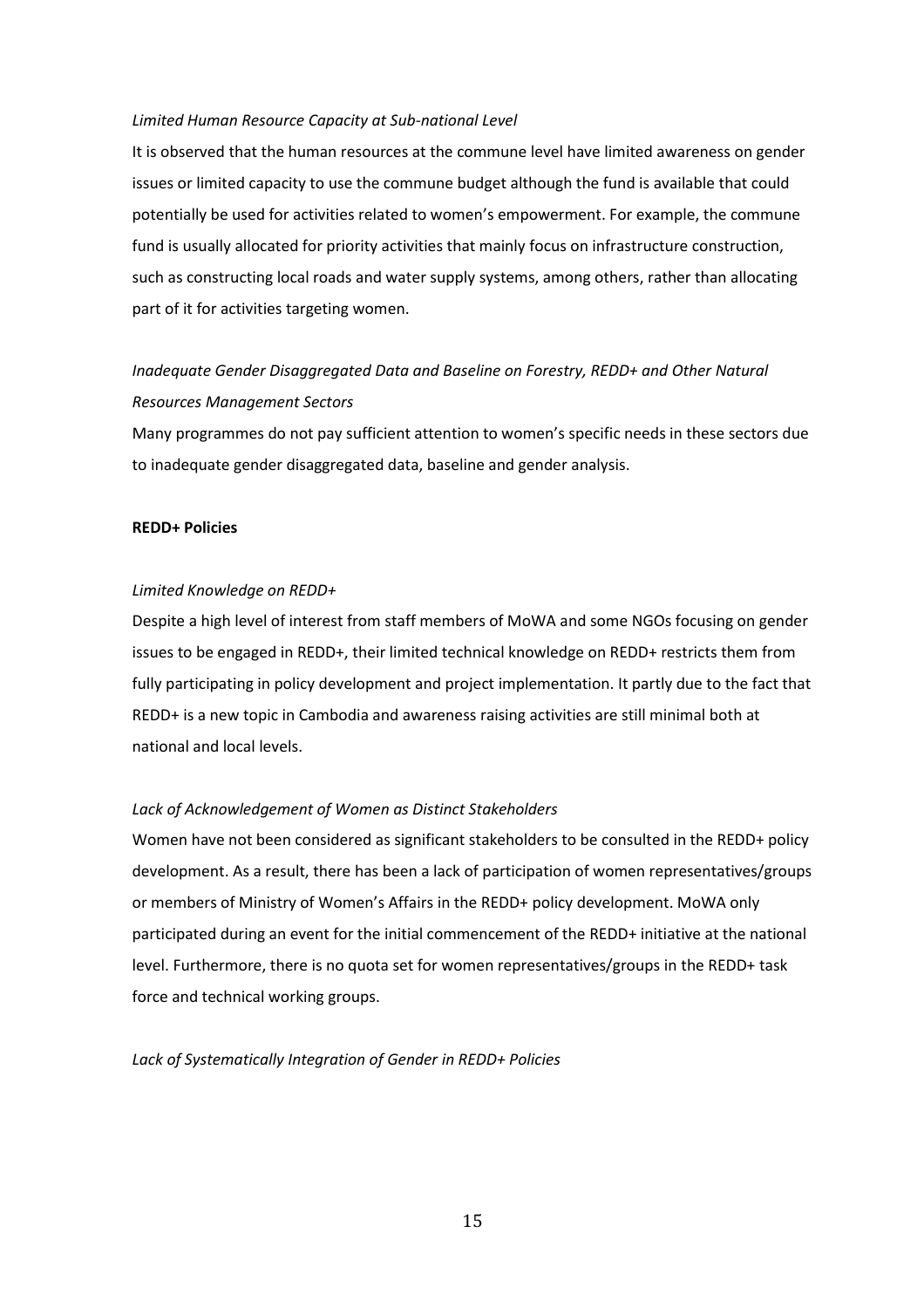#### *Limited Human Resource Capacity at Sub-national Level*

It is observed that the human resources at the commune level have limited awareness on gender issues or limited capacity to use the commune budget although the fund is available that could potentially be used for activities related to women's empowerment. For example, the commune fund is usually allocated for priority activities that mainly focus on infrastructure construction, such as constructing local roads and water supply systems, among others, rather than allocating part of it for activities targeting women.

# *Inadequate Gender Disaggregated Data and Baseline on Forestry, REDD+ and Other Natural Resources Management Sectors*

Many programmes do not pay sufficient attention to women's specific needs in these sectors due to inadequate gender disaggregated data, baseline and gender analysis.

#### **REDD+ Policies**

#### *Limited Knowledge on REDD+*

Despite a high level of interest from staff members of MoWA and some NGOs focusing on gender issues to be engaged in REDD+, their limited technical knowledge on REDD+ restricts them from fully participating in policy development and project implementation. It partly due to the fact that REDD+ is a new topic in Cambodia and awareness raising activities are still minimal both at national and local levels.

#### *Lack of Acknowledgement of Women as Distinct Stakeholders*

Women have not been considered as significant stakeholders to be consulted in the REDD+ policy development. As a result, there has been a lack of participation of women representatives/groups or members of Ministry of Women's Affairs in the REDD+ policy development. MoWA only participated during an event for the initial commencement of the REDD+ initiative at the national level. Furthermore, there is no quota set for women representatives/groups in the REDD+ task force and technical working groups.

*Lack of Systematically Integration of Gender in REDD+ Policies*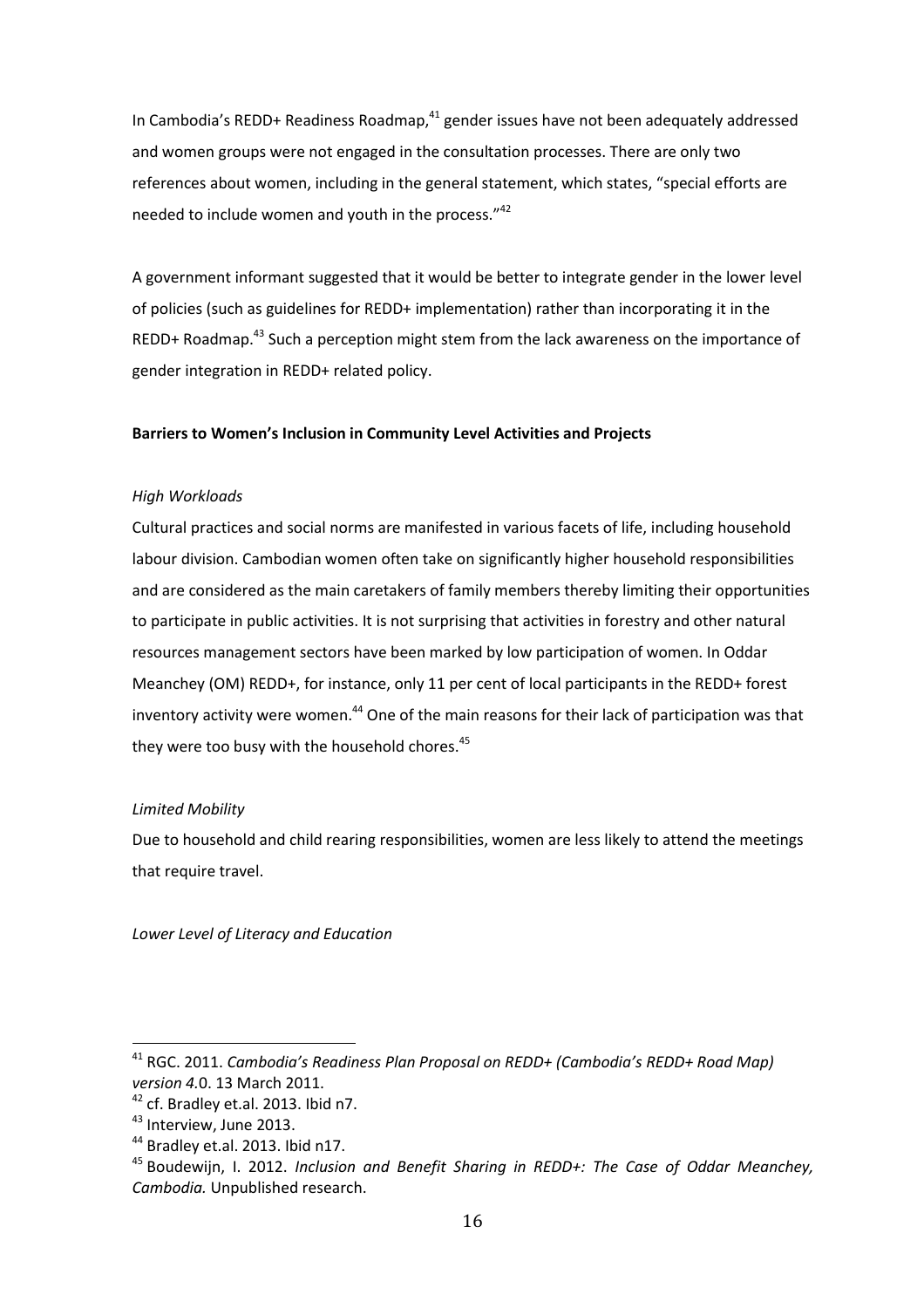In Cambodia's REDD+ Readiness Roadmap, $41$  gender issues have not been adequately addressed and women groups were not engaged in the consultation processes. There are only two references about women, including in the general statement, which states, "special efforts are needed to include women and youth in the process."<sup>42</sup>

A government informant suggested that it would be better to integrate gender in the lower level of policies (such as guidelines for REDD+ implementation) rather than incorporating it in the REDD+ Roadmap.<sup>43</sup> Such a perception might stem from the lack awareness on the importance of gender integration in REDD+ related policy.

#### **Barriers to Women's Inclusion in Community Level Activities and Projects**

#### *High Workloads*

Cultural practices and social norms are manifested in various facets of life, including household labour division. Cambodian women often take on significantly higher household responsibilities and are considered as the main caretakers of family members thereby limiting their opportunities to participate in public activities. It is not surprising that activities in forestry and other natural resources management sectors have been marked by low participation of women. In Oddar Meanchey (OM) REDD+, for instance, only 11 per cent of local participants in the REDD+ forest inventory activity were women.<sup>44</sup> One of the main reasons for their lack of participation was that they were too busy with the household chores.<sup>45</sup>

#### *Limited Mobility*

Due to household and child rearing responsibilities, women are less likely to attend the meetings that require travel.

*Lower Level of Literacy and Education*

<sup>41</sup> RGC. 2011. *Cambodia's Readiness Plan Proposal on REDD+ (Cambodia's REDD+ Road Map) version 4.*0. 13 March 2011.

<sup>&</sup>lt;sup>42</sup> cf. Bradley et.al. 2013. Ibid n7.

<sup>&</sup>lt;sup>43</sup> Interview, June 2013.

<sup>&</sup>lt;sup>44</sup> Bradley et.al. 2013. Ibid n17.

<sup>45</sup> Boudewijn, I. 2012. *Inclusion and Benefit Sharing in REDD+: The Case of Oddar Meanchey, Cambodia.* Unpublished research.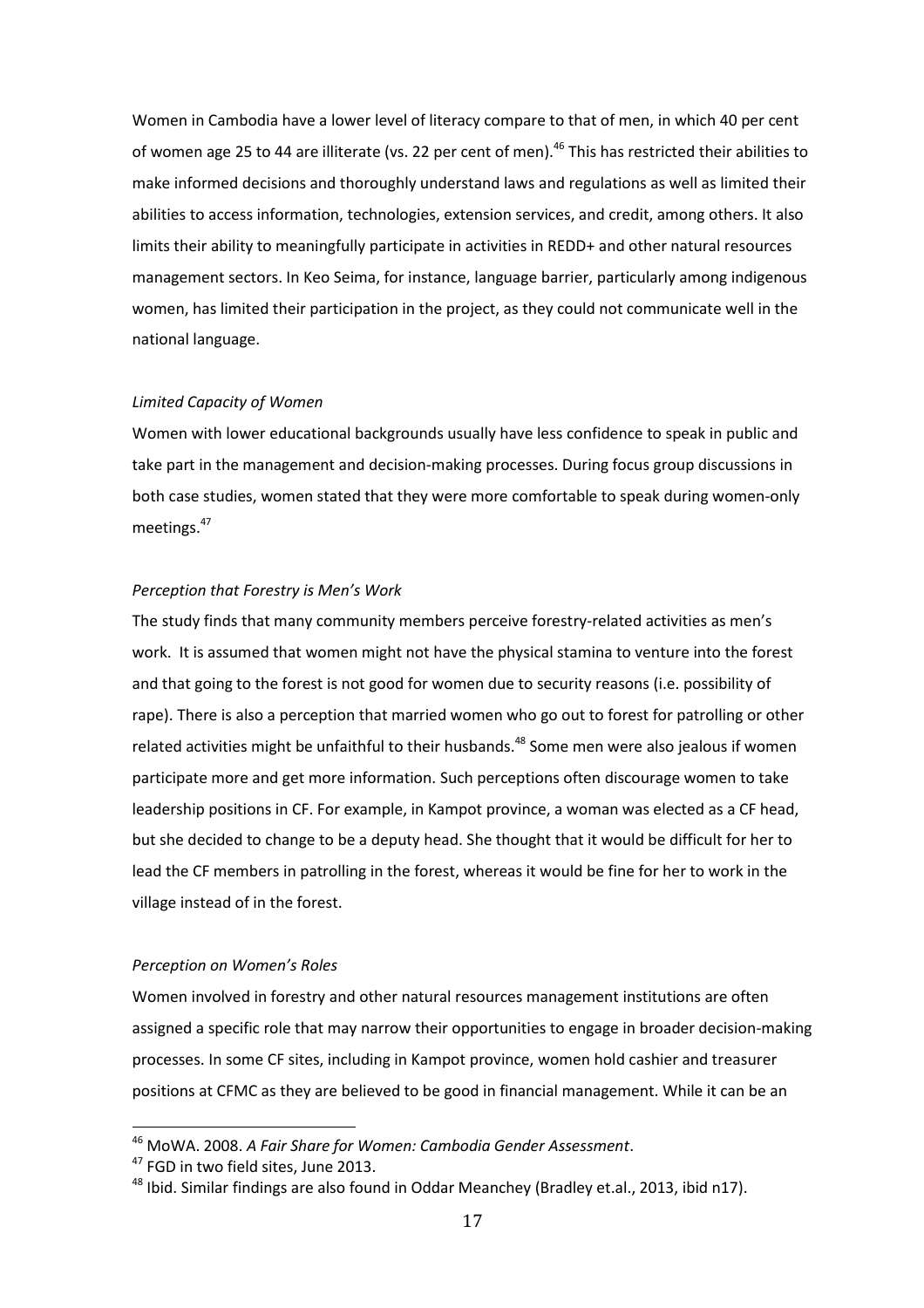Women in Cambodia have a lower level of literacy compare to that of men, in which 40 per cent of women age 25 to 44 are illiterate (vs. 22 per cent of men).<sup>46</sup> This has restricted their abilities to make informed decisions and thoroughly understand laws and regulations as well as limited their abilities to access information, technologies, extension services, and credit, among others. It also limits their ability to meaningfully participate in activities in REDD+ and other natural resources management sectors. In Keo Seima, for instance, language barrier, particularly among indigenous women, has limited their participation in the project, as they could not communicate well in the national language.

#### *Limited Capacity of Women*

Women with lower educational backgrounds usually have less confidence to speak in public and take part in the management and decision-making processes. During focus group discussions in both case studies, women stated that they were more comfortable to speak during women-only meetings.<sup>47</sup>

#### *Perception that Forestry is Men's Work*

The study finds that many community members perceive forestry-related activities as men's work. It is assumed that women might not have the physical stamina to venture into the forest and that going to the forest is not good for women due to security reasons (i.e. possibility of rape). There is also a perception that married women who go out to forest for patrolling or other related activities might be unfaithful to their husbands.<sup>48</sup> Some men were also jealous if women participate more and get more information. Such perceptions often discourage women to take leadership positions in CF. For example, in Kampot province, a woman was elected as a CF head, but she decided to change to be a deputy head. She thought that it would be difficult for her to lead the CF members in patrolling in the forest, whereas it would be fine for her to work in the village instead of in the forest.

#### *Perception on Women's Roles*

Women involved in forestry and other natural resources management institutions are often assigned a specific role that may narrow their opportunities to engage in broader decision-making processes. In some CF sites, including in Kampot province, women hold cashier and treasurer positions at CFMC as they are believed to be good in financial management. While it can be an

<sup>46</sup> MoWA. 2008. *A Fair Share for Women: Cambodia Gender Assessment*.

<sup>&</sup>lt;sup>47</sup> FGD in two field sites, June 2013.

<sup>&</sup>lt;sup>48</sup> Ibid. Similar findings are also found in Oddar Meanchey (Bradley et.al., 2013, ibid n17).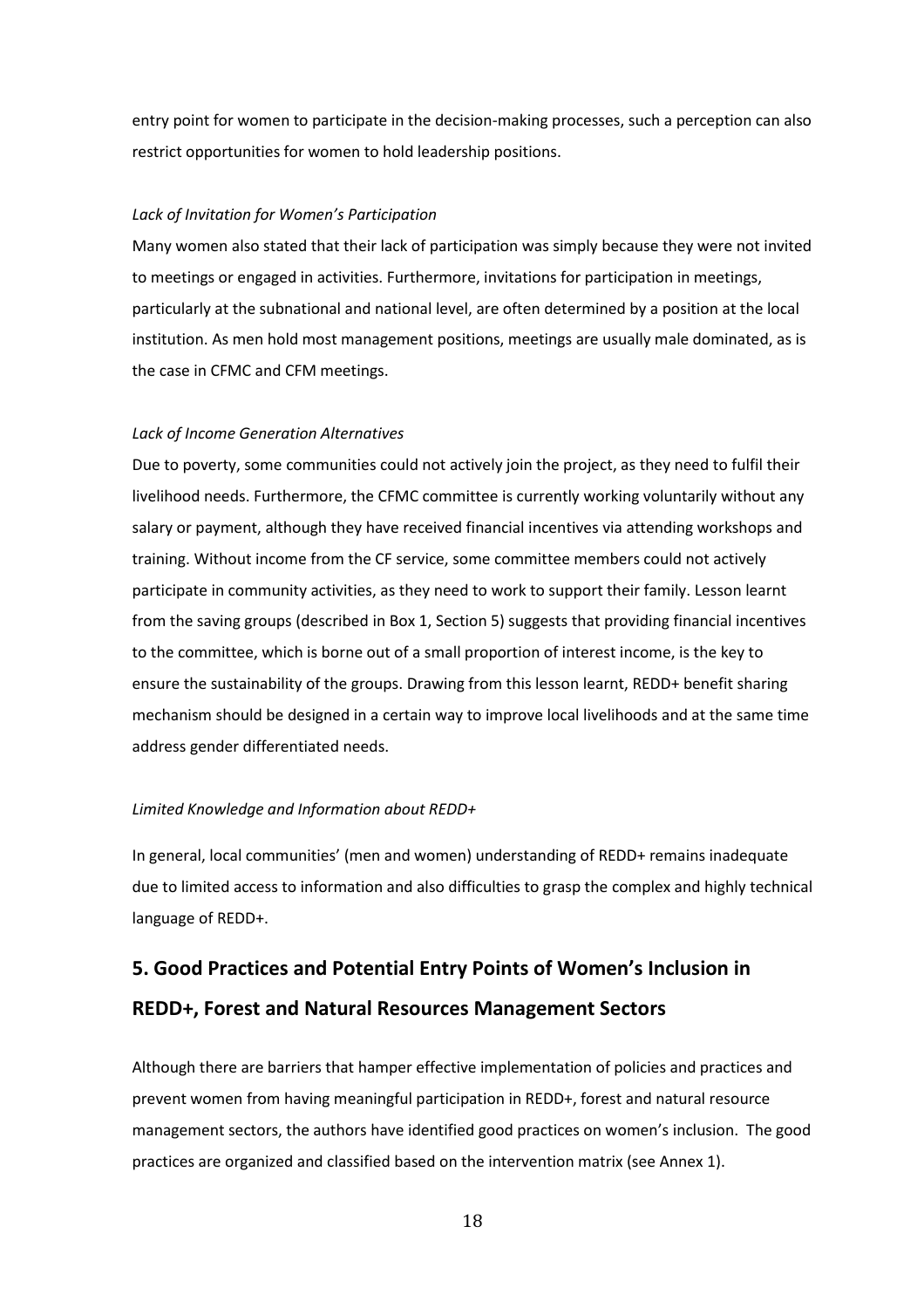entry point for women to participate in the decision-making processes, such a perception can also restrict opportunities for women to hold leadership positions.

#### *Lack of Invitation for Women's Participation*

Many women also stated that their lack of participation was simply because they were not invited to meetings or engaged in activities. Furthermore, invitations for participation in meetings, particularly at the subnational and national level, are often determined by a position at the local institution. As men hold most management positions, meetings are usually male dominated, as is the case in CFMC and CFM meetings.

#### *Lack of Income Generation Alternatives*

Due to poverty, some communities could not actively join the project, as they need to fulfil their livelihood needs. Furthermore, the CFMC committee is currently working voluntarily without any salary or payment, although they have received financial incentives via attending workshops and training. Without income from the CF service, some committee members could not actively participate in community activities, as they need to work to support their family. Lesson learnt from the saving groups (described in Box 1, Section 5) suggests that providing financial incentives to the committee, which is borne out of a small proportion of interest income, is the key to ensure the sustainability of the groups. Drawing from this lesson learnt, REDD+ benefit sharing mechanism should be designed in a certain way to improve local livelihoods and at the same time address gender differentiated needs.

#### *Limited Knowledge and Information about REDD+*

In general, local communities' (men and women) understanding of REDD+ remains inadequate due to limited access to information and also difficulties to grasp the complex and highly technical language of REDD+.

# <span id="page-24-0"></span>**5. Good Practices and Potential Entry Points of Women's Inclusion in REDD+, Forest and Natural Resources Management Sectors**

Although there are barriers that hamper effective implementation of policies and practices and prevent women from having meaningful participation in REDD+, forest and natural resource management sectors, the authors have identified good practices on women's inclusion. The good practices are organized and classified based on the intervention matrix (see Annex 1).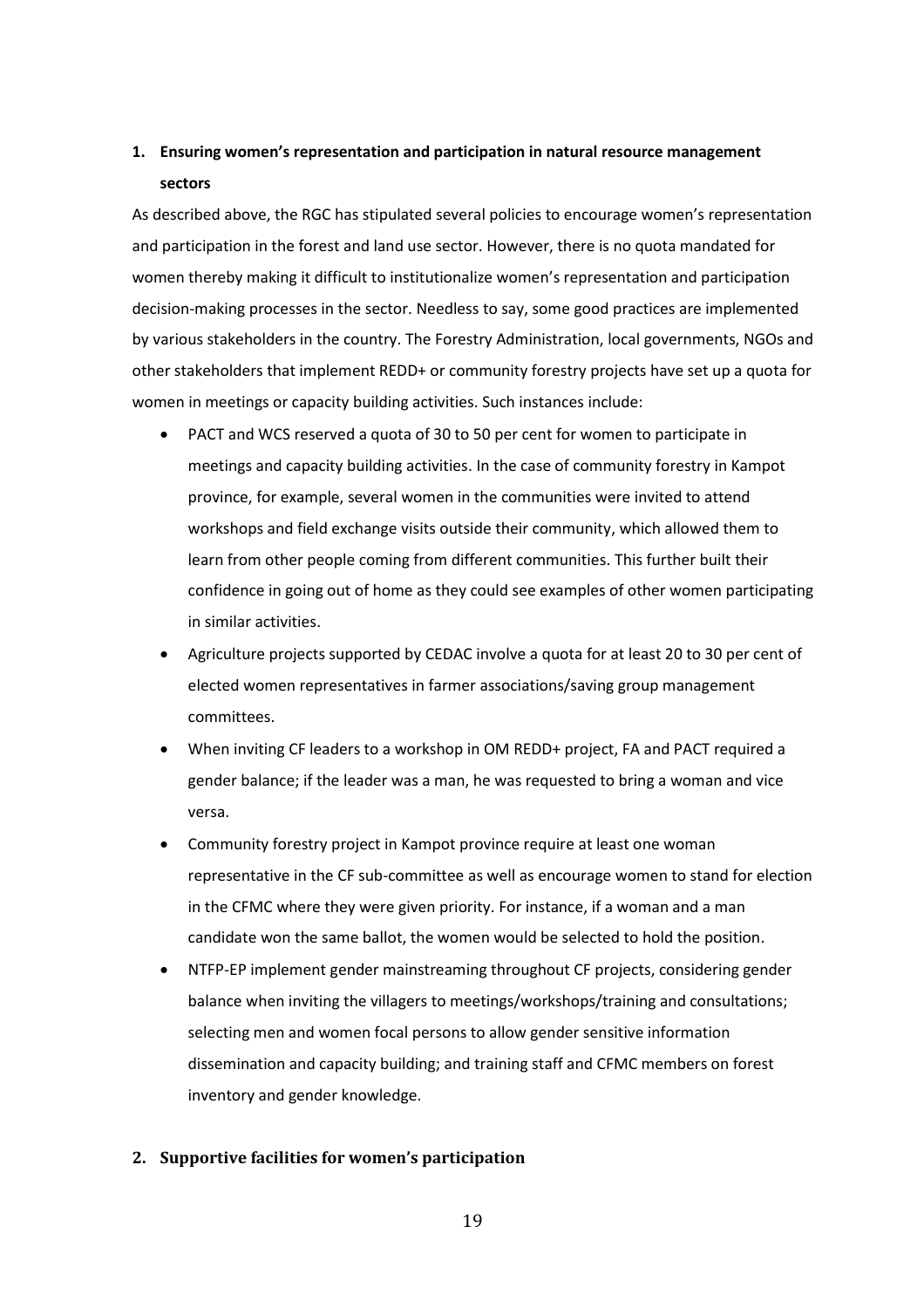# **1. Ensuring women's representation and participation in natural resource management sectors**

As described above, the RGC has stipulated several policies to encourage women's representation and participation in the forest and land use sector. However, there is no quota mandated for women thereby making it difficult to institutionalize women's representation and participation decision-making processes in the sector. Needless to say, some good practices are implemented by various stakeholders in the country. The Forestry Administration, local governments, NGOs and other stakeholders that implement REDD+ or community forestry projects have set up a quota for women in meetings or capacity building activities. Such instances include:

- PACT and WCS reserved a quota of 30 to 50 per cent for women to participate in meetings and capacity building activities. In the case of community forestry in Kampot province, for example, several women in the communities were invited to attend workshops and field exchange visits outside their community, which allowed them to learn from other people coming from different communities. This further built their confidence in going out of home as they could see examples of other women participating in similar activities.
- Agriculture projects supported by CEDAC involve a quota for at least 20 to 30 per cent of elected women representatives in farmer associations/saving group management committees.
- When inviting CF leaders to a workshop in OM REDD+ project, FA and PACT required a gender balance; if the leader was a man, he was requested to bring a woman and vice versa.
- Community forestry project in Kampot province require at least one woman representative in the CF sub-committee as well as encourage women to stand for election in the CFMC where they were given priority. For instance, if a woman and a man candidate won the same ballot, the women would be selected to hold the position.
- NTFP-EP implement gender mainstreaming throughout CF projects, considering gender balance when inviting the villagers to meetings/workshops/training and consultations; selecting men and women focal persons to allow gender sensitive information dissemination and capacity building; and training staff and CFMC members on forest inventory and gender knowledge.

#### **2. Supportive facilities for women's participation**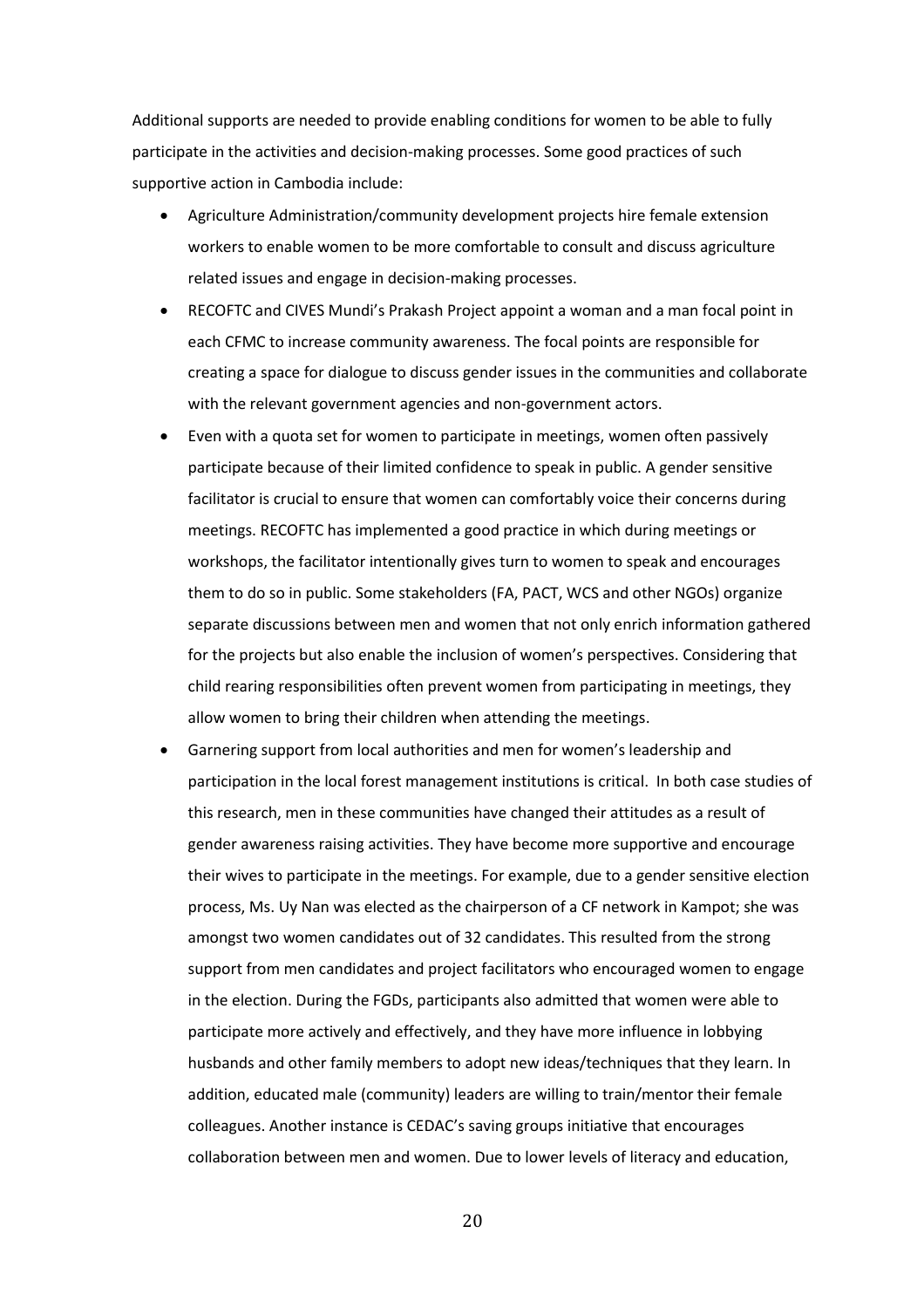Additional supports are needed to provide enabling conditions for women to be able to fully participate in the activities and decision-making processes. Some good practices of such supportive action in Cambodia include:

- Agriculture Administration/community development projects hire female extension workers to enable women to be more comfortable to consult and discuss agriculture related issues and engage in decision-making processes.
- RECOFTC and CIVES Mundi's Prakash Project appoint a woman and a man focal point in each CFMC to increase community awareness. The focal points are responsible for creating a space for dialogue to discuss gender issues in the communities and collaborate with the relevant government agencies and non-government actors.
- Even with a quota set for women to participate in meetings, women often passively participate because of their limited confidence to speak in public. A gender sensitive facilitator is crucial to ensure that women can comfortably voice their concerns during meetings. RECOFTC has implemented a good practice in which during meetings or workshops, the facilitator intentionally gives turn to women to speak and encourages them to do so in public. Some stakeholders (FA, PACT, WCS and other NGOs) organize separate discussions between men and women that not only enrich information gathered for the projects but also enable the inclusion of women's perspectives. Considering that child rearing responsibilities often prevent women from participating in meetings, they allow women to bring their children when attending the meetings.
- Garnering support from local authorities and men for women's leadership and participation in the local forest management institutions is critical. In both case studies of this research, men in these communities have changed their attitudes as a result of gender awareness raising activities. They have become more supportive and encourage their wives to participate in the meetings. For example, due to a gender sensitive election process, Ms. Uy Nan was elected as the chairperson of a CF network in Kampot; she was amongst two women candidates out of 32 candidates. This resulted from the strong support from men candidates and project facilitators who encouraged women to engage in the election. During the FGDs, participants also admitted that women were able to participate more actively and effectively, and they have more influence in lobbying husbands and other family members to adopt new ideas/techniques that they learn. In addition, educated male (community) leaders are willing to train/mentor their female colleagues. Another instance is CEDAC's saving groups initiative that encourages collaboration between men and women. Due to lower levels of literacy and education,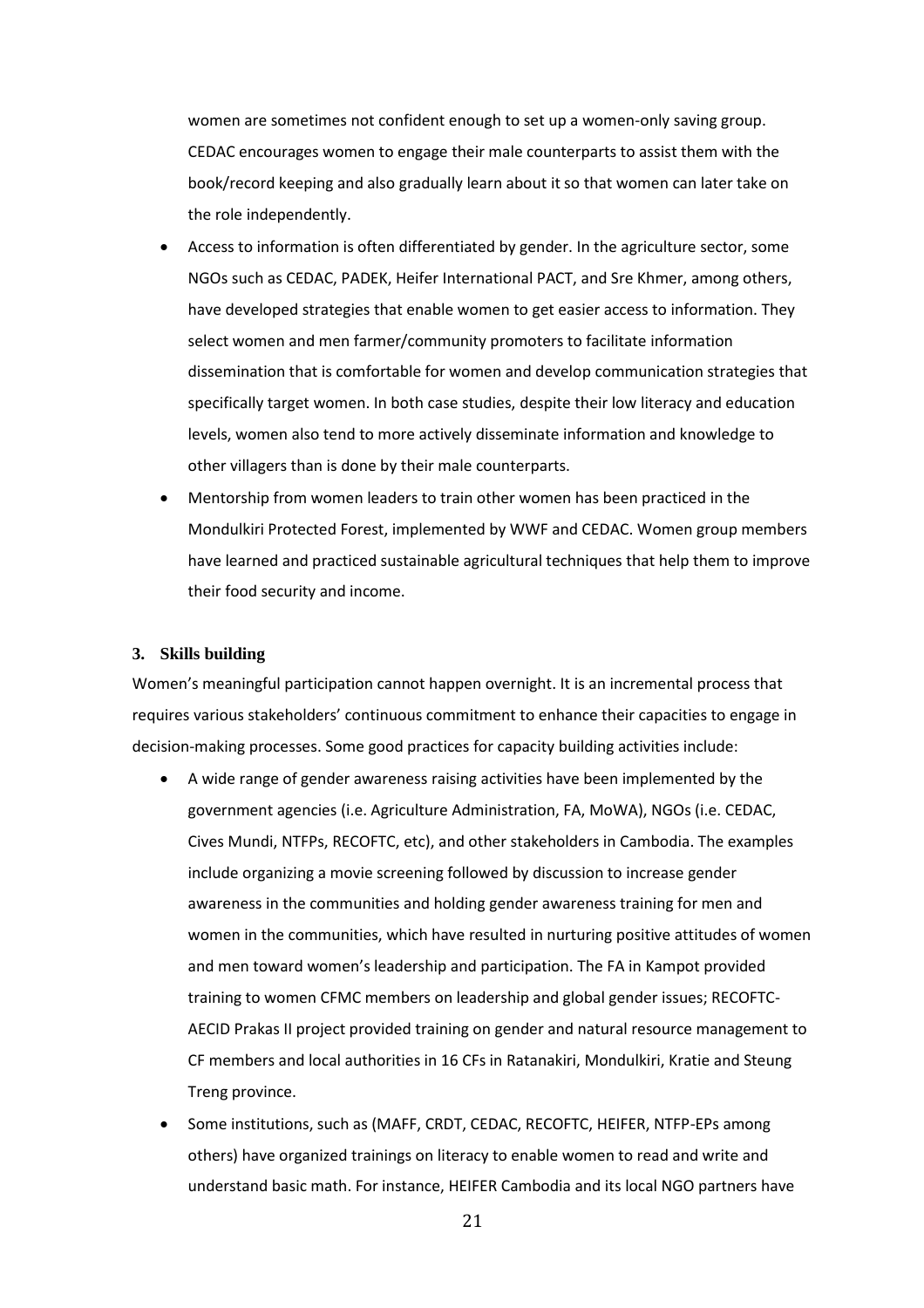women are sometimes not confident enough to set up a women-only saving group. CEDAC encourages women to engage their male counterparts to assist them with the book/record keeping and also gradually learn about it so that women can later take on the role independently.

- Access to information is often differentiated by gender. In the agriculture sector, some NGOs such as CEDAC, PADEK, Heifer International PACT, and Sre Khmer, among others, have developed strategies that enable women to get easier access to information. They select women and men farmer/community promoters to facilitate information dissemination that is comfortable for women and develop communication strategies that specifically target women. In both case studies, despite their low literacy and education levels, women also tend to more actively disseminate information and knowledge to other villagers than is done by their male counterparts.
- Mentorship from women leaders to train other women has been practiced in the Mondulkiri Protected Forest, implemented by WWF and CEDAC. Women group members have learned and practiced sustainable agricultural techniques that help them to improve their food security and income.

#### **3. Skills building**

Women's meaningful participation cannot happen overnight. It is an incremental process that requires various stakeholders' continuous commitment to enhance their capacities to engage in decision-making processes. Some good practices for capacity building activities include:

- A wide range of gender awareness raising activities have been implemented by the government agencies (i.e. Agriculture Administration, FA, MoWA), NGOs (i.e. CEDAC, Cives Mundi, NTFPs, RECOFTC, etc), and other stakeholders in Cambodia. The examples include organizing a movie screening followed by discussion to increase gender awareness in the communities and holding gender awareness training for men and women in the communities, which have resulted in nurturing positive attitudes of women and men toward women's leadership and participation. The FA in Kampot provided training to women CFMC members on leadership and global gender issues; RECOFTC-AECID Prakas II project provided training on gender and natural resource management to CF members and local authorities in 16 CFs in Ratanakiri, Mondulkiri, Kratie and Steung Treng province.
- Some institutions, such as (MAFF, CRDT, CEDAC, RECOFTC, HEIFER, NTFP-EPs among others) have organized trainings on literacy to enable women to read and write and understand basic math. For instance, HEIFER Cambodia and its local NGO partners have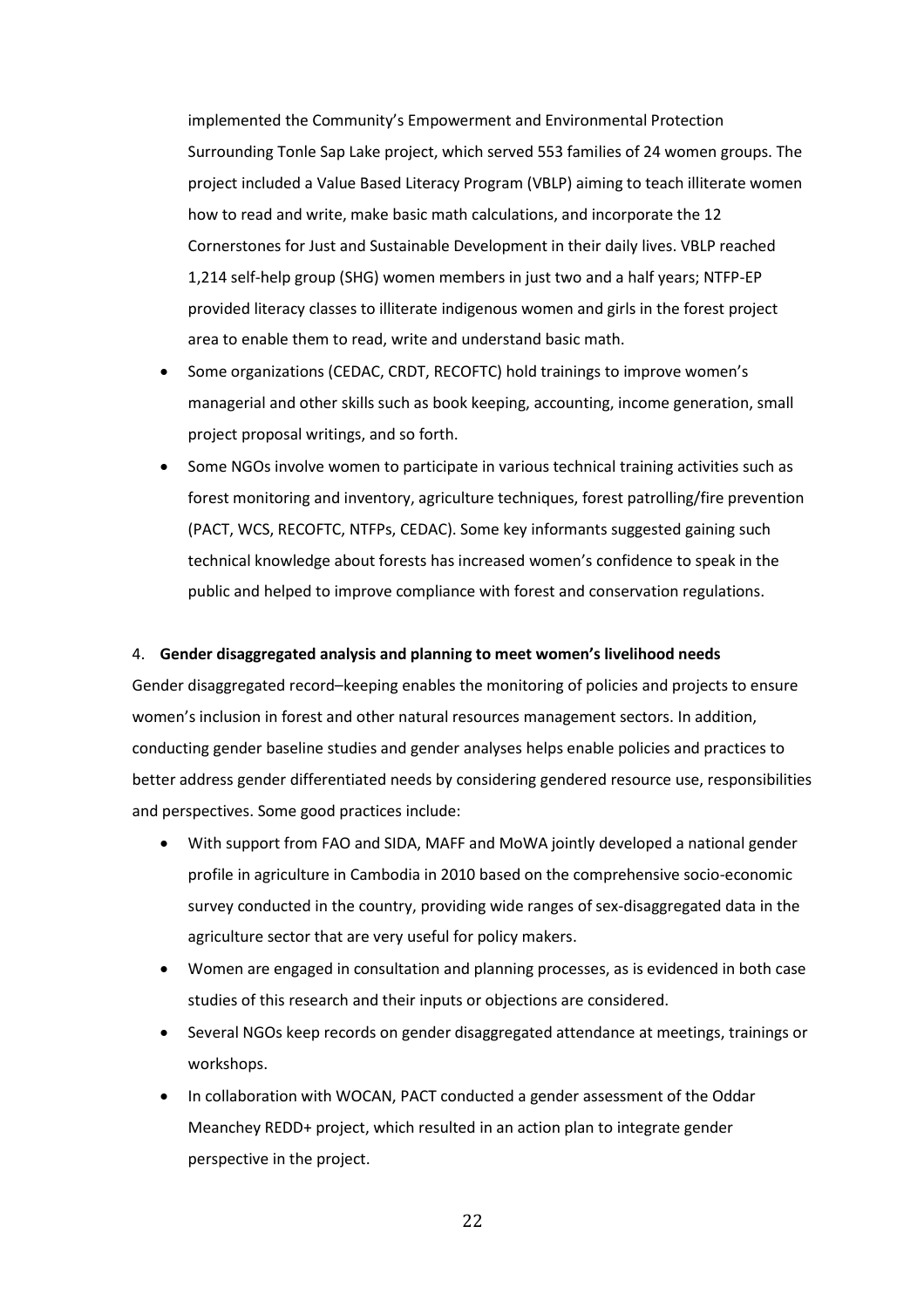implemented the Community's Empowerment and Environmental Protection Surrounding Tonle Sap Lake project, which served 553 families of 24 women groups. The project included a Value Based Literacy Program (VBLP) aiming to teach illiterate women how to read and write, make basic math calculations, and incorporate the 12 Cornerstones for Just and Sustainable Development in their daily lives. VBLP reached 1,214 self-help group (SHG) women members in just two and a half years; NTFP-EP provided literacy classes to illiterate indigenous women and girls in the forest project area to enable them to read, write and understand basic math.

- Some organizations (CEDAC, CRDT, RECOFTC) hold trainings to improve women's managerial and other skills such as book keeping, accounting, income generation, small project proposal writings, and so forth.
- Some NGOs involve women to participate in various technical training activities such as forest monitoring and inventory, agriculture techniques, forest patrolling/fire prevention (PACT, WCS, RECOFTC, NTFPs, CEDAC). Some key informants suggested gaining such technical knowledge about forests has increased women's confidence to speak in the public and helped to improve compliance with forest and conservation regulations.

#### 4. **Gender disaggregated analysis and planning to meet women's livelihood needs**

Gender disaggregated record–keeping enables the monitoring of policies and projects to ensure women's inclusion in forest and other natural resources management sectors. In addition, conducting gender baseline studies and gender analyses helps enable policies and practices to better address gender differentiated needs by considering gendered resource use, responsibilities and perspectives. Some good practices include:

- With support from FAO and SIDA, MAFF and MoWA jointly developed a national gender profile in agriculture in Cambodia in 2010 based on the comprehensive socio-economic survey conducted in the country, providing wide ranges of sex-disaggregated data in the agriculture sector that are very useful for policy makers.
- Women are engaged in consultation and planning processes, as is evidenced in both case studies of this research and their inputs or objections are considered.
- Several NGOs keep records on gender disaggregated attendance at meetings, trainings or workshops.
- In collaboration with WOCAN, PACT conducted a gender assessment of the Oddar Meanchey REDD+ project, which resulted in an action plan to integrate gender perspective in the project.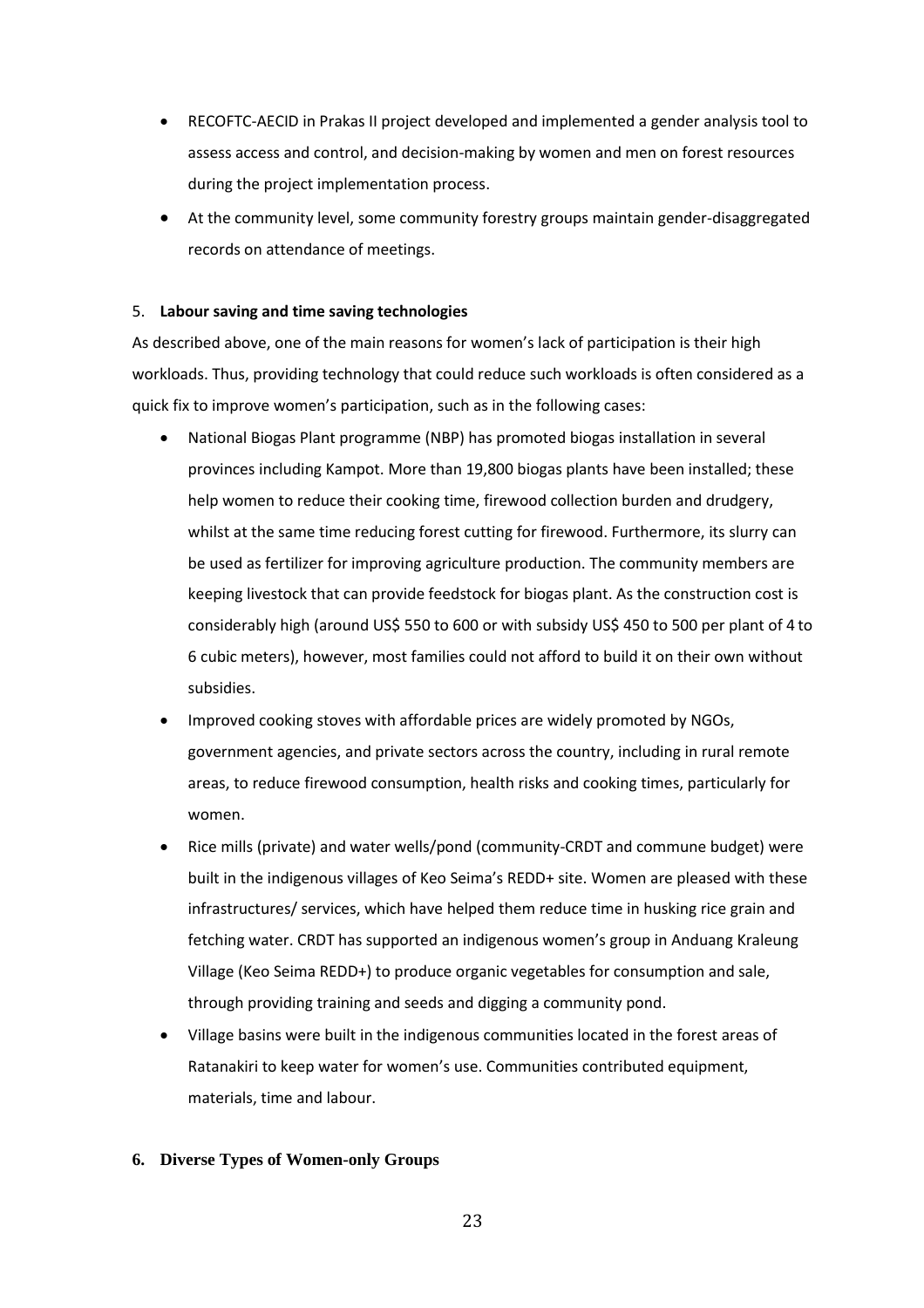- RECOFTC-AECID in Prakas II project developed and implemented a gender analysis tool to assess access and control, and decision-making by women and men on forest resources during the project implementation process.
- At the community level, some community forestry groups maintain gender-disaggregated records on attendance of meetings.

#### 5. **Labour saving and time saving technologies**

As described above, one of the main reasons for women's lack of participation is their high workloads. Thus, providing technology that could reduce such workloads is often considered as a quick fix to improve women's participation, such as in the following cases:

- National Biogas Plant programme (NBP) has promoted biogas installation in several provinces including Kampot. More than 19,800 biogas plants have been installed; these help women to reduce their cooking time, firewood collection burden and drudgery, whilst at the same time reducing forest cutting for firewood. Furthermore, its slurry can be used as fertilizer for improving agriculture production. The community members are keeping livestock that can provide feedstock for biogas plant. As the construction cost is considerably high (around US\$ 550 to 600 or with subsidy US\$ 450 to 500 per plant of 4 to 6 cubic meters), however, most families could not afford to build it on their own without subsidies.
- Improved cooking stoves with affordable prices are widely promoted by NGOs, government agencies, and private sectors across the country, including in rural remote areas, to reduce firewood consumption, health risks and cooking times, particularly for women.
- Rice mills (private) and water wells/pond (community-CRDT and commune budget) were built in the indigenous villages of Keo Seima's REDD+ site. Women are pleased with these infrastructures/ services, which have helped them reduce time in husking rice grain and fetching water. CRDT has supported an indigenous women's group in Anduang Kraleung Village (Keo Seima REDD+) to produce organic vegetables for consumption and sale, through providing training and seeds and digging a community pond.
- Village basins were built in the indigenous communities located in the forest areas of Ratanakiri to keep water for women's use. Communities contributed equipment, materials, time and labour.

#### **6. Diverse Types of Women-only Groups**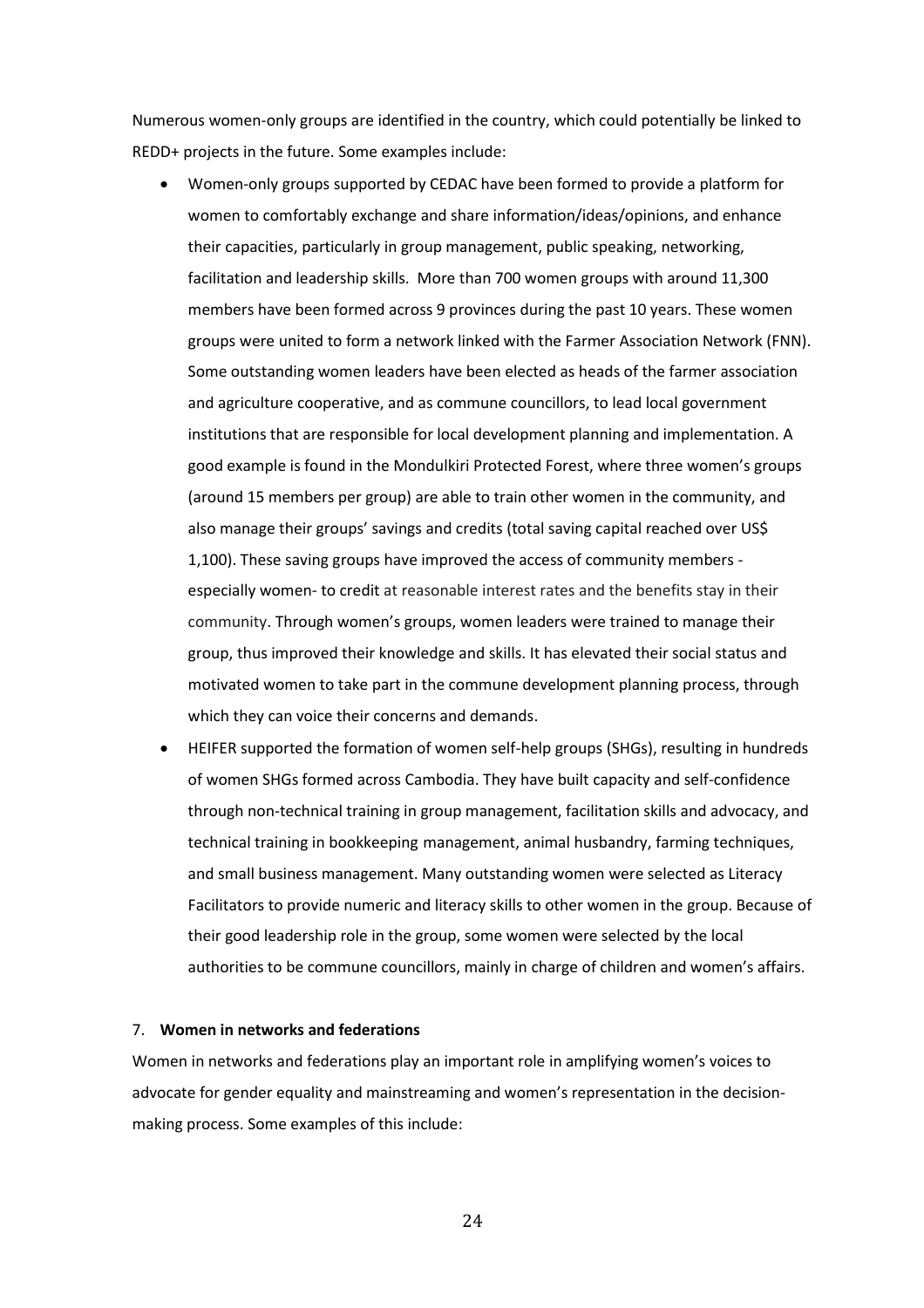Numerous women-only groups are identified in the country, which could potentially be linked to REDD+ projects in the future. Some examples include:

- Women-only groups supported by CEDAC have been formed to provide a platform for women to comfortably exchange and share information/ideas/opinions, and enhance their capacities, particularly in group management, public speaking, networking, facilitation and leadership skills. More than 700 women groups with around 11,300 members have been formed across 9 provinces during the past 10 years. These women groups were united to form a network linked with the Farmer Association Network (FNN). Some outstanding women leaders have been elected as heads of the farmer association and agriculture cooperative, and as commune councillors, to lead local government institutions that are responsible for local development planning and implementation. A good example is found in the Mondulkiri Protected Forest, where three women's groups (around 15 members per group) are able to train other women in the community, and also manage their groups' savings and credits (total saving capital reached over US\$ 1,100). These saving groups have improved the access of community members especially women- to credit at reasonable interest rates and the benefits stay in their community. Through women's groups, women leaders were trained to manage their group, thus improved their knowledge and skills. It has elevated their social status and motivated women to take part in the commune development planning process, through which they can voice their concerns and demands.
- HEIFER supported the formation of women self-help groups (SHGs), resulting in hundreds of women SHGs formed across Cambodia. They have built capacity and self-confidence through non-technical training in group management, facilitation skills and advocacy, and technical training in bookkeeping management, animal husbandry, farming techniques, and small business management. Many outstanding women were selected as Literacy Facilitators to provide numeric and literacy skills to other women in the group. Because of their good leadership role in the group, some women were selected by the local authorities to be commune councillors, mainly in charge of children and women's affairs.

#### 7. **Women in networks and federations**

Women in networks and federations play an important role in amplifying women's voices to advocate for gender equality and mainstreaming and women's representation in the decisionmaking process. Some examples of this include: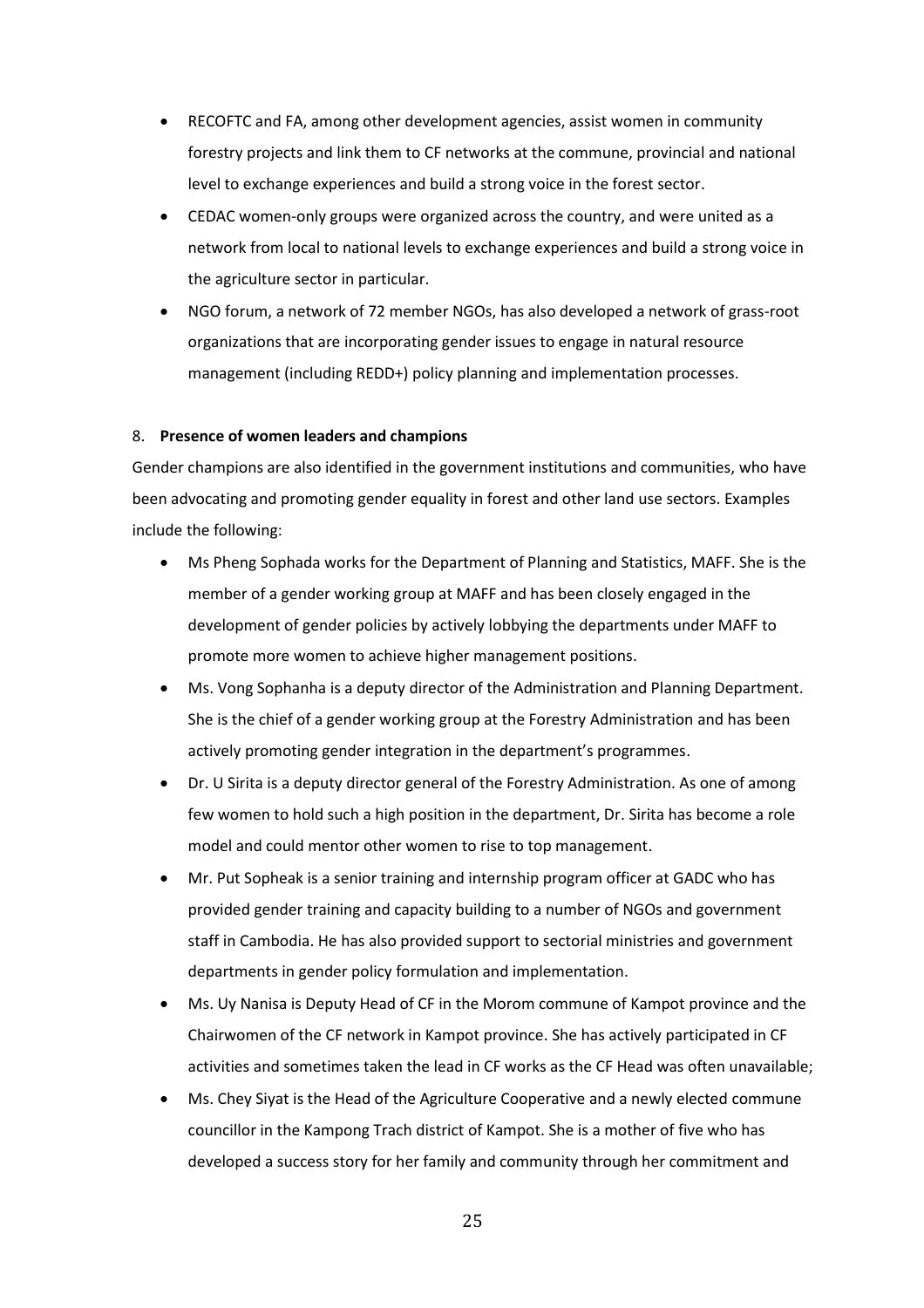- RECOFTC and FA, among other development agencies, assist women in community forestry projects and link them to CF networks at the commune, provincial and national level to exchange experiences and build a strong voice in the forest sector.
- CEDAC women-only groups were organized across the country, and were united as a network from local to national levels to exchange experiences and build a strong voice in the agriculture sector in particular.
- NGO forum, a network of 72 member NGOs, has also developed a network of grass-root organizations that are incorporating gender issues to engage in natural resource management (including REDD+) policy planning and implementation processes.

#### 8. **Presence of women leaders and champions**

Gender champions are also identified in the government institutions and communities, who have been advocating and promoting gender equality in forest and other land use sectors. Examples include the following:

- Ms Pheng Sophada works for the Department of Planning and Statistics, MAFF. She is the member of a gender working group at MAFF and has been closely engaged in the development of gender policies by actively lobbying the departments under MAFF to promote more women to achieve higher management positions.
- Ms. Vong Sophanha is a deputy director of the Administration and Planning Department. She is the chief of a gender working group at the Forestry Administration and has been actively promoting gender integration in the department's programmes.
- Dr. U Sirita is a deputy director general of the Forestry Administration. As one of among few women to hold such a high position in the department, Dr. Sirita has become a role model and could mentor other women to rise to top management.
- Mr. Put Sopheak is a senior training and internship program officer at GADC who has provided gender training and capacity building to a number of NGOs and government staff in Cambodia. He has also provided support to sectorial ministries and government departments in gender policy formulation and implementation.
- Ms. Uy Nanisa is Deputy Head of CF in the Morom commune of Kampot province and the Chairwomen of the CF network in Kampot province. She has actively participated in CF activities and sometimes taken the lead in CF works as the CF Head was often unavailable;
- Ms. Chey Siyat is the Head of the Agriculture Cooperative and a newly elected commune councillor in the Kampong Trach district of Kampot. She is a mother of five who has developed a success story for her family and community through her commitment and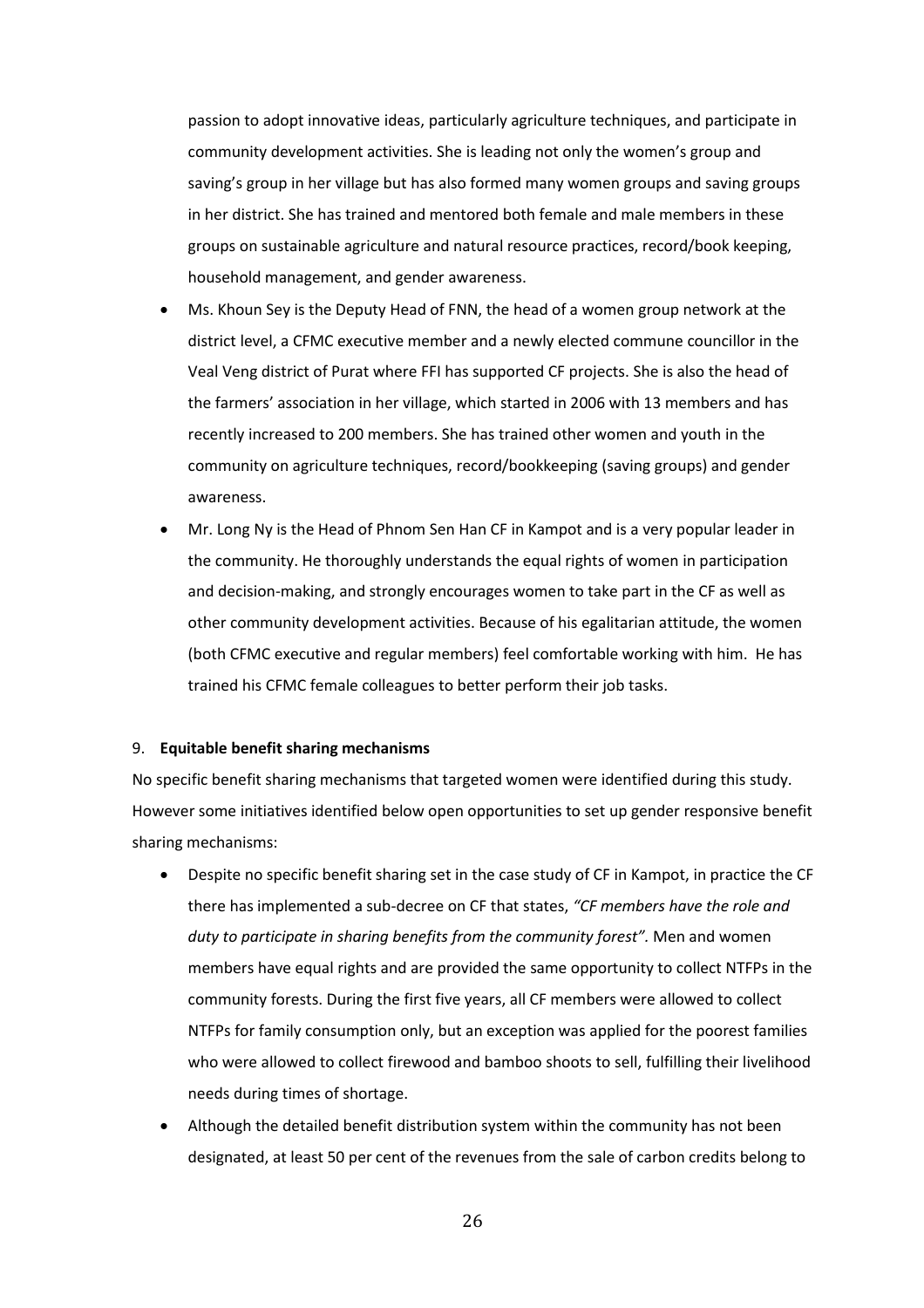passion to adopt innovative ideas, particularly agriculture techniques, and participate in community development activities. She is leading not only the women's group and saving's group in her village but has also formed many women groups and saving groups in her district. She has trained and mentored both female and male members in these groups on sustainable agriculture and natural resource practices, record/book keeping, household management, and gender awareness.

- Ms. Khoun Sey is the Deputy Head of FNN, the head of a women group network at the district level, a CFMC executive member and a newly elected commune councillor in the Veal Veng district of Purat where FFI has supported CF projects. She is also the head of the farmers' association in her village, which started in 2006 with 13 members and has recently increased to 200 members. She has trained other women and youth in the community on agriculture techniques, record/bookkeeping (saving groups) and gender awareness.
- Mr. Long Ny is the Head of Phnom Sen Han CF in Kampot and is a very popular leader in the community. He thoroughly understands the equal rights of women in participation and decision-making, and strongly encourages women to take part in the CF as well as other community development activities. Because of his egalitarian attitude, the women (both CFMC executive and regular members) feel comfortable working with him. He has trained his CFMC female colleagues to better perform their job tasks.

#### 9. **Equitable benefit sharing mechanisms**

No specific benefit sharing mechanisms that targeted women were identified during this study. However some initiatives identified below open opportunities to set up gender responsive benefit sharing mechanisms:

- Despite no specific benefit sharing set in the case study of CF in Kampot, in practice the CF there has implemented a sub-decree on CF that states, *"CF members have the role and duty to participate in sharing benefits from the community forest".* Men and women members have equal rights and are provided the same opportunity to collect NTFPs in the community forests. During the first five years, all CF members were allowed to collect NTFPs for family consumption only, but an exception was applied for the poorest families who were allowed to collect firewood and bamboo shoots to sell, fulfilling their livelihood needs during times of shortage.
- Although the detailed benefit distribution system within the community has not been designated, at least 50 per cent of the revenues from the sale of carbon credits belong to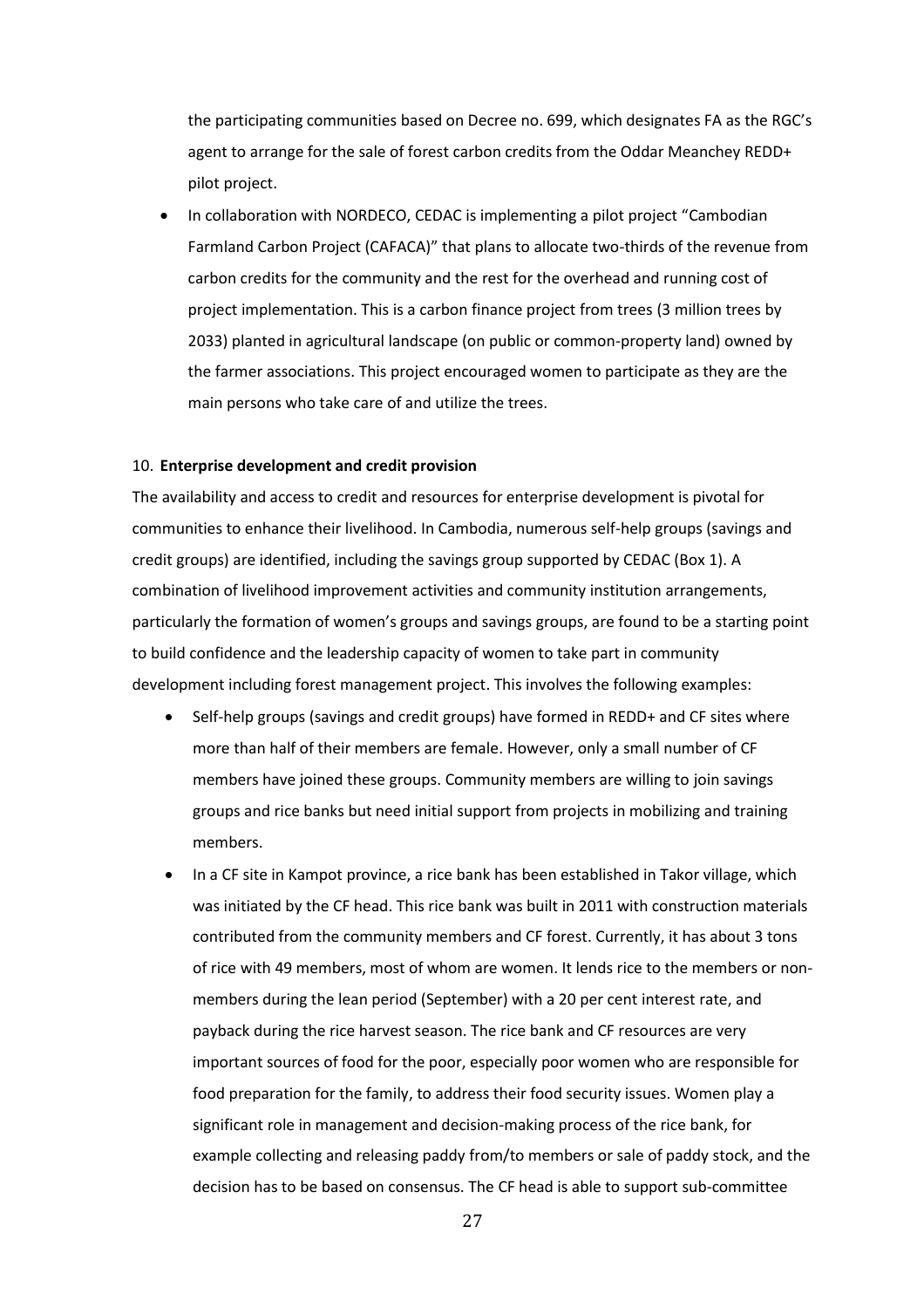the participating communities based on Decree no. 699, which designates FA as the RGC's agent to arrange for the sale of forest carbon credits from the Oddar Meanchey REDD+ pilot project.

 In collaboration with NORDECO, CEDAC is implementing a pilot project "Cambodian Farmland Carbon Project (CAFACA)" that plans to allocate two-thirds of the revenue from carbon credits for the community and the rest for the overhead and running cost of project implementation. This is a carbon finance project from trees (3 million trees by 2033) planted in agricultural landscape (on public or common-property land) owned by the farmer associations. This project encouraged women to participate as they are the main persons who take care of and utilize the trees.

#### 10. **Enterprise development and credit provision**

The availability and access to credit and resources for enterprise development is pivotal for communities to enhance their livelihood. In Cambodia, numerous self-help groups (savings and credit groups) are identified, including the savings group supported by CEDAC (Box 1). A combination of livelihood improvement activities and community institution arrangements, particularly the formation of women's groups and savings groups, are found to be a starting point to build confidence and the leadership capacity of women to take part in community development including forest management project. This involves the following examples:

- Self-help groups (savings and credit groups) have formed in REDD+ and CF sites where more than half of their members are female. However, only a small number of CF members have joined these groups. Community members are willing to join savings groups and rice banks but need initial support from projects in mobilizing and training members.
- In a CF site in Kampot province, a rice bank has been established in Takor village, which was initiated by the CF head. This rice bank was built in 2011 with construction materials contributed from the community members and CF forest. Currently, it has about 3 tons of rice with 49 members, most of whom are women. It lends rice to the members or nonmembers during the lean period (September) with a 20 per cent interest rate, and payback during the rice harvest season. The rice bank and CF resources are very important sources of food for the poor, especially poor women who are responsible for food preparation for the family, to address their food security issues. Women play a significant role in management and decision-making process of the rice bank, for example collecting and releasing paddy from/to members or sale of paddy stock, and the decision has to be based on consensus. The CF head is able to support sub-committee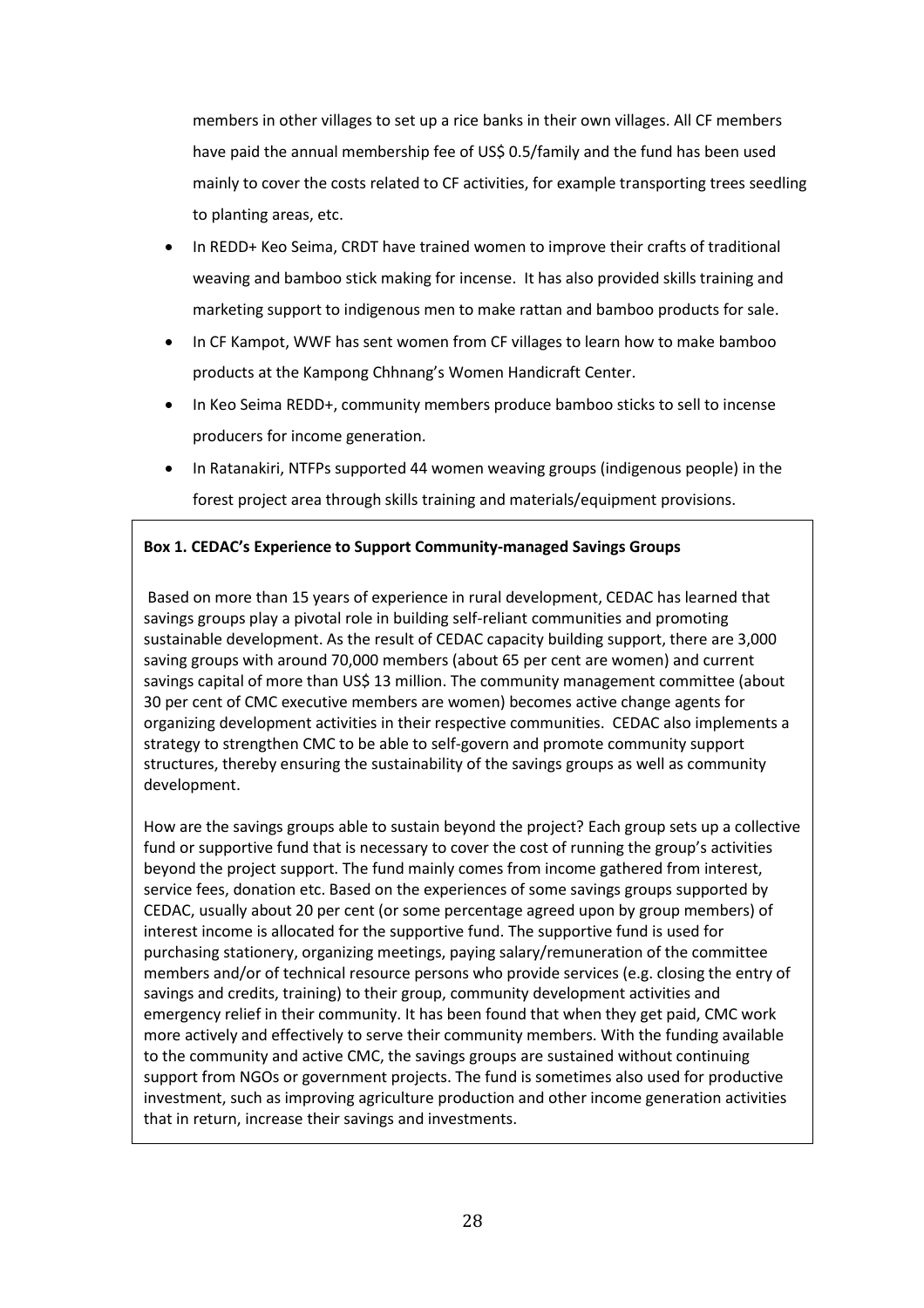members in other villages to set up a rice banks in their own villages. All CF members have paid the annual membership fee of US\$ 0.5/family and the fund has been used mainly to cover the costs related to CF activities, for example transporting trees seedling to planting areas, etc.

- In REDD+ Keo Seima, CRDT have trained women to improve their crafts of traditional weaving and bamboo stick making for incense. It has also provided skills training and marketing support to indigenous men to make rattan and bamboo products for sale.
- In CF Kampot, WWF has sent women from CF villages to learn how to make bamboo products at the Kampong Chhnang's Women Handicraft Center.
- In Keo Seima REDD+, community members produce bamboo sticks to sell to incense producers for income generation.
- In Ratanakiri, NTFPs supported 44 women weaving groups (indigenous people) in the forest project area through skills training and materials/equipment provisions.

#### **Box 1. CEDAC's Experience to Support Community-managed Savings Groups**

Based on more than 15 years of experience in rural development, CEDAC has learned that savings groups play a pivotal role in building self-reliant communities and promoting sustainable development. As the result of CEDAC capacity building support, there are 3,000 saving groups with around 70,000 members (about 65 per cent are women) and current savings capital of more than US\$ 13 million. The community management committee (about 30 per cent of CMC executive members are women) becomes active change agents for organizing development activities in their respective communities. CEDAC also implements a strategy to strengthen CMC to be able to self-govern and promote community support structures, thereby ensuring the sustainability of the savings groups as well as community development.

How are the savings groups able to sustain beyond the project? Each group sets up a collective fund or supportive fund that is necessary to cover the cost of running the group's activities beyond the project support. The fund mainly comes from income gathered from interest, service fees, donation etc. Based on the experiences of some savings groups supported by CEDAC, usually about 20 per cent (or some percentage agreed upon by group members) of interest income is allocated for the supportive fund. The supportive fund is used for purchasing stationery, organizing meetings, paying salary/remuneration of the committee members and/or of technical resource persons who provide services (e.g. closing the entry of savings and credits, training) to their group, community development activities and emergency relief in their community. It has been found that when they get paid, CMC work more actively and effectively to serve their community members. With the funding available to the community and active CMC, the savings groups are sustained without continuing support from NGOs or government projects. The fund is sometimes also used for productive investment, such as improving agriculture production and other income generation activities that in return, increase their savings and investments.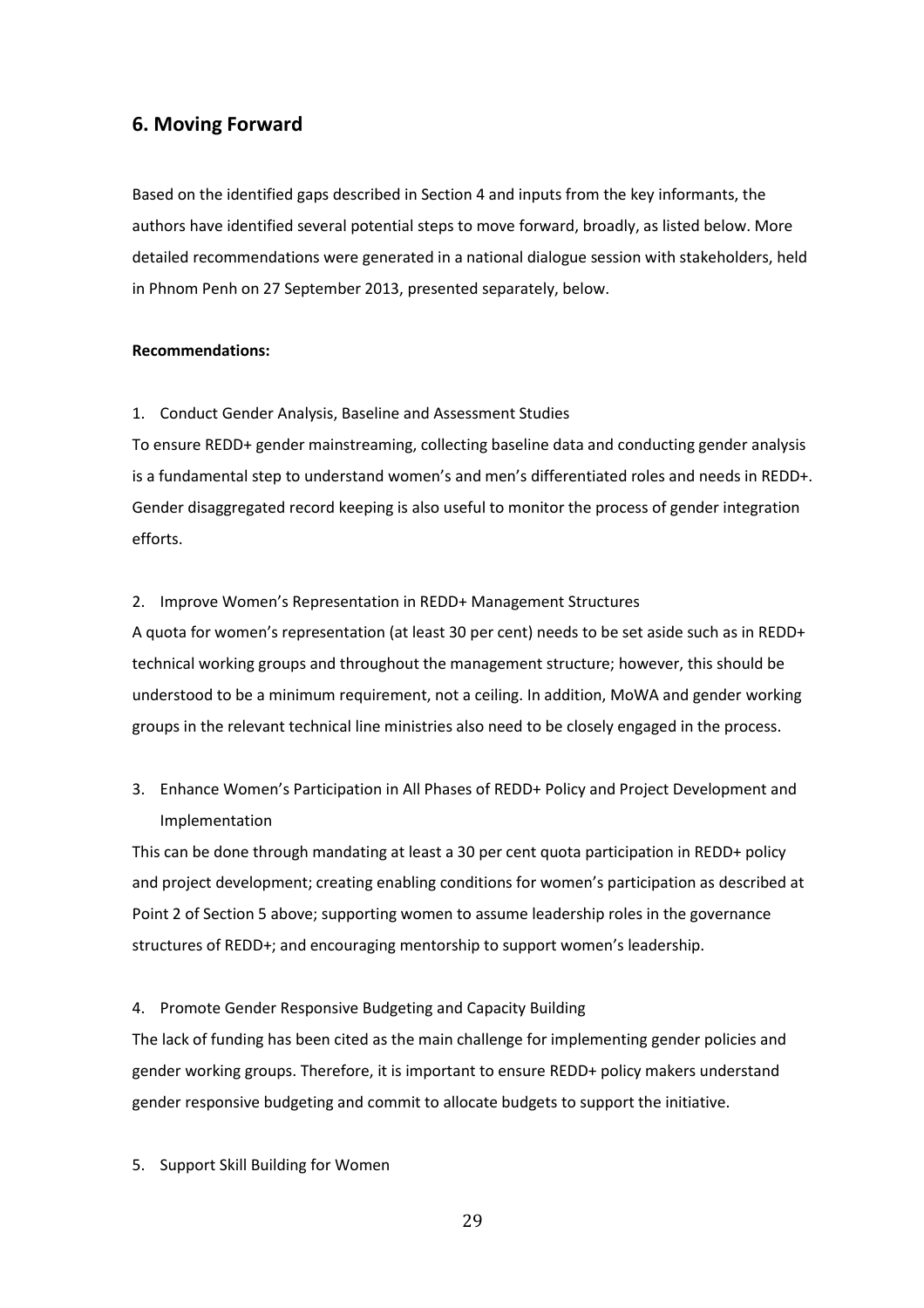## <span id="page-35-0"></span>**6. Moving Forward**

Based on the identified gaps described in Section 4 and inputs from the key informants, the authors have identified several potential steps to move forward, broadly, as listed below. More detailed recommendations were generated in a national dialogue session with stakeholders, held in Phnom Penh on 27 September 2013, presented separately, below.

#### **Recommendations:**

1. Conduct Gender Analysis, Baseline and Assessment Studies

To ensure REDD+ gender mainstreaming, collecting baseline data and conducting gender analysis is a fundamental step to understand women's and men's differentiated roles and needs in REDD+. Gender disaggregated record keeping is also useful to monitor the process of gender integration efforts.

#### 2. Improve Women's Representation in REDD+ Management Structures

A quota for women's representation (at least 30 per cent) needs to be set aside such as in REDD+ technical working groups and throughout the management structure; however, this should be understood to be a minimum requirement, not a ceiling. In addition, MoWA and gender working groups in the relevant technical line ministries also need to be closely engaged in the process.

# 3. Enhance Women's Participation in All Phases of REDD+ Policy and Project Development and Implementation

This can be done through mandating at least a 30 per cent quota participation in REDD+ policy and project development; creating enabling conditions for women's participation as described at Point 2 of Section 5 above; supporting women to assume leadership roles in the governance structures of REDD+; and encouraging mentorship to support women's leadership.

#### 4. Promote Gender Responsive Budgeting and Capacity Building

The lack of funding has been cited as the main challenge for implementing gender policies and gender working groups. Therefore, it is important to ensure REDD+ policy makers understand gender responsive budgeting and commit to allocate budgets to support the initiative.

5. Support Skill Building for Women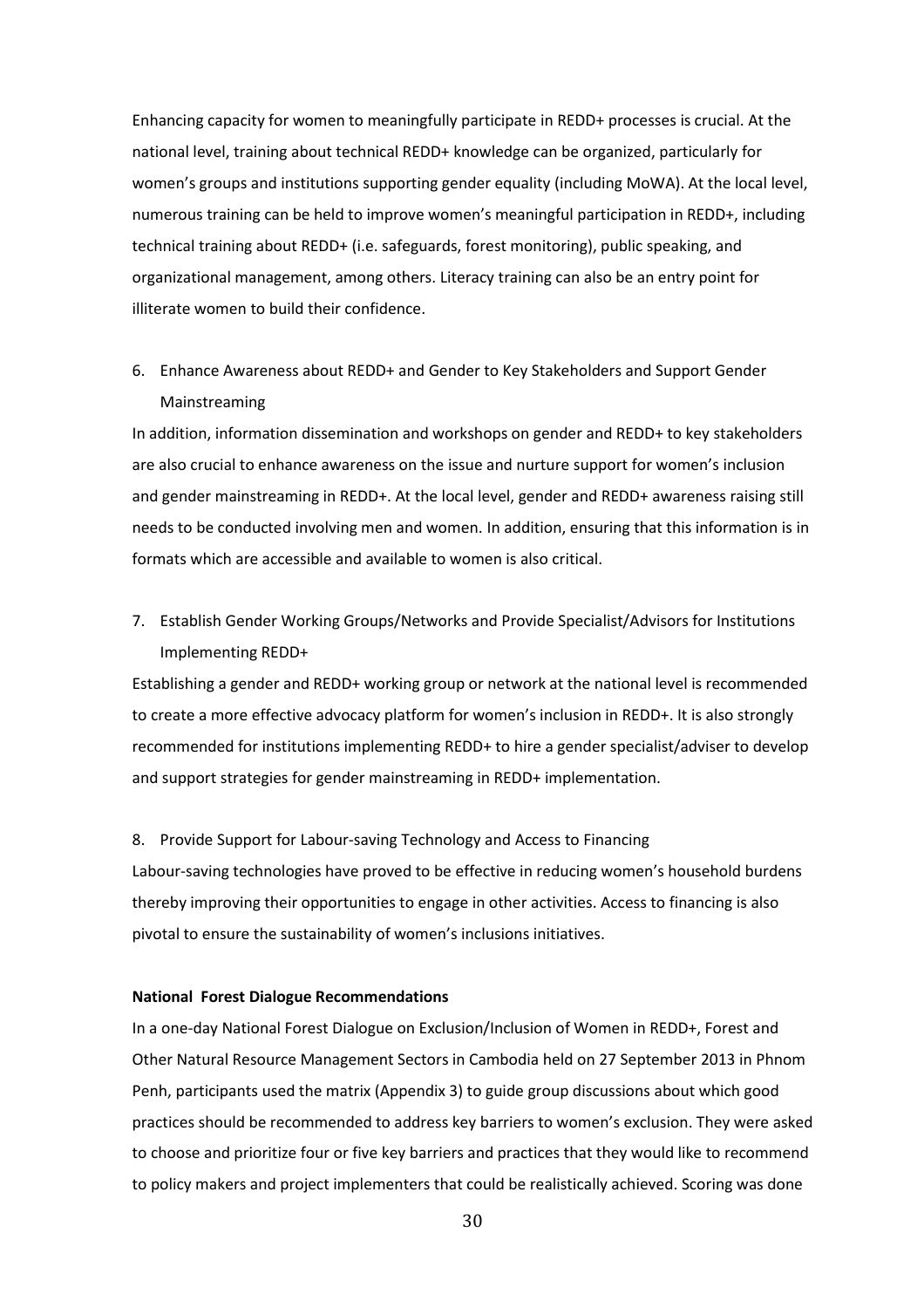Enhancing capacity for women to meaningfully participate in REDD+ processes is crucial. At the national level, training about technical REDD+ knowledge can be organized, particularly for women's groups and institutions supporting gender equality (including MoWA). At the local level, numerous training can be held to improve women's meaningful participation in REDD+, including technical training about REDD+ (i.e. safeguards, forest monitoring), public speaking, and organizational management, among others. Literacy training can also be an entry point for illiterate women to build their confidence.

# 6. Enhance Awareness about REDD+ and Gender to Key Stakeholders and Support Gender Mainstreaming

In addition, information dissemination and workshops on gender and REDD+ to key stakeholders are also crucial to enhance awareness on the issue and nurture support for women's inclusion and gender mainstreaming in REDD+. At the local level, gender and REDD+ awareness raising still needs to be conducted involving men and women. In addition, ensuring that this information is in formats which are accessible and available to women is also critical.

7. Establish Gender Working Groups/Networks and Provide Specialist/Advisors for Institutions Implementing REDD+

Establishing a gender and REDD+ working group or network at the national level is recommended to create a more effective advocacy platform for women's inclusion in REDD+. It is also strongly recommended for institutions implementing REDD+ to hire a gender specialist/adviser to develop and support strategies for gender mainstreaming in REDD+ implementation.

#### 8. Provide Support for Labour-saving Technology and Access to Financing

Labour-saving technologies have proved to be effective in reducing women's household burdens thereby improving their opportunities to engage in other activities. Access to financing is also pivotal to ensure the sustainability of women's inclusions initiatives.

#### **National Forest Dialogue Recommendations**

In a one-day National Forest Dialogue on Exclusion/Inclusion of Women in REDD+, Forest and Other Natural Resource Management Sectors in Cambodia held on 27 September 2013 in Phnom Penh, participants used the matrix (Appendix 3) to guide group discussions about which good practices should be recommended to address key barriers to women's exclusion. They were asked to choose and prioritize four or five key barriers and practices that they would like to recommend to policy makers and project implementers that could be realistically achieved. Scoring was done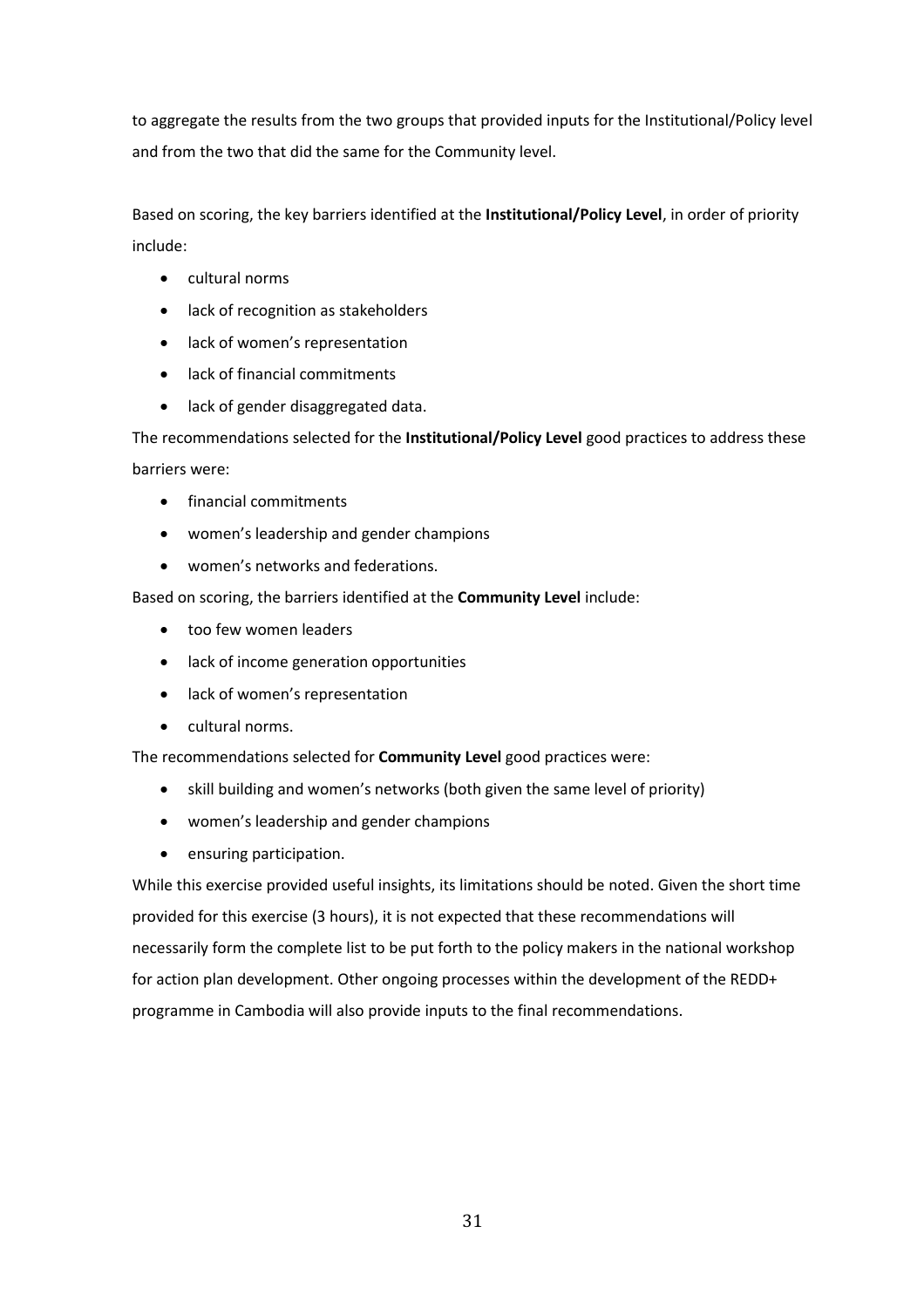to aggregate the results from the two groups that provided inputs for the Institutional/Policy level and from the two that did the same for the Community level.

Based on scoring, the key barriers identified at the **Institutional/Policy Level**, in order of priority include:

- cultural norms
- lack of recognition as stakeholders
- lack of women's representation
- lack of financial commitments
- lack of gender disaggregated data.

The recommendations selected for the **Institutional/Policy Level** good practices to address these barriers were:

- financial commitments
- women's leadership and gender champions
- women's networks and federations.

Based on scoring, the barriers identified at the **Community Level** include:

- too few women leaders
- lack of income generation opportunities
- lack of women's representation
- cultural norms.

The recommendations selected for **Community Level** good practices were:

- skill building and women's networks (both given the same level of priority)
- women's leadership and gender champions
- **•** ensuring participation.

While this exercise provided useful insights, its limitations should be noted. Given the short time provided for this exercise (3 hours), it is not expected that these recommendations will necessarily form the complete list to be put forth to the policy makers in the national workshop for action plan development. Other ongoing processes within the development of the REDD+ programme in Cambodia will also provide inputs to the final recommendations.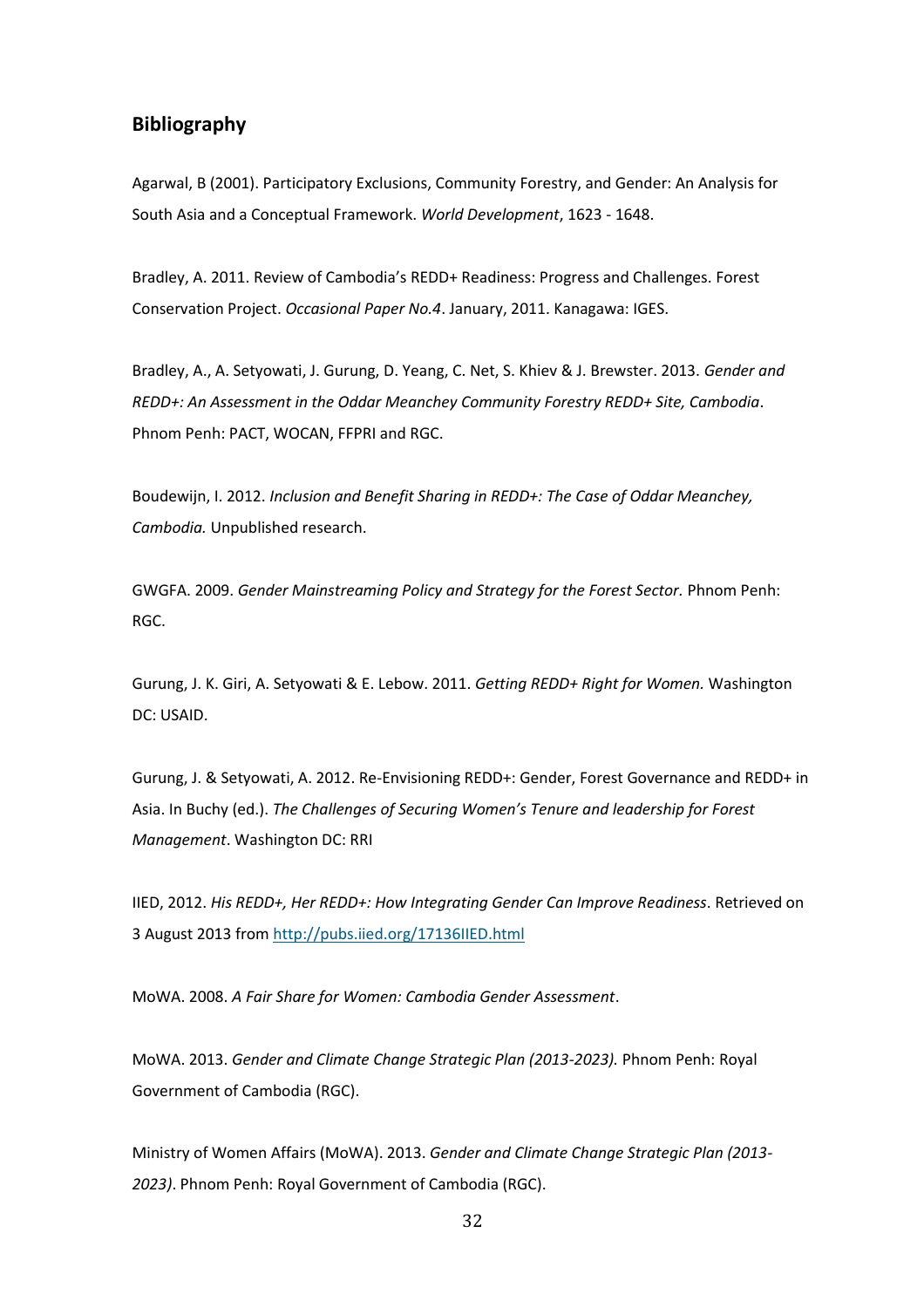## <span id="page-38-0"></span>**Bibliography**

Agarwal, B (2001). Participatory Exclusions, Community Forestry, and Gender: An Analysis for South Asia and a Conceptual Framework. *World Development*, 1623 - 1648.

Bradley, A. 2011. Review of Cambodia's REDD+ Readiness: Progress and Challenges. Forest Conservation Project. *Occasional Paper No.4*. January, 2011. Kanagawa: IGES.

Bradley, A., A. Setyowati, J. Gurung, D. Yeang, C. Net, S. Khiev & J. Brewster. 2013. *Gender and REDD+: An Assessment in the Oddar Meanchey Community Forestry REDD+ Site, Cambodia*. Phnom Penh: PACT, WOCAN, FFPRI and RGC.

Boudewijn, I. 2012. *Inclusion and Benefit Sharing in REDD+: The Case of Oddar Meanchey, Cambodia.* Unpublished research.

GWGFA. 2009. *Gender Mainstreaming Policy and Strategy for the Forest Sector.* Phnom Penh: RGC.

Gurung, J. K. Giri, A. Setyowati & E. Lebow. 2011. *Getting REDD+ Right for Women.* Washington DC: USAID.

Gurung, J. & Setyowati, A. 2012. Re-Envisioning REDD+: Gender, Forest Governance and REDD+ in Asia. In Buchy (ed.). *The Challenges of Securing Women's Tenure and leadership for Forest Management*. Washington DC: RRI

IIED, 2012. *His REDD+, Her REDD+: How Integrating Gender Can Improve Readiness*. Retrieved on 3 August 2013 fro[m http://pubs.iied.org/17136IIED.html](http://pubs.iied.org/17136IIED.html)

MoWA. 2008. *A Fair Share for Women: Cambodia Gender Assessment*.

MoWA. 2013. *Gender and Climate Change Strategic Plan (2013-2023).* Phnom Penh: Royal Government of Cambodia (RGC).

Ministry of Women Affairs (MoWA). 2013. *Gender and Climate Change Strategic Plan (2013- 2023)*. Phnom Penh: Royal Government of Cambodia (RGC).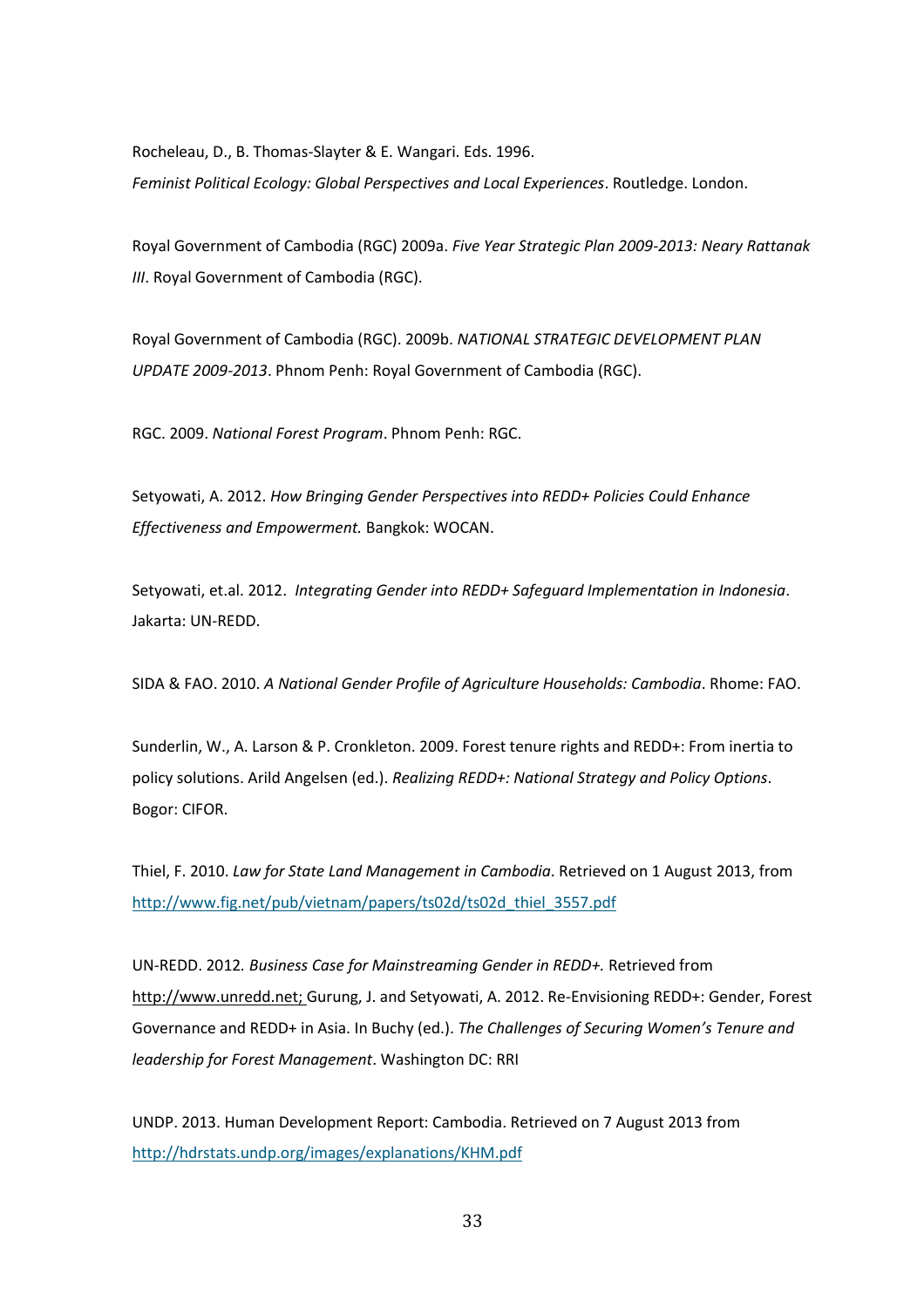Rocheleau, D., B. Thomas-Slayter & E. Wangari. Eds. 1996. *Feminist Political Ecology: Global Perspectives and Local Experiences*. Routledge. London.

Royal Government of Cambodia (RGC) 2009a. *Five Year Strategic Plan 2009-2013: Neary Rattanak III*. Royal Government of Cambodia (RGC).

Royal Government of Cambodia (RGC). 2009b. *NATIONAL STRATEGIC DEVELOPMENT PLAN UPDATE 2009-2013*. Phnom Penh: Royal Government of Cambodia (RGC).

RGC. 2009. *National Forest Program*. Phnom Penh: RGC.

Setyowati, A. 2012. *How Bringing Gender Perspectives into REDD+ Policies Could Enhance Effectiveness and Empowerment.* Bangkok: WOCAN.

Setyowati, et.al. 2012. *Integrating Gender into REDD+ Safeguard Implementation in Indonesia*. Jakarta: UN-REDD.

SIDA & FAO. 2010. *A National Gender Profile of Agriculture Households: Cambodia*. Rhome: FAO.

Sunderlin, W., A. Larson & P. Cronkleton. 2009. Forest tenure rights and REDD+: From inertia to policy solutions. Arild Angelsen (ed.). *Realizing REDD+: National Strategy and Policy Options*. Bogor: CIFOR.

Thiel, F. 2010. *Law for State Land Management in Cambodia*. Retrieved on 1 August 2013, from [http://www.fig.net/pub/vietnam/papers/ts02d/ts02d\\_thiel\\_3557.pdf](http://www.fig.net/pub/vietnam/papers/ts02d/ts02d_thiel_3557.pdf) 

UN-REDD. 2012*. Business Case for Mainstreaming Gender in REDD+.* Retrieved from [http://www.unredd.net;](http://www.unredd.net/) Gurung, J. and Setyowati, A. 2012. Re-Envisioning REDD+: Gender, Forest Governance and REDD+ in Asia. In Buchy (ed.). *The Challenges of Securing Women's Tenure and leadership for Forest Management*. Washington DC: RRI

UNDP. 2013. Human Development Report: Cambodia. Retrieved on 7 August 2013 from <http://hdrstats.undp.org/images/explanations/KHM.pdf>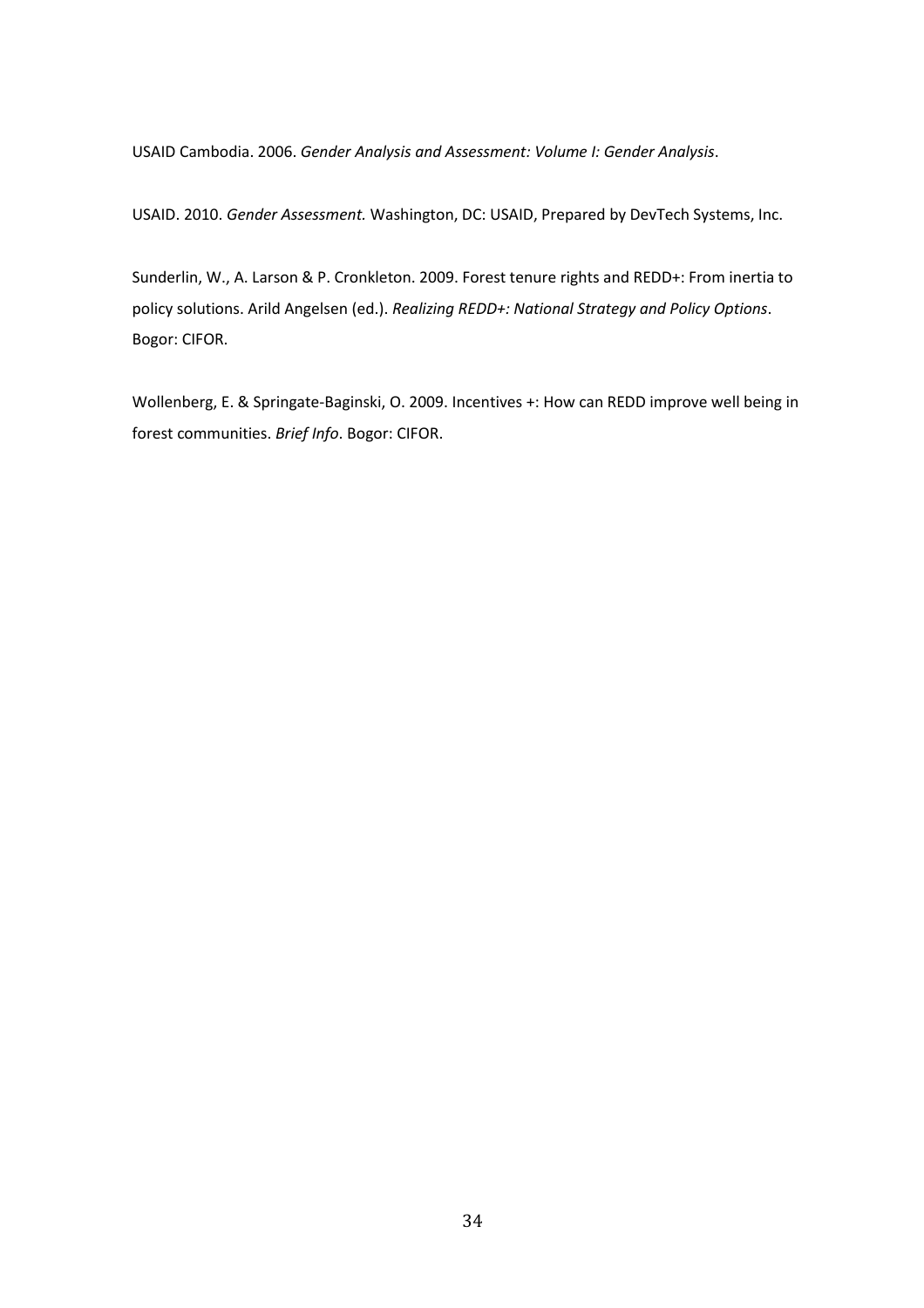USAID Cambodia. 2006. *Gender Analysis and Assessment: Volume I: Gender Analysis*.

USAID. 2010. *Gender Assessment.* Washington, DC: USAID, Prepared by DevTech Systems, Inc.

Sunderlin, W., A. Larson & P. Cronkleton. 2009. Forest tenure rights and REDD+: From inertia to policy solutions. Arild Angelsen (ed.). *Realizing REDD+: National Strategy and Policy Options*. Bogor: CIFOR.

Wollenberg, E. & Springate-Baginski, O. 2009. Incentives +: How can REDD improve well being in forest communities. *Brief Info*. Bogor: CIFOR.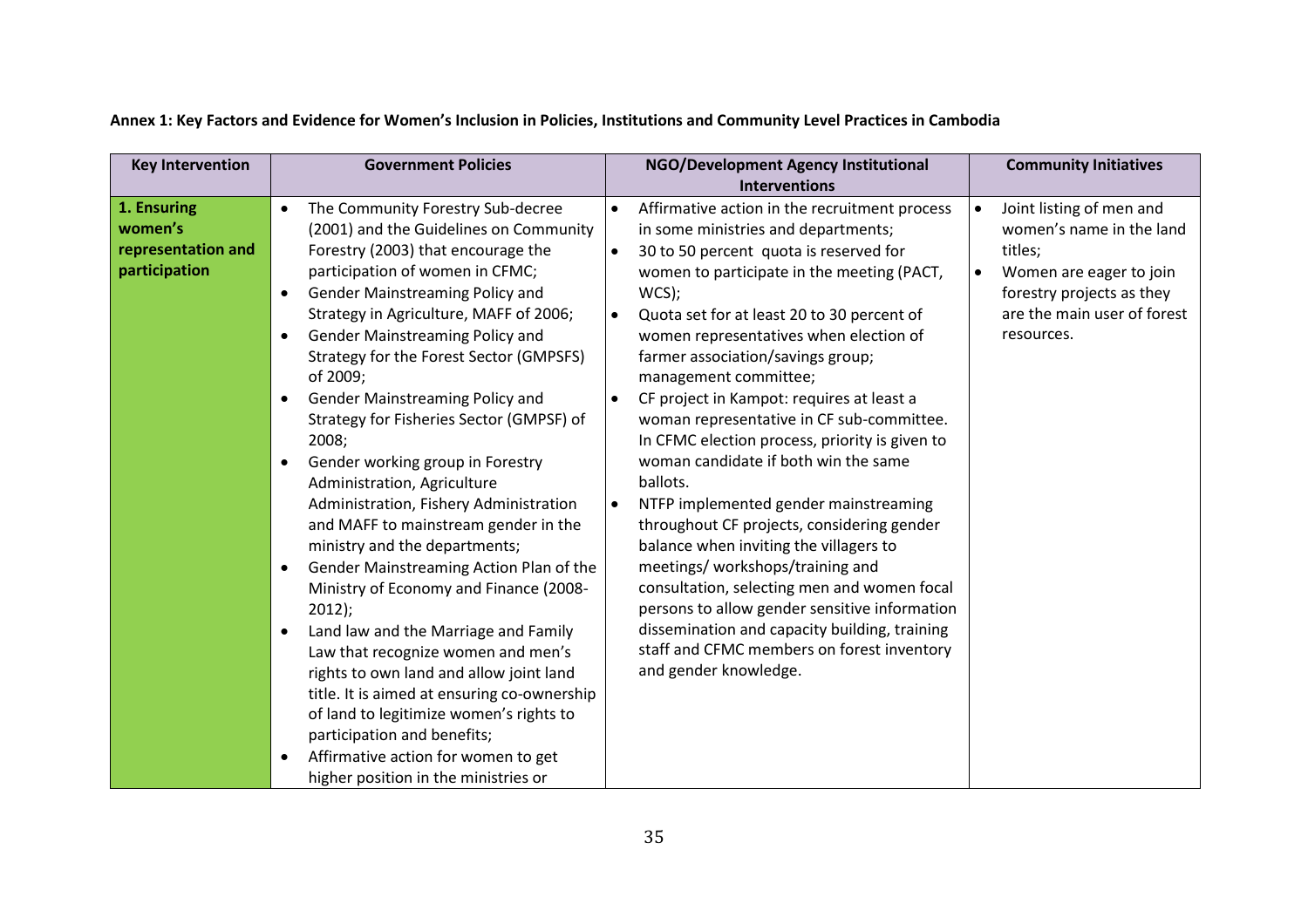<span id="page-41-0"></span>

| <b>Key Intervention</b>                                       | <b>Government Policies</b>                                                                                                                                                                                                                                                                                                                                                                                                                                                                                                                                                                                                                                                                                                                                                                                                                                                                                                                           | NGO/Development Agency Institutional                                                                                                                                                                                                                                                                                                                                                                                                                                                                                                                                                                                                                                                                                                                                                                                                                                                                                                                                                                                                | <b>Community Initiatives</b>                                                                                                                                                      |
|---------------------------------------------------------------|------------------------------------------------------------------------------------------------------------------------------------------------------------------------------------------------------------------------------------------------------------------------------------------------------------------------------------------------------------------------------------------------------------------------------------------------------------------------------------------------------------------------------------------------------------------------------------------------------------------------------------------------------------------------------------------------------------------------------------------------------------------------------------------------------------------------------------------------------------------------------------------------------------------------------------------------------|-------------------------------------------------------------------------------------------------------------------------------------------------------------------------------------------------------------------------------------------------------------------------------------------------------------------------------------------------------------------------------------------------------------------------------------------------------------------------------------------------------------------------------------------------------------------------------------------------------------------------------------------------------------------------------------------------------------------------------------------------------------------------------------------------------------------------------------------------------------------------------------------------------------------------------------------------------------------------------------------------------------------------------------|-----------------------------------------------------------------------------------------------------------------------------------------------------------------------------------|
|                                                               |                                                                                                                                                                                                                                                                                                                                                                                                                                                                                                                                                                                                                                                                                                                                                                                                                                                                                                                                                      |                                                                                                                                                                                                                                                                                                                                                                                                                                                                                                                                                                                                                                                                                                                                                                                                                                                                                                                                                                                                                                     |                                                                                                                                                                                   |
| 1. Ensuring<br>women's<br>representation and<br>participation | The Community Forestry Sub-decree<br>$\bullet$<br>(2001) and the Guidelines on Community<br>Forestry (2003) that encourage the<br>participation of women in CFMC;<br>Gender Mainstreaming Policy and<br>$\bullet$<br>Strategy in Agriculture, MAFF of 2006;<br>Gender Mainstreaming Policy and<br>$\bullet$<br>Strategy for the Forest Sector (GMPSFS)<br>of 2009;<br>Gender Mainstreaming Policy and<br>Strategy for Fisheries Sector (GMPSF) of<br>2008;<br>Gender working group in Forestry<br>$\bullet$<br>Administration, Agriculture<br>Administration, Fishery Administration<br>and MAFF to mainstream gender in the<br>ministry and the departments;<br>Gender Mainstreaming Action Plan of the<br>$\bullet$<br>Ministry of Economy and Finance (2008-<br>$2012$ );<br>Land law and the Marriage and Family<br>Law that recognize women and men's<br>rights to own land and allow joint land<br>title. It is aimed at ensuring co-ownership | <b>Interventions</b><br>Affirmative action in the recruitment process<br>$\bullet$<br>in some ministries and departments;<br>30 to 50 percent quota is reserved for<br>$\bullet$<br>women to participate in the meeting (PACT,<br>$WCS$ ;<br>Quota set for at least 20 to 30 percent of<br>$\bullet$<br>women representatives when election of<br>farmer association/savings group;<br>management committee;<br>CF project in Kampot: requires at least a<br>$\bullet$<br>woman representative in CF sub-committee.<br>In CFMC election process, priority is given to<br>woman candidate if both win the same<br>ballots.<br>NTFP implemented gender mainstreaming<br>$\bullet$<br>throughout CF projects, considering gender<br>balance when inviting the villagers to<br>meetings/ workshops/training and<br>consultation, selecting men and women focal<br>persons to allow gender sensitive information<br>dissemination and capacity building, training<br>staff and CFMC members on forest inventory<br>and gender knowledge. | Joint listing of men and<br>women's name in the land<br>titles;<br>Women are eager to join<br>$\bullet$<br>forestry projects as they<br>are the main user of forest<br>resources. |
|                                                               | of land to legitimize women's rights to<br>participation and benefits;<br>Affirmative action for women to get<br>higher position in the ministries or                                                                                                                                                                                                                                                                                                                                                                                                                                                                                                                                                                                                                                                                                                                                                                                                |                                                                                                                                                                                                                                                                                                                                                                                                                                                                                                                                                                                                                                                                                                                                                                                                                                                                                                                                                                                                                                     |                                                                                                                                                                                   |

## **Annex 1: Key Factors and Evidence for Women's Inclusion in Policies, Institutions and Community Level Practices in Cambodia**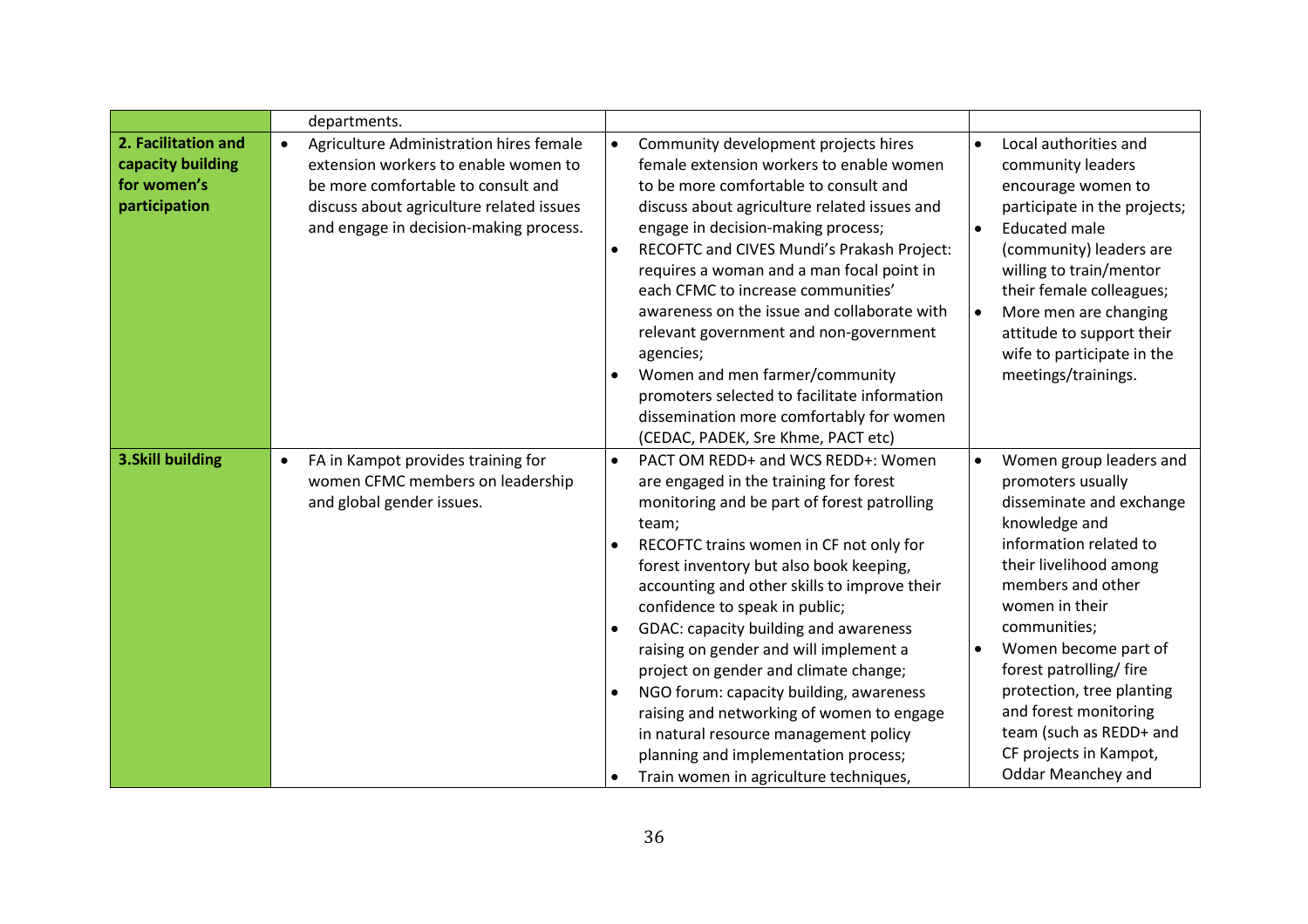|                                                                          | departments.                                                                                                                                                                                                             |                                                                                                                                                                                                                                                                                                                                                                                                                                                                                                                                                                                                                                                                                                                 |                                                                                                                                                                                                                                                                                                                                                                                                |
|--------------------------------------------------------------------------|--------------------------------------------------------------------------------------------------------------------------------------------------------------------------------------------------------------------------|-----------------------------------------------------------------------------------------------------------------------------------------------------------------------------------------------------------------------------------------------------------------------------------------------------------------------------------------------------------------------------------------------------------------------------------------------------------------------------------------------------------------------------------------------------------------------------------------------------------------------------------------------------------------------------------------------------------------|------------------------------------------------------------------------------------------------------------------------------------------------------------------------------------------------------------------------------------------------------------------------------------------------------------------------------------------------------------------------------------------------|
| 2. Facilitation and<br>capacity building<br>for women's<br>participation | Agriculture Administration hires female<br>$\bullet$<br>extension workers to enable women to<br>be more comfortable to consult and<br>discuss about agriculture related issues<br>and engage in decision-making process. | Community development projects hires<br>$\bullet$<br>female extension workers to enable women<br>to be more comfortable to consult and<br>discuss about agriculture related issues and<br>engage in decision-making process;<br>RECOFTC and CIVES Mundi's Prakash Project:<br>$\bullet$<br>requires a woman and a man focal point in<br>each CFMC to increase communities'<br>awareness on the issue and collaborate with<br>relevant government and non-government<br>agencies;<br>Women and men farmer/community<br>$\bullet$<br>promoters selected to facilitate information<br>dissemination more comfortably for women<br>(CEDAC, PADEK, Sre Khme, PACT etc)                                               | Local authorities and<br>$\bullet$<br>community leaders<br>encourage women to<br>participate in the projects;<br><b>Educated male</b><br>$\bullet$<br>(community) leaders are<br>willing to train/mentor<br>their female colleagues;<br>More men are changing<br>attitude to support their<br>wife to participate in the<br>meetings/trainings.                                                |
| <b>3.Skill building</b>                                                  | FA in Kampot provides training for<br>$\bullet$<br>women CFMC members on leadership<br>and global gender issues.                                                                                                         | PACT OM REDD+ and WCS REDD+: Women<br>$\bullet$<br>are engaged in the training for forest<br>monitoring and be part of forest patrolling<br>team;<br>RECOFTC trains women in CF not only for<br>forest inventory but also book keeping,<br>accounting and other skills to improve their<br>confidence to speak in public;<br>GDAC: capacity building and awareness<br>$\bullet$<br>raising on gender and will implement a<br>project on gender and climate change;<br>NGO forum: capacity building, awareness<br>$\bullet$<br>raising and networking of women to engage<br>in natural resource management policy<br>planning and implementation process;<br>Train women in agriculture techniques,<br>$\bullet$ | Women group leaders and<br>promoters usually<br>disseminate and exchange<br>knowledge and<br>information related to<br>their livelihood among<br>members and other<br>women in their<br>communities;<br>Women become part of<br>forest patrolling/fire<br>protection, tree planting<br>and forest monitoring<br>team (such as REDD+ and<br>CF projects in Kampot,<br><b>Oddar Meanchey and</b> |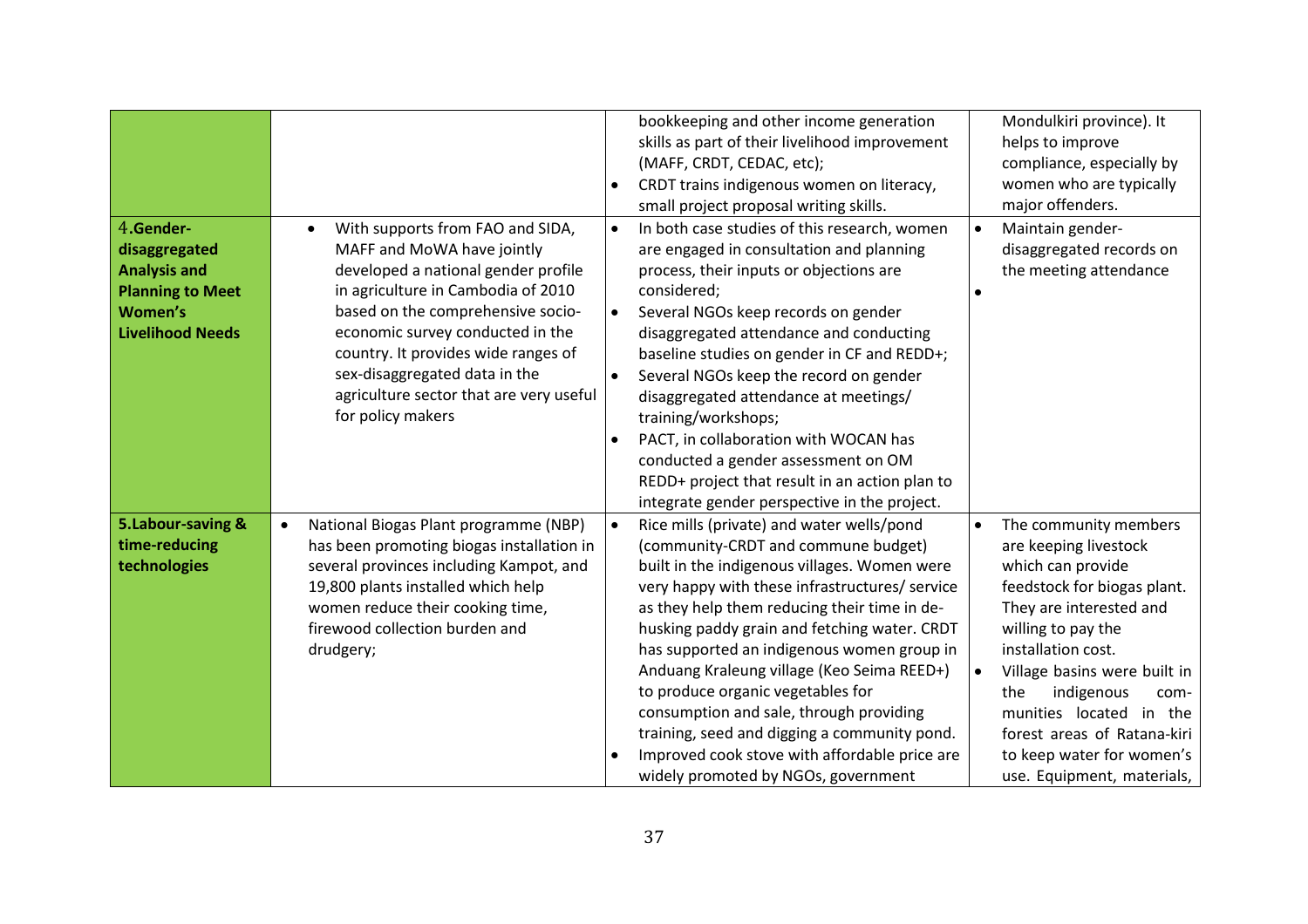| 4.Gender-<br>disaggregated<br><b>Analysis and</b><br><b>Planning to Meet</b><br><b>Women's</b><br><b>Livelihood Needs</b> | With supports from FAO and SIDA,<br>MAFF and MoWA have jointly<br>developed a national gender profile<br>in agriculture in Cambodia of 2010<br>based on the comprehensive socio-<br>economic survey conducted in the<br>country. It provides wide ranges of<br>sex-disaggregated data in the<br>agriculture sector that are very useful<br>for policy makers | bookkeeping and other income generation<br>skills as part of their livelihood improvement<br>(MAFF, CRDT, CEDAC, etc);<br>CRDT trains indigenous women on literacy,<br>$\bullet$<br>small project proposal writing skills.<br>In both case studies of this research, women<br>$\bullet$<br>are engaged in consultation and planning<br>process, their inputs or objections are<br>considered;<br>Several NGOs keep records on gender<br>$\bullet$<br>disaggregated attendance and conducting<br>baseline studies on gender in CF and REDD+;<br>Several NGOs keep the record on gender<br>$\bullet$<br>disaggregated attendance at meetings/<br>training/workshops;<br>PACT, in collaboration with WOCAN has<br>$\bullet$<br>conducted a gender assessment on OM<br>REDD+ project that result in an action plan to<br>integrate gender perspective in the project. | Mondulkiri province). It<br>helps to improve<br>compliance, especially by<br>women who are typically<br>major offenders.<br>Maintain gender-<br>disaggregated records on<br>the meeting attendance                                                                |
|---------------------------------------------------------------------------------------------------------------------------|--------------------------------------------------------------------------------------------------------------------------------------------------------------------------------------------------------------------------------------------------------------------------------------------------------------------------------------------------------------|-------------------------------------------------------------------------------------------------------------------------------------------------------------------------------------------------------------------------------------------------------------------------------------------------------------------------------------------------------------------------------------------------------------------------------------------------------------------------------------------------------------------------------------------------------------------------------------------------------------------------------------------------------------------------------------------------------------------------------------------------------------------------------------------------------------------------------------------------------------------|-------------------------------------------------------------------------------------------------------------------------------------------------------------------------------------------------------------------------------------------------------------------|
| 5.Labour-saving &<br>time-reducing<br>technologies                                                                        | National Biogas Plant programme (NBP)<br>$\bullet$<br>has been promoting biogas installation in<br>several provinces including Kampot, and<br>19,800 plants installed which help<br>women reduce their cooking time,<br>firewood collection burden and<br>drudgery;                                                                                          | Rice mills (private) and water wells/pond<br>$\bullet$<br>(community-CRDT and commune budget)<br>built in the indigenous villages. Women were<br>very happy with these infrastructures/ service<br>as they help them reducing their time in de-<br>husking paddy grain and fetching water. CRDT<br>has supported an indigenous women group in<br>Anduang Kraleung village (Keo Seima REED+)<br>to produce organic vegetables for<br>consumption and sale, through providing                                                                                                                                                                                                                                                                                                                                                                                       | The community members<br>are keeping livestock<br>which can provide<br>feedstock for biogas plant.<br>They are interested and<br>willing to pay the<br>installation cost.<br>Village basins were built in<br>indigenous<br>the<br>com-<br>munities located in the |
|                                                                                                                           |                                                                                                                                                                                                                                                                                                                                                              | training, seed and digging a community pond.<br>Improved cook stove with affordable price are<br>$\bullet$<br>widely promoted by NGOs, government                                                                                                                                                                                                                                                                                                                                                                                                                                                                                                                                                                                                                                                                                                                 | forest areas of Ratana-kiri<br>to keep water for women's<br>use. Equipment, materials,                                                                                                                                                                            |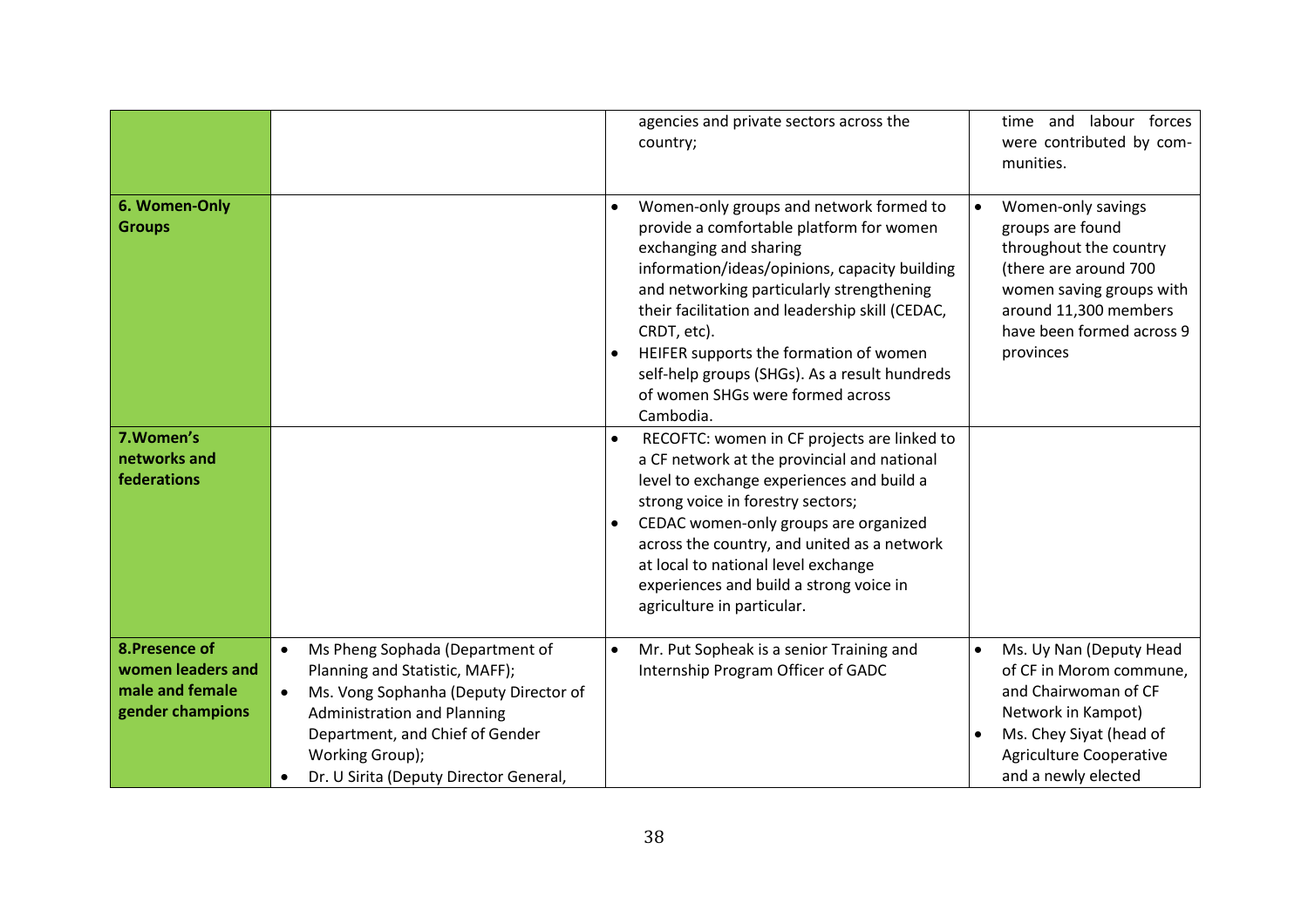|                                                                            |                                                                                                                                                                                                                                                                            | agencies and private sectors across the<br>country;                                                                                                                                                                                                                                                                                                                                                                                                 | time and labour forces<br>were contributed by com-<br>munities.                                                                                                                                   |
|----------------------------------------------------------------------------|----------------------------------------------------------------------------------------------------------------------------------------------------------------------------------------------------------------------------------------------------------------------------|-----------------------------------------------------------------------------------------------------------------------------------------------------------------------------------------------------------------------------------------------------------------------------------------------------------------------------------------------------------------------------------------------------------------------------------------------------|---------------------------------------------------------------------------------------------------------------------------------------------------------------------------------------------------|
| 6. Women-Only<br><b>Groups</b>                                             |                                                                                                                                                                                                                                                                            | Women-only groups and network formed to<br>$\bullet$<br>provide a comfortable platform for women<br>exchanging and sharing<br>information/ideas/opinions, capacity building<br>and networking particularly strengthening<br>their facilitation and leadership skill (CEDAC,<br>CRDT, etc).<br>HEIFER supports the formation of women<br>$\bullet$<br>self-help groups (SHGs). As a result hundreds<br>of women SHGs were formed across<br>Cambodia. | Women-only savings<br>groups are found<br>throughout the country<br>(there are around 700<br>women saving groups with<br>around 11,300 members<br>have been formed across 9<br>provinces          |
| 7. Women's<br>networks and<br>federations                                  |                                                                                                                                                                                                                                                                            | RECOFTC: women in CF projects are linked to<br>$\bullet$<br>a CF network at the provincial and national<br>level to exchange experiences and build a<br>strong voice in forestry sectors;<br>CEDAC women-only groups are organized<br>$\bullet$<br>across the country, and united as a network<br>at local to national level exchange<br>experiences and build a strong voice in<br>agriculture in particular.                                      |                                                                                                                                                                                                   |
| 8. Presence of<br>women leaders and<br>male and female<br>gender champions | Ms Pheng Sophada (Department of<br>$\bullet$<br>Planning and Statistic, MAFF);<br>Ms. Vong Sophanha (Deputy Director of<br>$\bullet$<br><b>Administration and Planning</b><br>Department, and Chief of Gender<br>Working Group);<br>Dr. U Sirita (Deputy Director General, | Mr. Put Sopheak is a senior Training and<br>$\bullet$<br>Internship Program Officer of GADC                                                                                                                                                                                                                                                                                                                                                         | Ms. Uy Nan (Deputy Head<br>$\bullet$<br>of CF in Morom commune,<br>and Chairwoman of CF<br>Network in Kampot)<br>Ms. Chey Siyat (head of<br><b>Agriculture Cooperative</b><br>and a newly elected |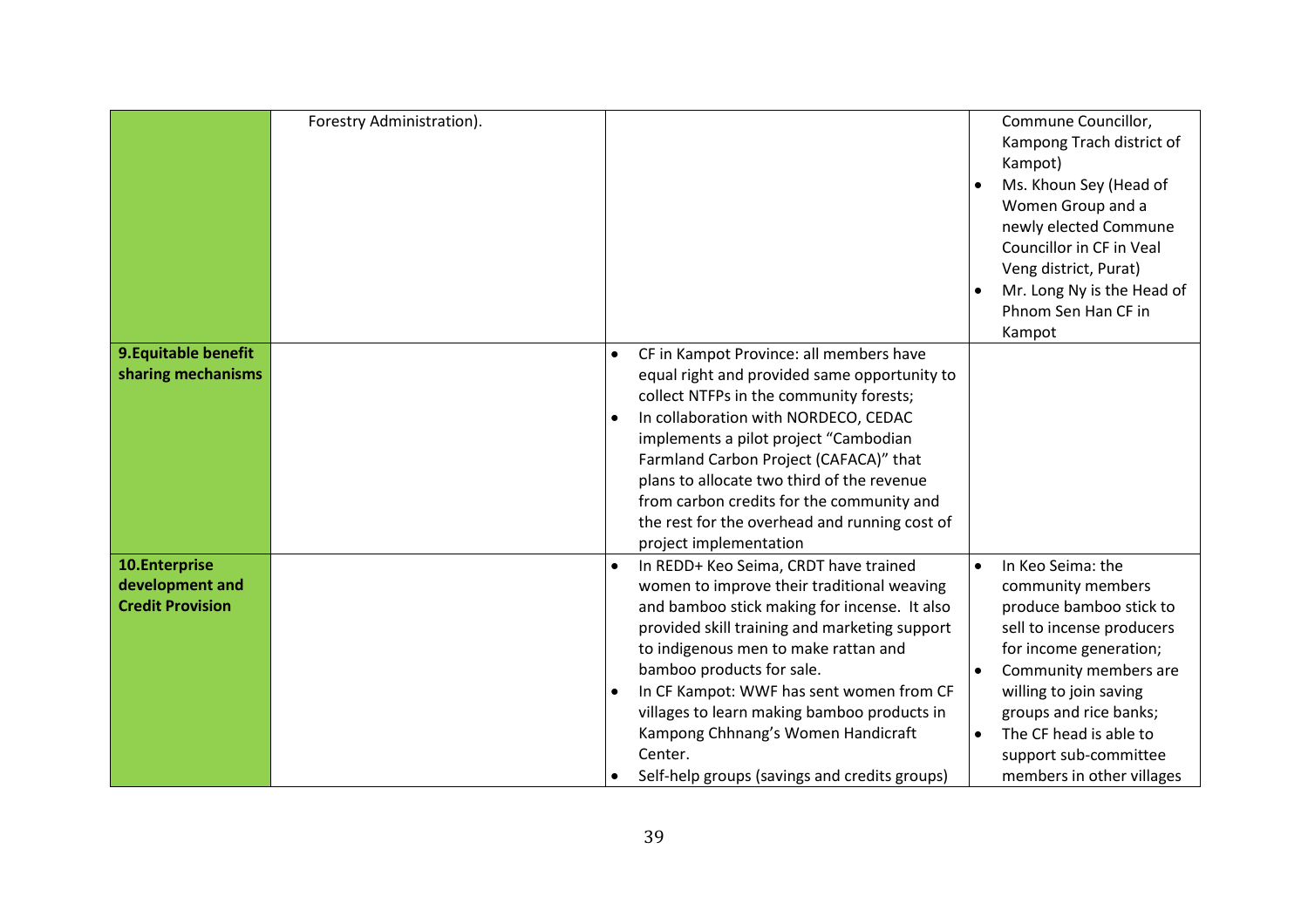|                                                             | Forestry Administration). |                                                                                                                                                                                                                                                                                                                                                                                                                                                                                  | Commune Councillor,<br>Kampong Trach district of<br>Kampot)<br>Ms. Khoun Sey (Head of<br>Women Group and a<br>newly elected Commune<br>Councillor in CF in Veal<br>Veng district, Purat)<br>Mr. Long Ny is the Head of<br>Phnom Sen Han CF in<br>Kampot                                                         |
|-------------------------------------------------------------|---------------------------|----------------------------------------------------------------------------------------------------------------------------------------------------------------------------------------------------------------------------------------------------------------------------------------------------------------------------------------------------------------------------------------------------------------------------------------------------------------------------------|-----------------------------------------------------------------------------------------------------------------------------------------------------------------------------------------------------------------------------------------------------------------------------------------------------------------|
| 9. Equitable benefit<br>sharing mechanisms                  |                           | CF in Kampot Province: all members have<br>$\bullet$<br>equal right and provided same opportunity to<br>collect NTFPs in the community forests;<br>In collaboration with NORDECO, CEDAC<br>$\bullet$<br>implements a pilot project "Cambodian<br>Farmland Carbon Project (CAFACA)" that<br>plans to allocate two third of the revenue<br>from carbon credits for the community and<br>the rest for the overhead and running cost of<br>project implementation                    |                                                                                                                                                                                                                                                                                                                 |
| 10.Enterprise<br>development and<br><b>Credit Provision</b> |                           | In REDD+ Keo Seima, CRDT have trained<br>$\bullet$<br>women to improve their traditional weaving<br>and bamboo stick making for incense. It also<br>provided skill training and marketing support<br>to indigenous men to make rattan and<br>bamboo products for sale.<br>In CF Kampot: WWF has sent women from CF<br>$\bullet$<br>villages to learn making bamboo products in<br>Kampong Chhnang's Women Handicraft<br>Center.<br>Self-help groups (savings and credits groups) | In Keo Seima: the<br>$\bullet$<br>community members<br>produce bamboo stick to<br>sell to incense producers<br>for income generation;<br>Community members are<br>willing to join saving<br>groups and rice banks;<br>The CF head is able to<br>$\bullet$<br>support sub-committee<br>members in other villages |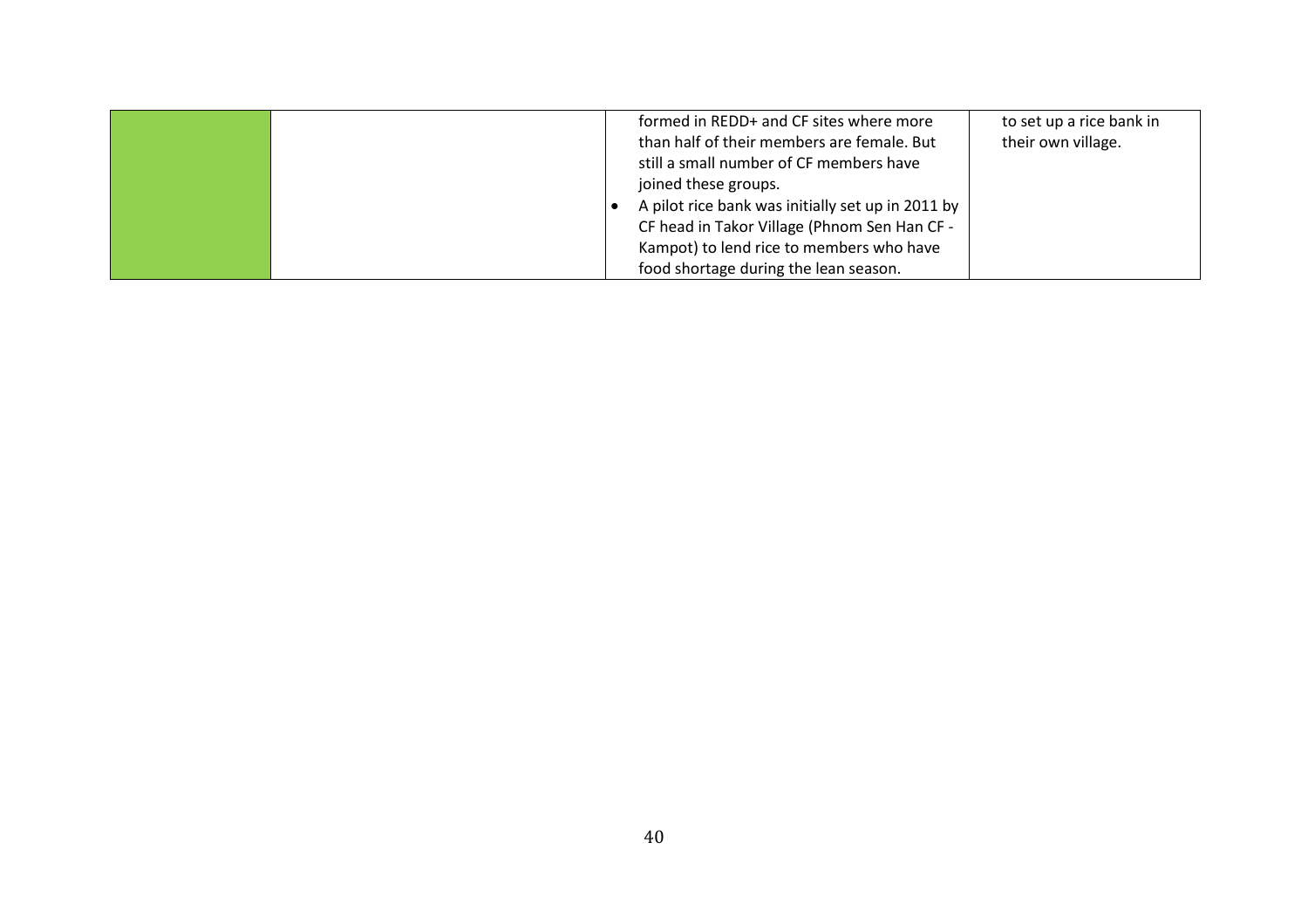|  | formed in REDD+ and CF sites where more<br>than half of their members are female. But<br>still a small number of CF members have<br>joined these groups.<br>A pilot rice bank was initially set up in 2011 by<br>CF head in Takor Village (Phnom Sen Han CF -<br>Kampot) to lend rice to members who have | to set up a rice bank in<br>their own village. |
|--|-----------------------------------------------------------------------------------------------------------------------------------------------------------------------------------------------------------------------------------------------------------------------------------------------------------|------------------------------------------------|
|  | food shortage during the lean season.                                                                                                                                                                                                                                                                     |                                                |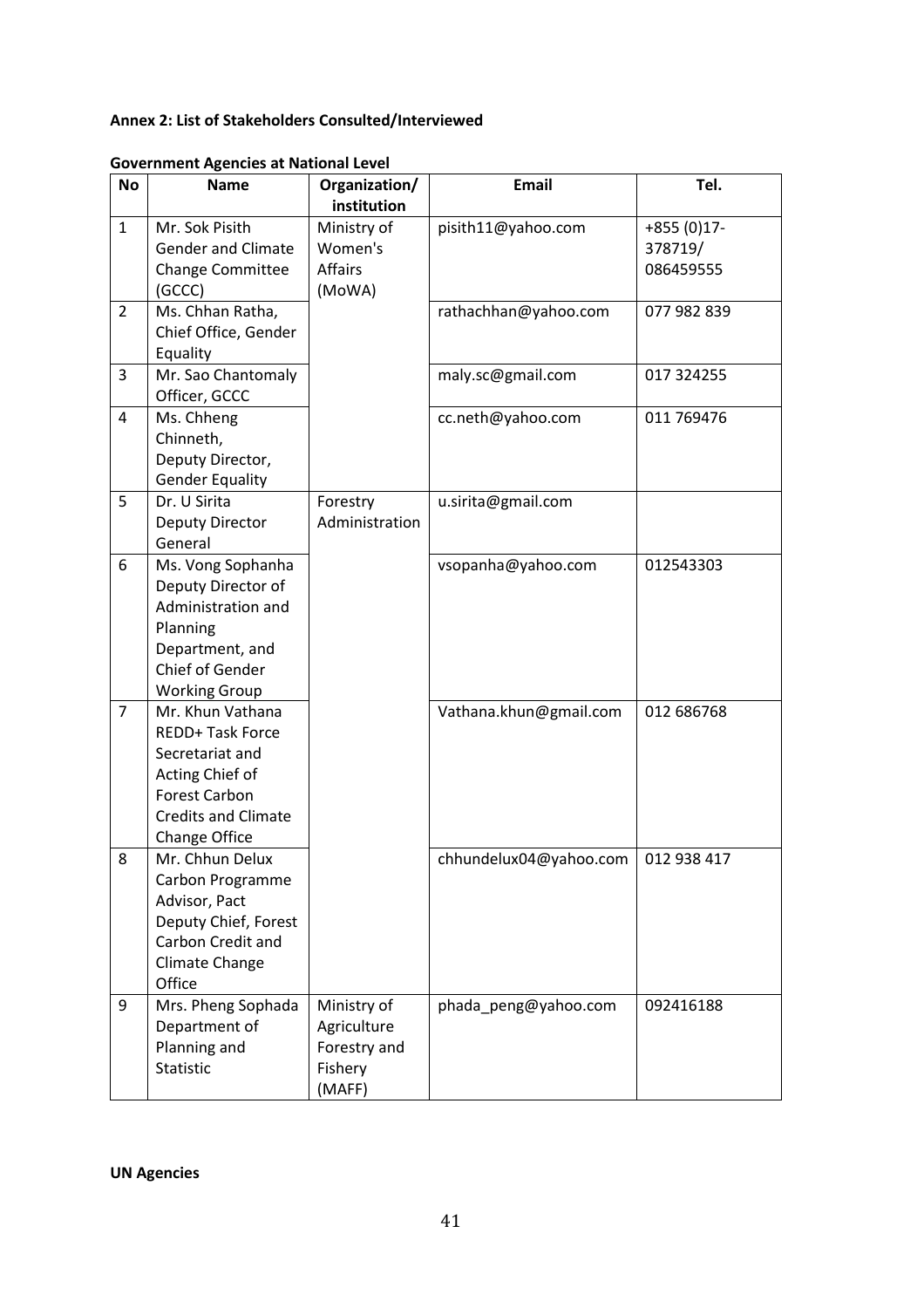## <span id="page-47-0"></span>**Annex 2: List of Stakeholders Consulted/Interviewed**

| <b>No</b>      | <b>Name</b>                                                                                                                                | Organization/<br>institution                                    | <b>Email</b>           | Tel.                                 |
|----------------|--------------------------------------------------------------------------------------------------------------------------------------------|-----------------------------------------------------------------|------------------------|--------------------------------------|
| $\mathbf{1}$   | Mr. Sok Pisith<br><b>Gender and Climate</b><br><b>Change Committee</b><br>(GCCC)                                                           | Ministry of<br>Women's<br><b>Affairs</b><br>(MoWA)              | pisith11@yahoo.com     | $+855(0)17-$<br>378719/<br>086459555 |
| $\overline{2}$ | Ms. Chhan Ratha,<br>Chief Office, Gender<br>Equality                                                                                       |                                                                 | rathachhan@yahoo.com   | 077 982 839                          |
| 3              | Mr. Sao Chantomaly<br>Officer, GCCC                                                                                                        |                                                                 | maly.sc@gmail.com      | 017 324255                           |
| 4              | Ms. Chheng<br>Chinneth,<br>Deputy Director,<br><b>Gender Equality</b>                                                                      |                                                                 | cc.neth@yahoo.com      | 011 769476                           |
| 5              | Dr. U Sirita<br>Deputy Director<br>General                                                                                                 | Forestry<br>Administration                                      | u.sirita@gmail.com     |                                      |
| 6              | Ms. Vong Sophanha<br>Deputy Director of<br>Administration and<br>Planning<br>Department, and<br>Chief of Gender<br><b>Working Group</b>    |                                                                 | vsopanha@yahoo.com     | 012543303                            |
| $\overline{7}$ | Mr. Khun Vathana<br>REDD+ Task Force<br>Secretariat and<br>Acting Chief of<br>Forest Carbon<br><b>Credits and Climate</b><br>Change Office |                                                                 | Vathana.khun@gmail.com | 012 686768                           |
| 8              | Mr. Chhun Delux<br>Carbon Programme<br>Advisor, Pact<br>Deputy Chief, Forest<br>Carbon Credit and<br>Climate Change<br>Office              |                                                                 | chhundelux04@yahoo.com | 012 938 417                          |
| 9              | Mrs. Pheng Sophada<br>Department of<br>Planning and<br><b>Statistic</b>                                                                    | Ministry of<br>Agriculture<br>Forestry and<br>Fishery<br>(MAFF) | phada_peng@yahoo.com   | 092416188                            |

**Government Agencies at National Level**

**UN Agencies**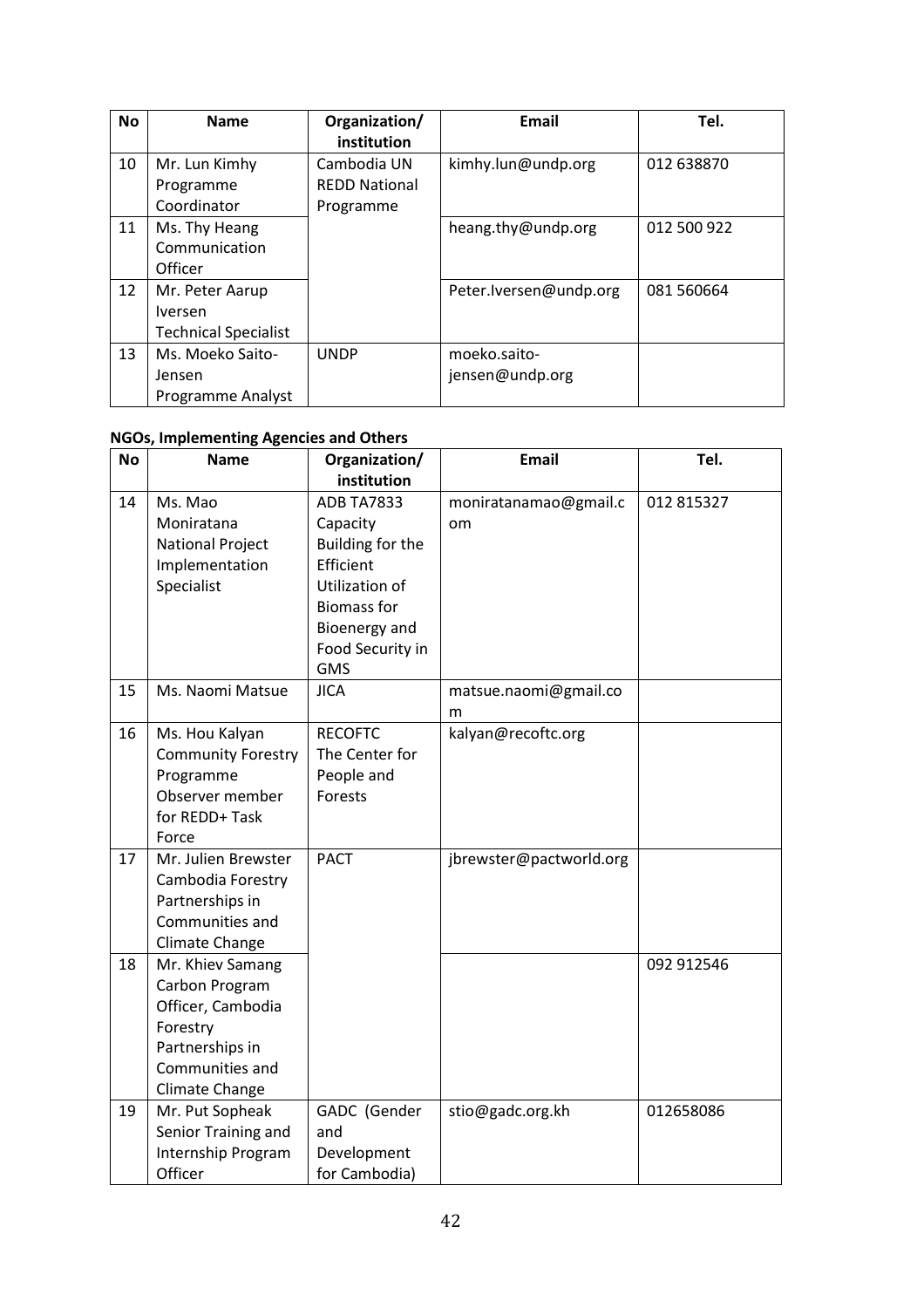| <b>No</b> | <b>Name</b>                                                      | Organization/<br>institution                     | <b>Email</b>                    | Tel.        |
|-----------|------------------------------------------------------------------|--------------------------------------------------|---------------------------------|-------------|
| 10        | Mr. Lun Kimhy<br>Programme<br>Coordinator                        | Cambodia UN<br><b>REDD National</b><br>Programme | kimhy.lun@undp.org              | 012 638870  |
| 11        | Ms. Thy Heang<br>Communication<br>Officer                        |                                                  | heang.thy@undp.org              | 012 500 922 |
| 12        | Mr. Peter Aarup<br><b>Iversen</b><br><b>Technical Specialist</b> |                                                  | Peter.lversen@undp.org          | 081 560664  |
| 13        | Ms. Moeko Saito-<br>Jensen<br><b>Programme Analyst</b>           | <b>UNDP</b>                                      | moeko.saito-<br>jensen@undp.org |             |

# **NGOs, Implementing Agencies and Others**

| <b>No</b> | <b>Name</b>                                                                                                                 | Organization/                                                                    | <b>Email</b>                | Tel.       |
|-----------|-----------------------------------------------------------------------------------------------------------------------------|----------------------------------------------------------------------------------|-----------------------------|------------|
|           |                                                                                                                             | institution                                                                      |                             |            |
| 14        | Ms. Mao<br>Moniratana<br><b>National Project</b><br>Implementation<br>Specialist                                            | <b>ADB TA7833</b><br>Capacity<br>Building for the<br>Efficient<br>Utilization of | moniratanamao@gmail.c<br>om | 012 815327 |
|           |                                                                                                                             | <b>Biomass for</b><br>Bioenergy and<br>Food Security in<br><b>GMS</b>            |                             |            |
| 15        | Ms. Naomi Matsue                                                                                                            | <b>JICA</b>                                                                      | matsue.naomi@gmail.co<br>m  |            |
| 16        | Ms. Hou Kalyan<br><b>Community Forestry</b><br>Programme<br>Observer member<br>for REDD+ Task<br>Force                      | <b>RECOFTC</b><br>The Center for<br>People and<br>Forests                        | kalyan@recoftc.org          |            |
| 17        | Mr. Julien Brewster<br>Cambodia Forestry<br>Partnerships in<br>Communities and<br>Climate Change                            | <b>PACT</b>                                                                      | jbrewster@pactworld.org     |            |
| 18        | Mr. Khiev Samang<br>Carbon Program<br>Officer, Cambodia<br>Forestry<br>Partnerships in<br>Communities and<br>Climate Change |                                                                                  |                             | 092 912546 |
| 19        | Mr. Put Sopheak<br>Senior Training and<br>Internship Program<br>Officer                                                     | GADC (Gender<br>and<br>Development<br>for Cambodia)                              | stio@gadc.org.kh            | 012658086  |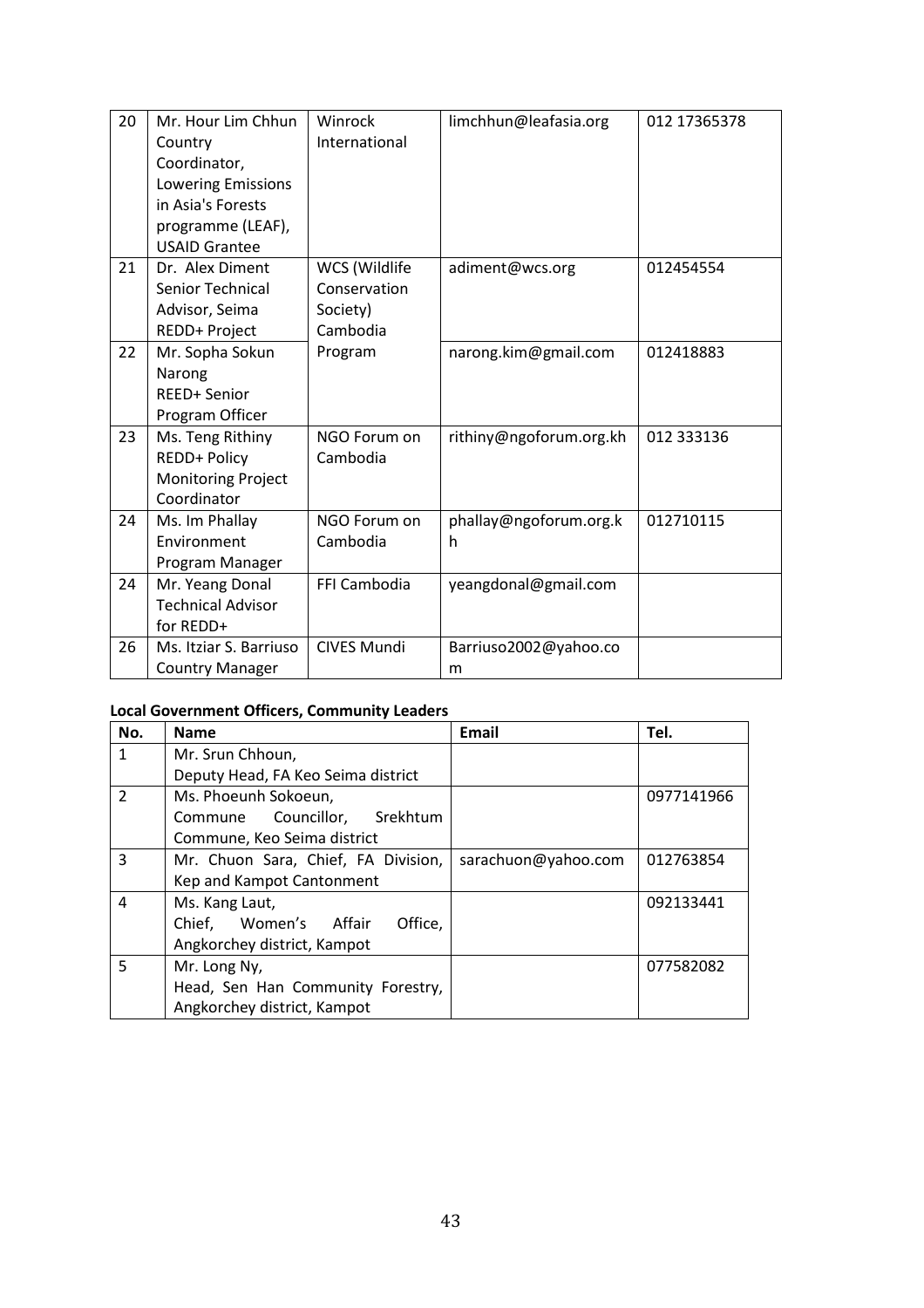| 20 | Mr. Hour Lim Chhun<br>Country<br>Coordinator,<br>Lowering Emissions<br>in Asia's Forests<br>programme (LEAF),<br><b>USAID Grantee</b> | Winrock<br>International                              | limchhun@leafasia.org       | 012 17365378 |
|----|---------------------------------------------------------------------------------------------------------------------------------------|-------------------------------------------------------|-----------------------------|--------------|
| 21 | Dr. Alex Diment<br>Senior Technical<br>Advisor, Seima<br>REDD+ Project                                                                | WCS (Wildlife<br>Conservation<br>Society)<br>Cambodia | adiment@wcs.org             | 012454554    |
| 22 | Mr. Sopha Sokun<br>Narong<br>REED+ Senior<br>Program Officer                                                                          | Program                                               | narong.kim@gmail.com        | 012418883    |
| 23 | Ms. Teng Rithiny<br>REDD+ Policy<br><b>Monitoring Project</b><br>Coordinator                                                          | NGO Forum on<br>Cambodia                              | rithiny@ngoforum.org.kh     | 012 333136   |
| 24 | Ms. Im Phallay<br>Environment<br>Program Manager                                                                                      | NGO Forum on<br>Cambodia                              | phallay@ngoforum.org.k<br>h | 012710115    |
| 24 | Mr. Yeang Donal<br><b>Technical Advisor</b><br>for REDD+                                                                              | FFI Cambodia                                          | yeangdonal@gmail.com        |              |
| 26 | Ms. Itziar S. Barriuso<br><b>Country Manager</b>                                                                                      | <b>CIVES Mundi</b>                                    | Barriuso2002@yahoo.co<br>m  |              |

# **Local Government Officers, Community Leaders**

| No.           | <b>Name</b>                         | <b>Email</b>        | Tel.       |
|---------------|-------------------------------------|---------------------|------------|
| 1             | Mr. Srun Chhoun,                    |                     |            |
|               | Deputy Head, FA Keo Seima district  |                     |            |
| $\mathcal{P}$ | Ms. Phoeunh Sokoeun,                |                     | 0977141966 |
|               | Commune Councillor, Srekhtum        |                     |            |
|               | Commune, Keo Seima district         |                     |            |
| 3             | Mr. Chuon Sara, Chief, FA Division, | sarachuon@yahoo.com | 012763854  |
|               | Kep and Kampot Cantonment           |                     |            |
| 4             | Ms. Kang Laut,                      |                     | 092133441  |
|               | Chief, Women's Affair<br>Office,    |                     |            |
|               | Angkorchey district, Kampot         |                     |            |
| 5             | Mr. Long Ny,                        |                     | 077582082  |
|               | Head, Sen Han Community Forestry,   |                     |            |
|               | Angkorchey district, Kampot         |                     |            |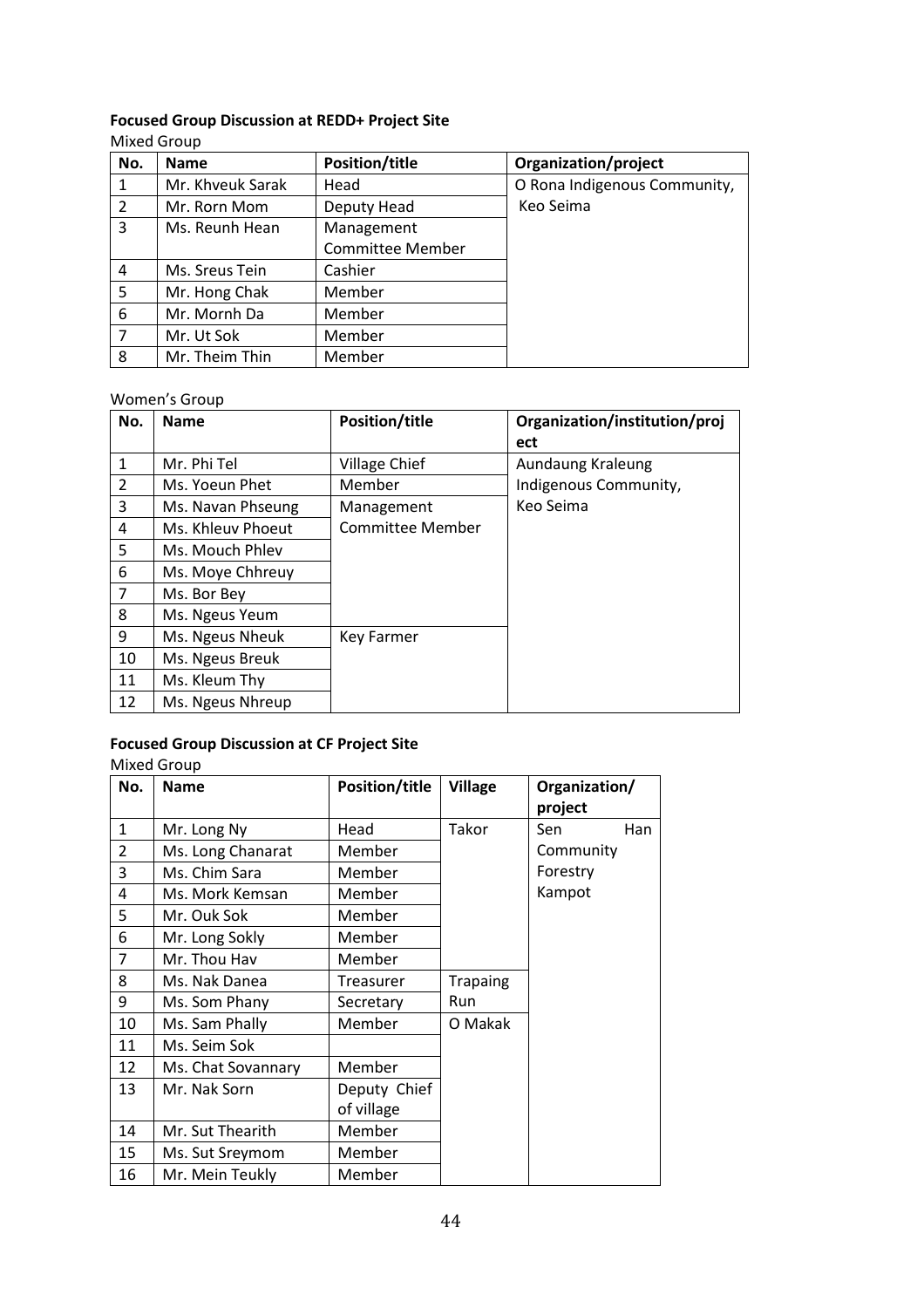# **Focused Group Discussion at REDD+ Project Site**

| No.          | <b>Name</b>      | <b>Position/title</b>   | Organization/project         |
|--------------|------------------|-------------------------|------------------------------|
| $\mathbf{1}$ | Mr. Khveuk Sarak | Head                    | O Rona Indigenous Community, |
| 2            | Mr. Rorn Mom     | Deputy Head             | Keo Seima                    |
| 3            | Ms. Reunh Hean   | Management              |                              |
|              |                  | <b>Committee Member</b> |                              |
| 4            | Ms. Sreus Tein   | Cashier                 |                              |
| 5            | Mr. Hong Chak    | Member                  |                              |
| 6            | Mr. Mornh Da     | Member                  |                              |
| 7            | Mr. Ut Sok       | Member                  |                              |
| 8            | Mr. Theim Thin   | Member                  |                              |

#### Women's Group

| No.            | <b>Name</b>       | <b>Position/title</b> | Organization/institution/proj<br>ect |
|----------------|-------------------|-----------------------|--------------------------------------|
| $\mathbf{1}$   | Mr. Phi Tel       | <b>Village Chief</b>  | Aundaung Kraleung                    |
| $\overline{2}$ | Ms. Yoeun Phet    | Member                | Indigenous Community,                |
| 3              | Ms. Navan Phseung | Management            | Keo Seima                            |
| 4              | Ms. Khleuv Phoeut | Committee Member      |                                      |
| 5              | Ms. Mouch Phlev   |                       |                                      |
| 6              | Ms. Moye Chhreuy  |                       |                                      |
| 7              | Ms. Bor Bey       |                       |                                      |
| 8              | Ms. Ngeus Yeum    |                       |                                      |
| 9              | Ms. Ngeus Nheuk   | Key Farmer            |                                      |
| 10             | Ms. Ngeus Breuk   |                       |                                      |
| 11             | Ms. Kleum Thy     |                       |                                      |
| 12             | Ms. Ngeus Nhreup  |                       |                                      |

# **Focused Group Discussion at CF Project Site**

#### Mixed Group

| No.            | <b>Name</b>        | <b>Position/title</b> | <b>Village</b>  | Organization/<br>project |     |
|----------------|--------------------|-----------------------|-----------------|--------------------------|-----|
| $\mathbf{1}$   | Mr. Long Ny        | Head                  | Takor           | Sen                      | Han |
| $\overline{2}$ | Ms. Long Chanarat  | Member                |                 | Community                |     |
| 3              | Ms. Chim Sara      | Member                |                 | Forestry                 |     |
| 4              | Ms. Mork Kemsan    | Member                |                 | Kampot                   |     |
| 5              | Mr. Ouk Sok        | Member                |                 |                          |     |
| 6              | Mr. Long Sokly     | Member                |                 |                          |     |
| 7              | Mr. Thou Hav       | Member                |                 |                          |     |
| 8              | Ms. Nak Danea      | <b>Treasurer</b>      | <b>Trapaing</b> |                          |     |
| 9              | Ms. Som Phany      | Secretary             | Run             |                          |     |
| 10             | Ms. Sam Phally     | Member                | O Makak         |                          |     |
| 11             | Ms. Seim Sok       |                       |                 |                          |     |
| 12             | Ms. Chat Sovannary | Member                |                 |                          |     |
| 13             | Mr. Nak Sorn       | Deputy Chief          |                 |                          |     |
|                |                    | of village            |                 |                          |     |
| 14             | Mr. Sut Thearith   | Member                |                 |                          |     |
| 15             | Ms. Sut Sreymom    | Member                |                 |                          |     |
| 16             | Mr. Mein Teukly    | Member                |                 |                          |     |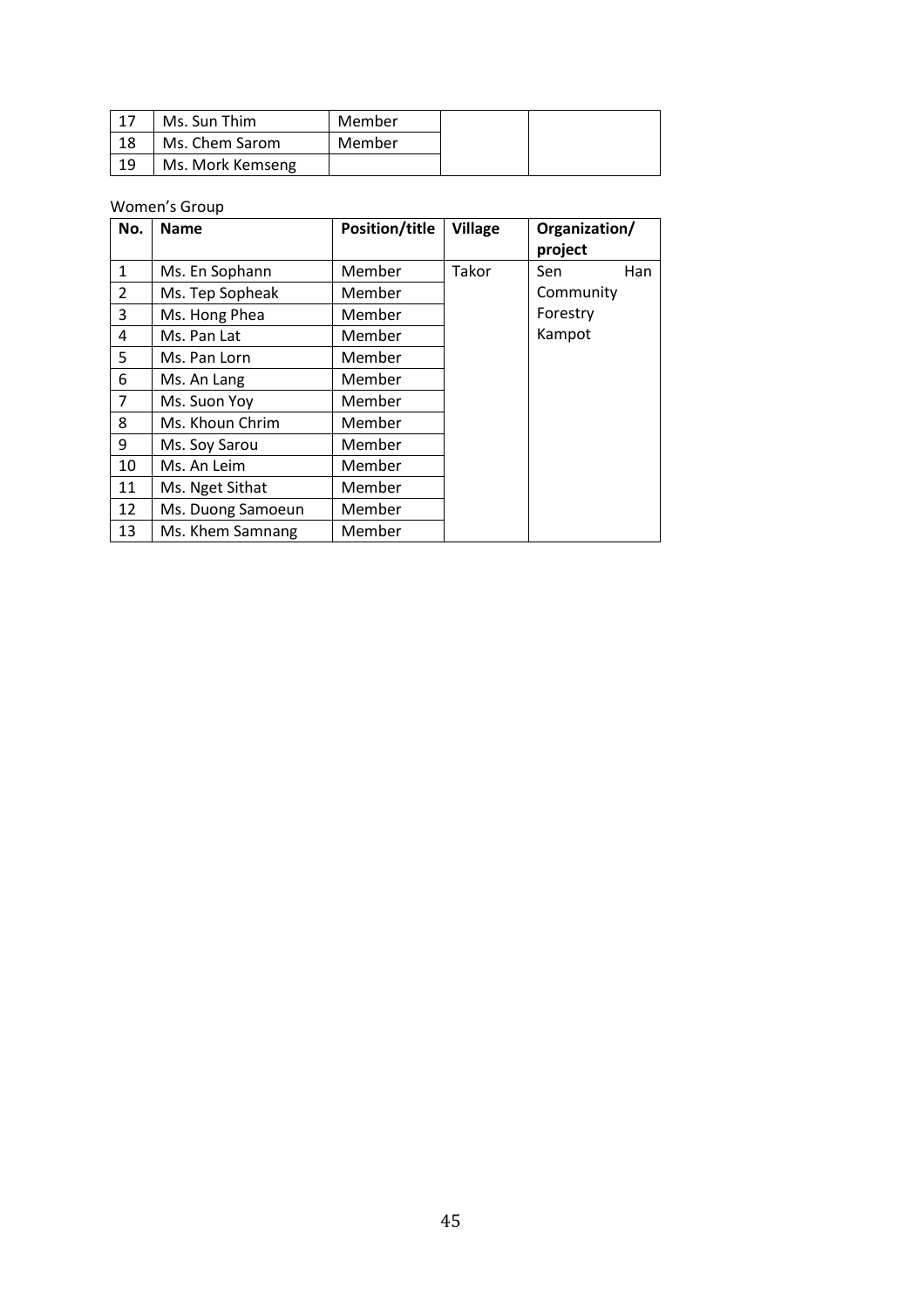| $\overline{1}$ | Ms. Sun Thim     | Member |
|----------------|------------------|--------|
| 18             | Ms. Chem Sarom   | Member |
| 19             | Ms. Mork Kemseng |        |

#### Women's Group

| No.            | <b>Name</b>       | <b>Position/title</b> | <b>Village</b> | Organization/ |     |
|----------------|-------------------|-----------------------|----------------|---------------|-----|
|                |                   |                       |                | project       |     |
| $\mathbf{1}$   | Ms. En Sophann    | Member                | Takor          | Sen           | Han |
| $\overline{2}$ | Ms. Tep Sopheak   | Member                |                | Community     |     |
| 3              | Ms. Hong Phea     | Member                |                | Forestry      |     |
| 4              | Ms. Pan Lat       | Member                |                | Kampot        |     |
| 5              | Ms. Pan Lorn      | Member                |                |               |     |
| 6              | Ms. An Lang       | Member                |                |               |     |
| $\overline{7}$ | Ms. Suon Yoy      | Member                |                |               |     |
| 8              | Ms. Khoun Chrim   | Member                |                |               |     |
| 9              | Ms. Soy Sarou     | Member                |                |               |     |
| 10             | Ms. An Leim       | Member                |                |               |     |
| 11             | Ms. Nget Sithat   | Member                |                |               |     |
| 12             | Ms. Duong Samoeun | Member                |                |               |     |
| 13             | Ms. Khem Samnang  | Member                |                |               |     |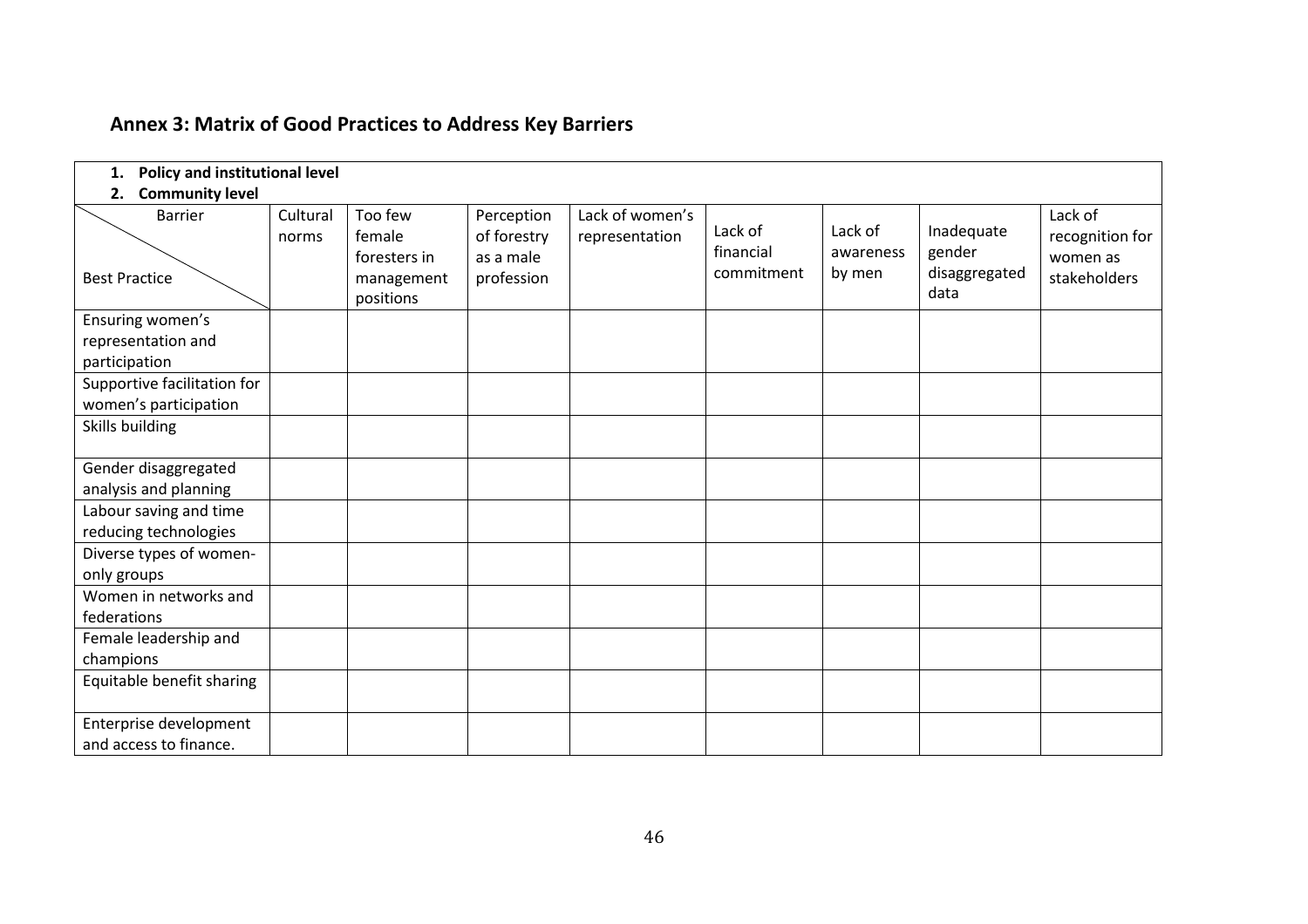<span id="page-52-0"></span>

| Policy and institutional level<br>1.                                   |                   |                                                              |                                                      |                                   |                                    |                                |                                               |                                                        |
|------------------------------------------------------------------------|-------------------|--------------------------------------------------------------|------------------------------------------------------|-----------------------------------|------------------------------------|--------------------------------|-----------------------------------------------|--------------------------------------------------------|
| <b>Community level</b><br>2.<br><b>Barrier</b><br><b>Best Practice</b> | Cultural<br>norms | Too few<br>female<br>foresters in<br>management<br>positions | Perception<br>of forestry<br>as a male<br>profession | Lack of women's<br>representation | Lack of<br>financial<br>commitment | Lack of<br>awareness<br>by men | Inadequate<br>gender<br>disaggregated<br>data | Lack of<br>recognition for<br>women as<br>stakeholders |
| Ensuring women's<br>representation and<br>participation                |                   |                                                              |                                                      |                                   |                                    |                                |                                               |                                                        |
| Supportive facilitation for<br>women's participation                   |                   |                                                              |                                                      |                                   |                                    |                                |                                               |                                                        |
| Skills building                                                        |                   |                                                              |                                                      |                                   |                                    |                                |                                               |                                                        |
| Gender disaggregated<br>analysis and planning                          |                   |                                                              |                                                      |                                   |                                    |                                |                                               |                                                        |
| Labour saving and time<br>reducing technologies                        |                   |                                                              |                                                      |                                   |                                    |                                |                                               |                                                        |
| Diverse types of women-<br>only groups                                 |                   |                                                              |                                                      |                                   |                                    |                                |                                               |                                                        |
| Women in networks and<br>federations                                   |                   |                                                              |                                                      |                                   |                                    |                                |                                               |                                                        |
| Female leadership and<br>champions                                     |                   |                                                              |                                                      |                                   |                                    |                                |                                               |                                                        |
| Equitable benefit sharing                                              |                   |                                                              |                                                      |                                   |                                    |                                |                                               |                                                        |
| Enterprise development<br>and access to finance.                       |                   |                                                              |                                                      |                                   |                                    |                                |                                               |                                                        |

# **Annex 3: Matrix of Good Practices to Address Key Barriers**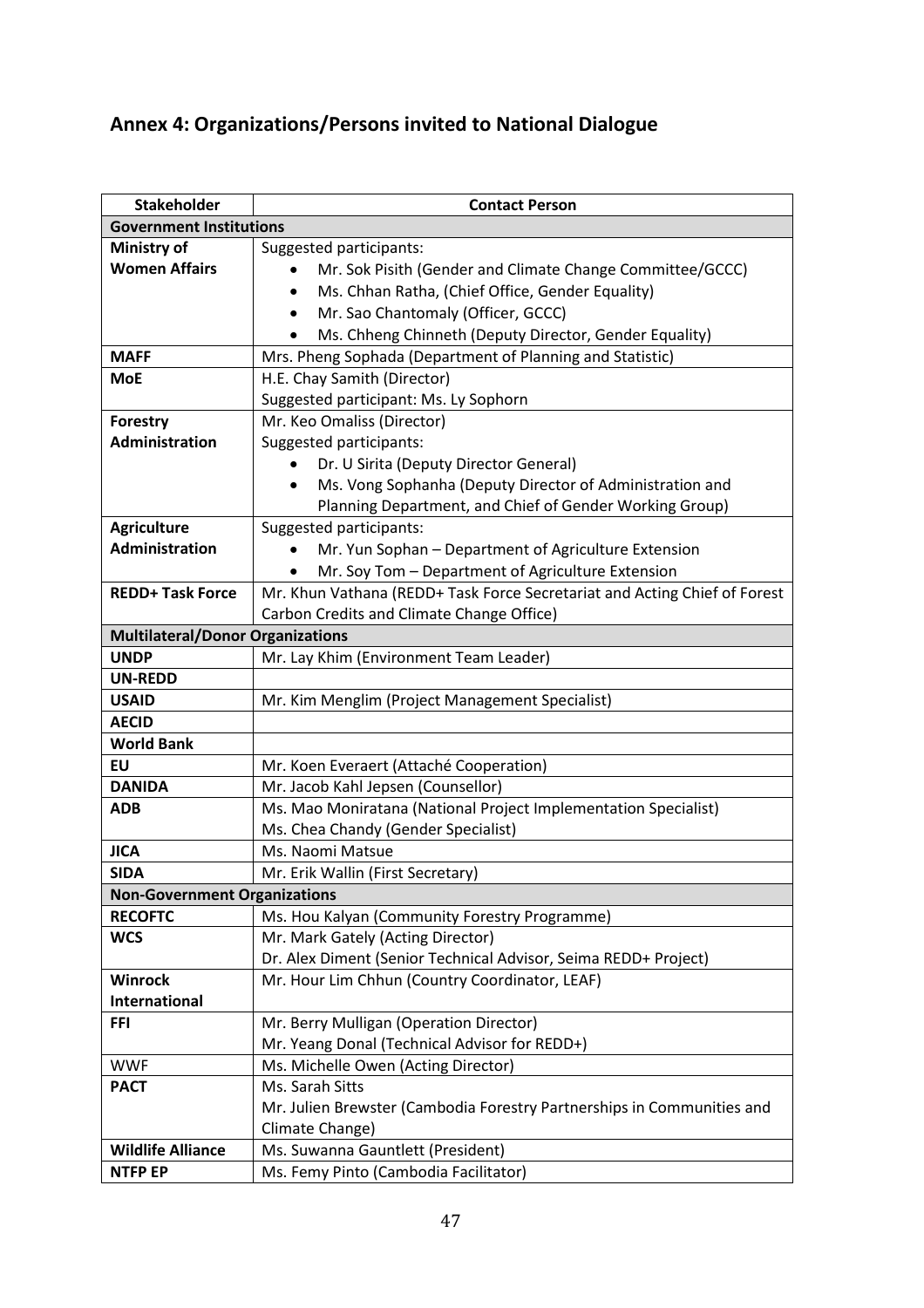# <span id="page-53-0"></span>**Annex 4: Organizations/Persons invited to National Dialogue**

| <b>Stakeholder</b>                      | <b>Contact Person</b>                                                     |
|-----------------------------------------|---------------------------------------------------------------------------|
| <b>Government Institutions</b>          |                                                                           |
| <b>Ministry of</b>                      | Suggested participants:                                                   |
| <b>Women Affairs</b>                    | Mr. Sok Pisith (Gender and Climate Change Committee/GCCC)                 |
|                                         | Ms. Chhan Ratha, (Chief Office, Gender Equality)<br>$\bullet$             |
|                                         | Mr. Sao Chantomaly (Officer, GCCC)                                        |
|                                         | Ms. Chheng Chinneth (Deputy Director, Gender Equality)                    |
| <b>MAFF</b>                             | Mrs. Pheng Sophada (Department of Planning and Statistic)                 |
| <b>MoE</b>                              | H.E. Chay Samith (Director)                                               |
|                                         | Suggested participant: Ms. Ly Sophorn                                     |
| Forestry                                | Mr. Keo Omaliss (Director)                                                |
| Administration                          | Suggested participants:                                                   |
|                                         | Dr. U Sirita (Deputy Director General)                                    |
|                                         | Ms. Vong Sophanha (Deputy Director of Administration and<br>$\bullet$     |
|                                         | Planning Department, and Chief of Gender Working Group)                   |
| <b>Agriculture</b>                      | Suggested participants:                                                   |
| Administration                          | Mr. Yun Sophan - Department of Agriculture Extension                      |
|                                         | Mr. Soy Tom - Department of Agriculture Extension                         |
| <b>REDD+ Task Force</b>                 | Mr. Khun Vathana (REDD+ Task Force Secretariat and Acting Chief of Forest |
|                                         | Carbon Credits and Climate Change Office)                                 |
| <b>Multilateral/Donor Organizations</b> |                                                                           |
| <b>UNDP</b>                             | Mr. Lay Khim (Environment Team Leader)                                    |
| <b>UN-REDD</b>                          |                                                                           |
| <b>USAID</b>                            | Mr. Kim Menglim (Project Management Specialist)                           |
| <b>AECID</b>                            |                                                                           |
| <b>World Bank</b>                       |                                                                           |
| EU                                      | Mr. Koen Everaert (Attaché Cooperation)                                   |
| <b>DANIDA</b>                           | Mr. Jacob Kahl Jepsen (Counsellor)                                        |
| <b>ADB</b>                              | Ms. Mao Moniratana (National Project Implementation Specialist)           |
|                                         | Ms. Chea Chandy (Gender Specialist)                                       |
| <b>JICA</b>                             | Ms. Naomi Matsue                                                          |
| <b>SIDA</b>                             | Mr. Erik Wallin (First Secretary)                                         |
| <b>Non-Government Organizations</b>     |                                                                           |
| <b>RECOFTC</b>                          | Ms. Hou Kalyan (Community Forestry Programme)                             |
| <b>WCS</b>                              | Mr. Mark Gately (Acting Director)                                         |
|                                         | Dr. Alex Diment (Senior Technical Advisor, Seima REDD+ Project)           |
| Winrock                                 | Mr. Hour Lim Chhun (Country Coordinator, LEAF)                            |
| <b>International</b>                    |                                                                           |
| <b>FFI</b>                              | Mr. Berry Mulligan (Operation Director)                                   |
|                                         | Mr. Yeang Donal (Technical Advisor for REDD+)                             |
| <b>WWF</b>                              | Ms. Michelle Owen (Acting Director)                                       |
| <b>PACT</b>                             | Ms. Sarah Sitts                                                           |
|                                         | Mr. Julien Brewster (Cambodia Forestry Partnerships in Communities and    |
|                                         | Climate Change)                                                           |
| <b>Wildlife Alliance</b>                | Ms. Suwanna Gauntlett (President)                                         |
| <b>NTFP EP</b>                          | Ms. Femy Pinto (Cambodia Facilitator)                                     |